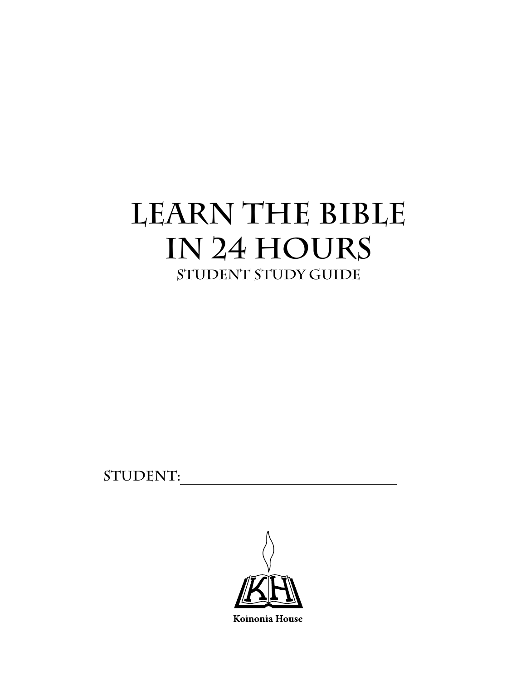# **Learn the Bible in 24 Hours Student Study Guide**

STUDENT:

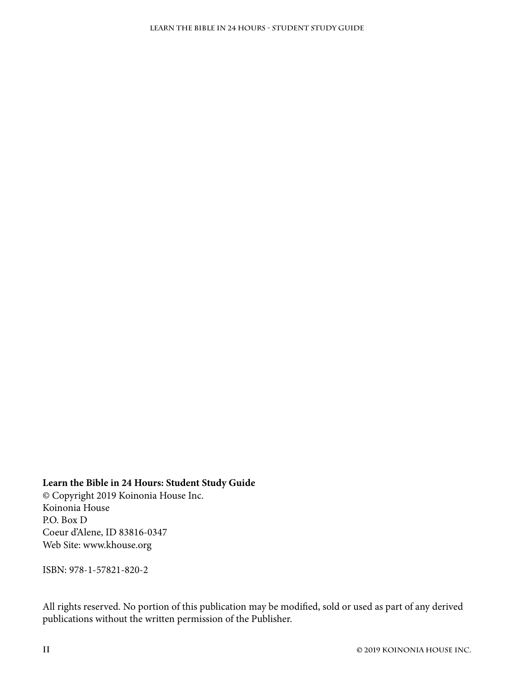#### **Learn the Bible in 24 Hours: Student Study Guide**

© Copyright 2019 Koinonia House Inc. Koinonia House P.O. Box D Coeur d'Alene, ID 83816-0347 Web Site: [www.khouse.org](https://www.khouse.org)

ISBN: 978-1-57821-820-2

All rights reserved. No portion of this publication may be modified, sold or used as part of any derived publications without the written permission of the Publisher.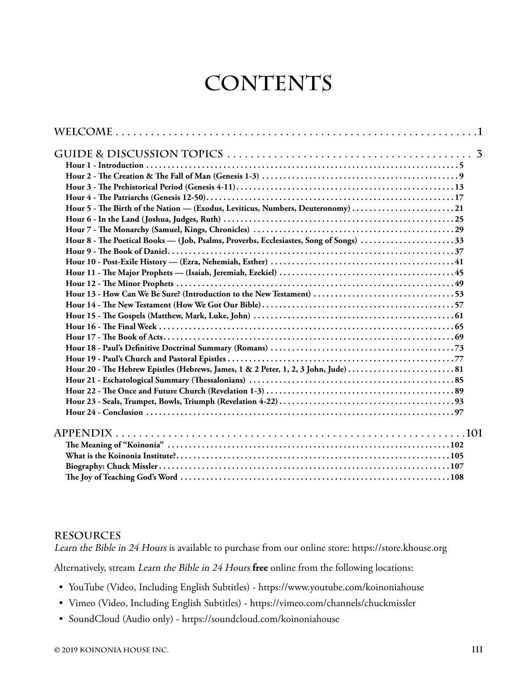# **CONTENTS**

| Hour 5 - The Birth of the Nation — (Exodus, Leviticus, Numbers, Deuteronomy) 21       |
|---------------------------------------------------------------------------------------|
|                                                                                       |
|                                                                                       |
| Hour 8 - The Poetical Books — (Job, Psalms, Proverbs, Ecclesiastes, Song of Songs) 33 |
|                                                                                       |
|                                                                                       |
|                                                                                       |
|                                                                                       |
|                                                                                       |
|                                                                                       |
|                                                                                       |
|                                                                                       |
|                                                                                       |
|                                                                                       |
|                                                                                       |
|                                                                                       |
|                                                                                       |
|                                                                                       |
|                                                                                       |
|                                                                                       |
|                                                                                       |
|                                                                                       |
|                                                                                       |
|                                                                                       |
|                                                                                       |

#### **Resources**

Learn the Bible in 24 Hours is available to purchase from our online store:<https://store.khouse.org>

Alternatively, stream Learn the Bible in 24 Hours **free** online from the following locations:

- YouTube (Video, Including English Subtitles) <https://www.youtube.com/koinoniahouse>
- Vimeo (Video, Including English Subtitles) <https://vimeo.com/channels/chuckmissler>
- SoundCloud (Audio only) <https://soundcloud.com/koinoniahouse>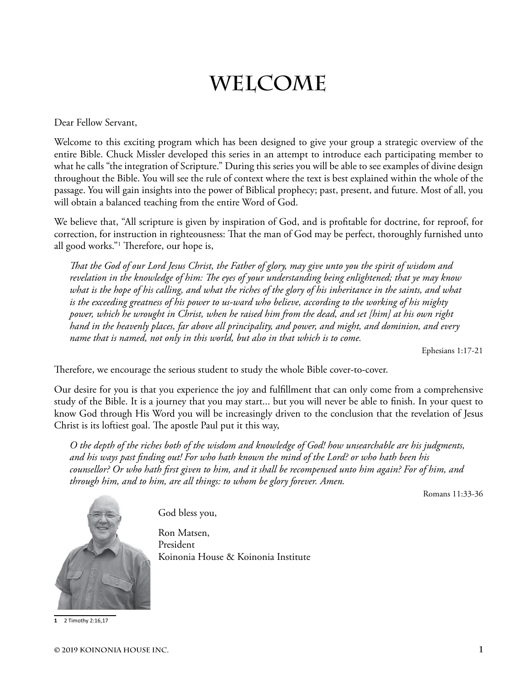# **Welcome**

<span id="page-4-0"></span>Dear Fellow Servant,

Welcome to this exciting program which has been designed to give your group a strategic overview of the entire Bible. Chuck Missler developed this series in an attempt to introduce each participating member to what he calls "the integration of Scripture." During this series you will be able to see examples of divine design throughout the Bible. You will see the rule of context where the text is best explained within the whole of the passage. You will gain insights into the power of Biblical prophecy; past, present, and future. Most of all, you will obtain a balanced teaching from the entire Word of God.

We believe that, "All scripture is given by inspiration of God, and is profitable for doctrine, for reproof, for correction, for instruction in righteousness: That the man of God may be perfect, thoroughly furnished unto all good works."1 Therefore, our hope is,

*That the God of our Lord Jesus Christ, the Father of glory, may give unto you the spirit of wisdom and revelation in the knowledge of him: The eyes of your understanding being enlightened; that ye may know what is the hope of his calling, and what the riches of the glory of his inheritance in the saints, and what is the exceeding greatness of his power to us-ward who believe, according to the working of his mighty power, which he wrought in Christ, when he raised him from the dead, and set [him] at his own right hand in the heavenly places, far above all principality, and power, and might, and dominion, and every name that is named, not only in this world, but also in that which is to come.*

Ephesians 1:17-21

Therefore, we encourage the serious student to study the whole Bible cover-to-cover.

Our desire for you is that you experience the joy and fulfillment that can only come from a comprehensive study of the Bible. It is a journey that you may start... but you will never be able to finish. In your quest to know God through His Word you will be increasingly driven to the conclusion that the revelation of Jesus Christ is its loftiest goal. The apostle Paul put it this way,

*O the depth of the riches both of the wisdom and knowledge of God! how unsearchable are his judgments, and his ways past finding out! For who hath known the mind of the Lord? or who hath been his counsellor? Or who hath first given to him, and it shall be recompensed unto him again? For of him, and through him, and to him, are all things: to whom be glory forever. Amen.*

Romans 11:33-36



God bless you,

Ron Matsen, President Koinonia House & Koinonia Institute

**1** 2 Timothy 2:16,17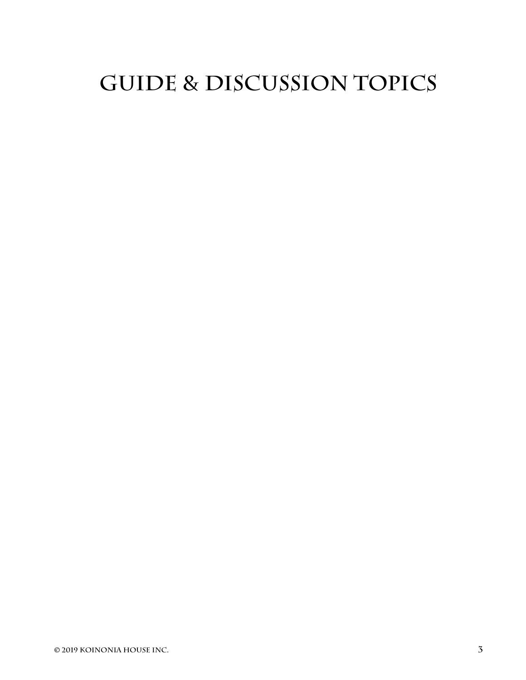# <span id="page-6-0"></span>**Guide & Discussion topics**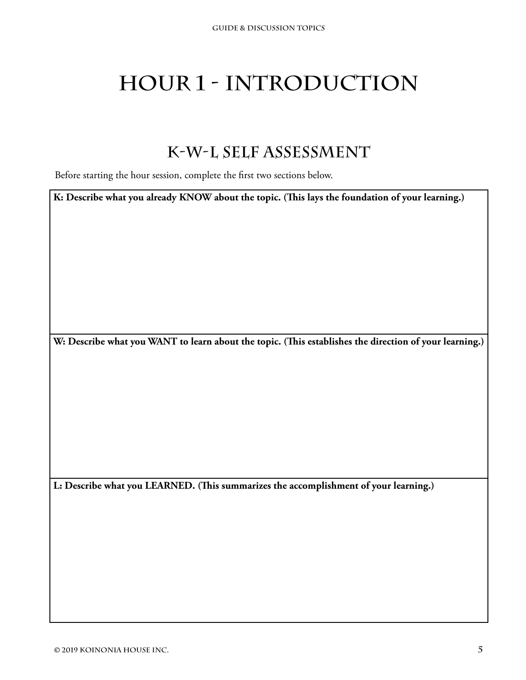# <span id="page-8-0"></span>**Hour 1 - Introduction**

### **K-W-L Self Assessment**

Before starting the hour session, complete the first two sections below.

**K: Describe what you already KNOW about the topic. (This lays the foundation of your learning.)**

**W: Describe what you WANT to learn about the topic. (This establishes the direction of your learning.)**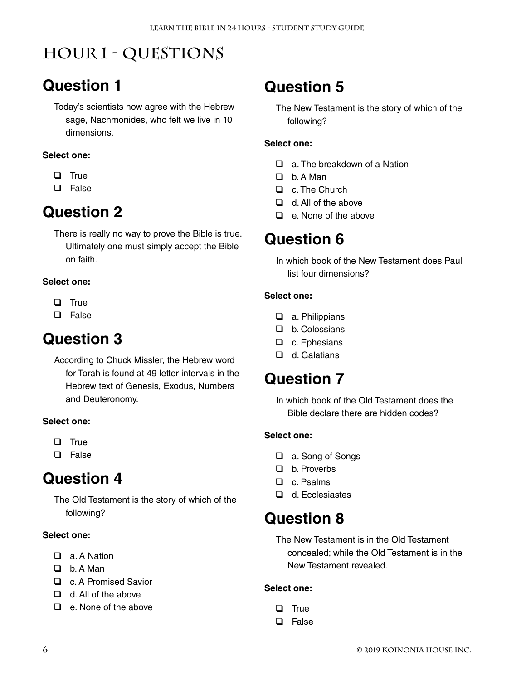# **Hour 1 - Questions**

### **Question 1**

Today's scientists now agree with the Hebrew sage, Nachmonides, who felt we live in 10 dimensions.

#### **Select one:**

- $\Box$  True
- □ False

### **Question 2**

There is really no way to prove the Bible is true. Ultimately one must simply accept the Bible on faith.

#### **Select one:**

- $\Box$  True
- **Q** False

### **Question 3**

According to Chuck Missler, the Hebrew word for Torah is found at 49 letter intervals in the Hebrew text of Genesis, Exodus, Numbers and Deuteronomy.

#### **Select one:**

- $\Box$  True
- **Q** False

### **Question 4**

The Old Testament is the story of which of the following?

#### **Select one:**

- □ a. A Nation
- $\Box$  b. A Man
- □ c. A Promised Savior
- $\Box$  d. All of the above
- $\Box$  e. None of the above

### **Question 5**

The New Testament is the story of which of the following?

#### **Select one:**

- $\Box$  a. The breakdown of a Nation
- $\Box$  b. A Man
- □ c. The Church
- $\Box$  d. All of the above
- $\Box$  e. None of the above

### **Question 6**

In which book of the New Testament does Paul list four dimensions?

#### **Select one:**

- □ a. Philippians
- □ b. Colossians
- □ c. Ephesians
- □ d. Galatians

### **Question 7**

In which book of the Old Testament does the Bible declare there are hidden codes?

#### **Select one:**

- a. Song of Songs
- D b. Proverbs
- □ c. Psalms
- d. Ecclesiastes

### **Question 8**

The New Testament is in the Old Testament concealed; while the Old Testament is in the New Testament revealed.

- $\Box$  True
- □ False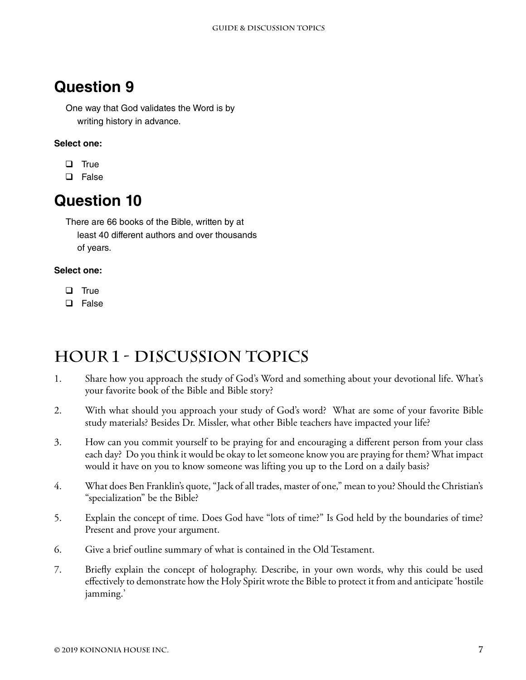One way that God validates the Word is by writing history in advance.

#### **Select one:**

- $\Box$  True
- □ False

### **Question 10**

There are 66 books of the Bible, written by at least 40 different authors and over thousands of years.

#### **Select one:**

- $\Box$  True
- **Q** False

### **Hour 1 - Discussion Topics**

- 1. Share how you approach the study of God's Word and something about your devotional life. What's your favorite book of the Bible and Bible story?
- 2. With what should you approach your study of God's word? What are some of your favorite Bible study materials? Besides Dr. Missler, what other Bible teachers have impacted your life?
- 3. How can you commit yourself to be praying for and encouraging a different person from your class each day? Do you think it would be okay to let someone know you are praying for them? What impact would it have on you to know someone was lifting you up to the Lord on a daily basis?
- 4. What does Ben Franklin's quote, "Jack of all trades, master of one," mean to you? Should the Christian's "specialization" be the Bible?
- 5. Explain the concept of time. Does God have "lots of time?" Is God held by the boundaries of time? Present and prove your argument.
- 6. Give a brief outline summary of what is contained in the Old Testament.
- 7. Briefly explain the concept of holography. Describe, in your own words, why this could be used effectively to demonstrate how the Holy Spirit wrote the Bible to protect it from and anticipate 'hostile jamming.'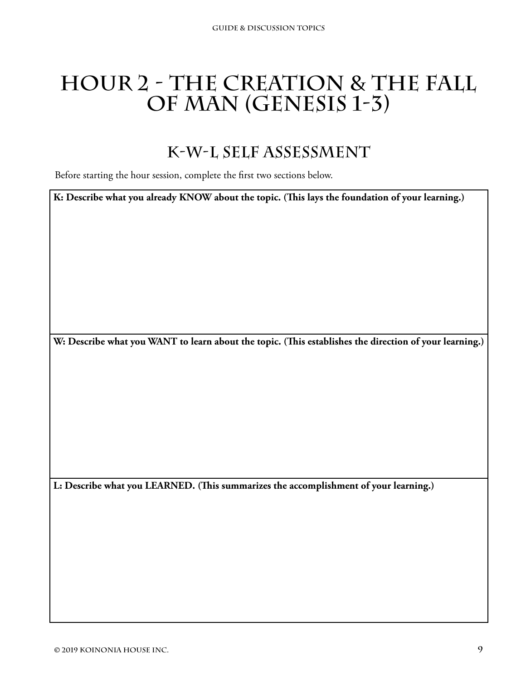# <span id="page-12-0"></span>**Hour 2 - The Creation & The Fall of Man (Genesis 1-3)**

### **K-W-L Self Assessment**

Before starting the hour session, complete the first two sections below.

**K: Describe what you already KNOW about the topic. (This lays the foundation of your learning.)**

**W: Describe what you WANT to learn about the topic. (This establishes the direction of your learning.)**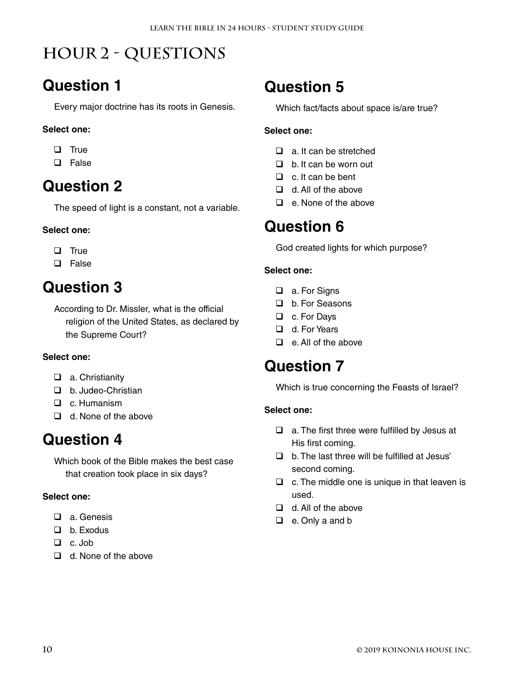# **Hour 2 - Questions**

### **Question 1**

Every major doctrine has its roots in Genesis.

#### **Select one:**

- $\Box$  True
- **D** False

### **Question 2**

The speed of light is a constant, not a variable.

#### **Select one:**

- $\Box$  True
- □ False

### **Question 3**

According to Dr. Missler, what is the official religion of the United States, as declared by the Supreme Court?

#### **Select one:**

- a. Christianity
- D b. Judeo-Christian
- D. c. Humanism
- $\Box$  d. None of the above

### **Question 4**

Which book of the Bible makes the best case that creation took place in six days?

#### **Select one:**

- □ a. Genesis
- D b. Exodus
- $\Box$  c. Job
- d. None of the above

### **Question 5**

Which fact/facts about space is/are true?

#### **Select one:**

- $\Box$  a. It can be stretched
- $\Box$  b. It can be worn out
- $\Box$  c. It can be bent
- $\Box$  d. All of the above
- $\Box$  e. None of the above

### **Question 6**

God created lights for which purpose?

#### **Select one:**

- a. For Signs
- □ b. For Seasons
- □ c. For Days
- d. For Years
- $\Box$  e. All of the above

### **Question 7**

Which is true concerning the Feasts of Israel?

- $\Box$  a. The first three were fulfilled by Jesus at His first coming.
- $\Box$  b. The last three will be fulfilled at Jesus' second coming.
- $\Box$  c. The middle one is unique in that leaven is used.
- $\Box$  d. All of the above
- □ e. Only a and b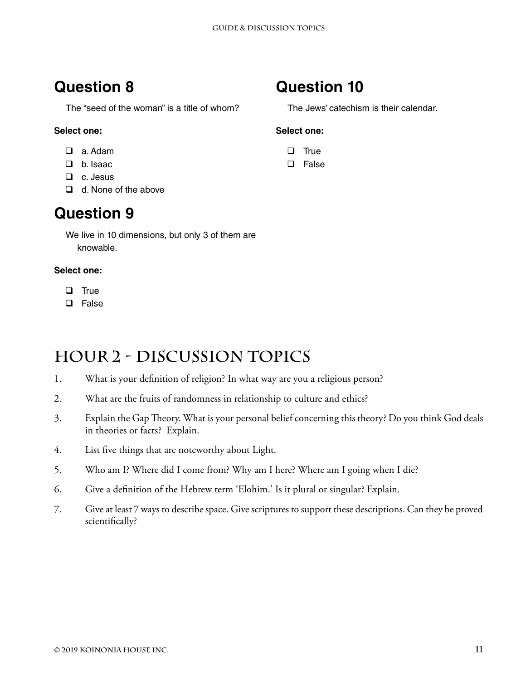The "seed of the woman" is a title of whom?

#### **Select one:**

- a. Adam
- b. Isaac
- $\Box$  c. Jesus
- $\Box$  d. None of the above

### **Question 9**

We live in 10 dimensions, but only 3 of them are knowable.

#### **Select one:**

- $\Box$  True
- **Q** False

### **Hour 2 - Discussion Topics**

- 1. What is your definition of religion? In what way are you a religious person?
- 2. What are the fruits of randomness in relationship to culture and ethics?
- 3. Explain the Gap Theory. What is your personal belief concerning this theory? Do you think God deals in theories or facts? Explain.
- 4. List five things that are noteworthy about Light.
- 5. Who am I? Where did I come from? Why am I here? Where am I going when I die?
- 6. Give a definition of the Hebrew term 'Elohim.' Is it plural or singular? Explain.
- 7. Give at least 7 ways to describe space. Give scriptures to support these descriptions. Can they be proved scientifically?

### **Question 10**

The Jews' catechism is their calendar.

- $\Box$  True
- **Q** False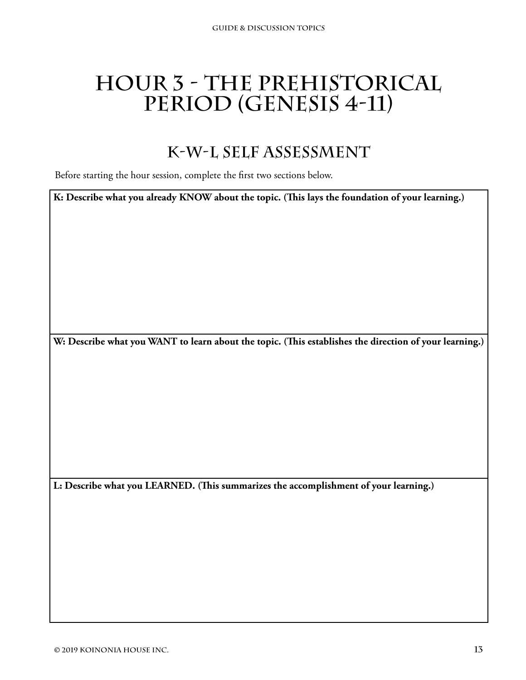# <span id="page-16-0"></span>**Hour 3 - The Prehistorical**  PERIOD (GENESIS 4-11)

### **K-W-L Self Assessment**

Before starting the hour session, complete the first two sections below.

**K: Describe what you already KNOW about the topic. (This lays the foundation of your learning.)**

**W: Describe what you WANT to learn about the topic. (This establishes the direction of your learning.)**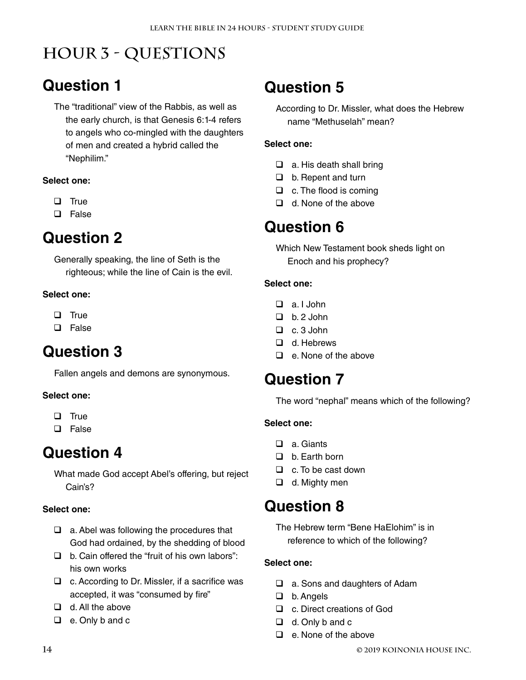# **Hour 3 - Questions**

### **Question 1**

The "traditional" view of the Rabbis, as well as the early church, is that Genesis 6:1-4 refers to angels who co-mingled with the daughters of men and created a hybrid called the "Nephilim."

#### **Select one:**

- $\Box$  True
- **Q** False

### **Question 2**

Generally speaking, the line of Seth is the righteous; while the line of Cain is the evil.

#### **Select one:**

- $\Box$  True
- **Q** False

### **Question 3**

Fallen angels and demons are synonymous.

#### **Select one:**

- $\Box$  True
- □ False

### **Question 4**

What made God accept Abel's offering, but reject Cain's?

#### **Select one:**

- $\Box$  a. Abel was following the procedures that God had ordained, by the shedding of blood
- $\Box$  b. Cain offered the "fruit of his own labors": his own works
- $\Box$  c. According to Dr. Missler, if a sacrifice was accepted, it was "consumed by fire"
- $\Box$  d. All the above
- $\Box$  e. Only b and c

## **Question 5**

According to Dr. Missler, what does the Hebrew name "Methuselah" mean?

#### **Select one:**

- $\Box$  a. His death shall bring
- $\Box$  b. Repent and turn
- $\Box$  c. The flood is coming
- $\Box$  d. None of the above

### **Question 6**

Which New Testament book sheds light on Enoch and his prophecy?

#### **Select one:**

- $\Box$  a I John
- $\Box$  b. 2 John
- $\Box$  c. 3 John
- □ d Hebrews
- $\Box$  e. None of the above

### **Question 7**

The word "nephal" means which of the following?

#### **Select one:**

- □ a. Giants
- $\Box$  b. Farth born
- $\Box$  c. To be cast down
- □ d. Mighty men

### **Question 8**

The Hebrew term "Bene HaElohim" is in reference to which of the following?

- □ a. Sons and daughters of Adam
- □ b. Angels
- □ c. Direct creations of God
- $\Box$  d. Only b and c
- $\Box$  e. None of the above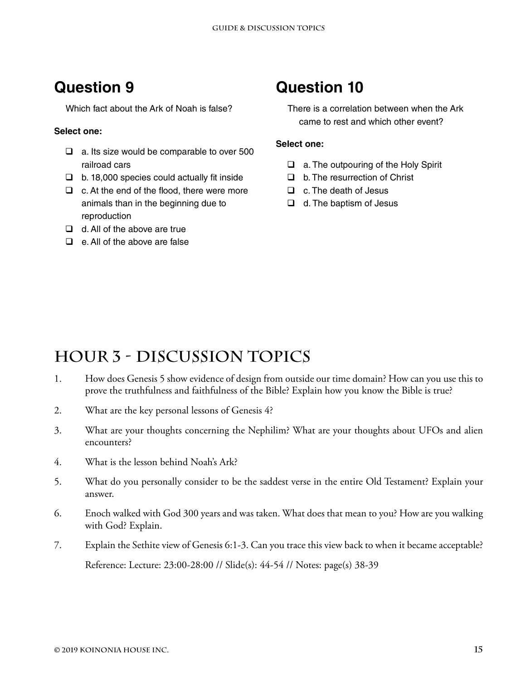Which fact about the Ark of Noah is false?

#### **Select one:**

- $\Box$  a. Its size would be comparable to over 500 railroad cars
- $\Box$  b. 18,000 species could actually fit inside
- $\Box$  c. At the end of the flood, there were more animals than in the beginning due to reproduction
- $\Box$  d. All of the above are true
- $\Box$  e. All of the above are false

### **Question 10**

There is a correlation between when the Ark came to rest and which other event?

#### **Select one:**

- □ a. The outpouring of the Holy Spirit
- $\Box$  b. The resurrection of Christ
- $\Box$  c. The death of Jesus
- $\Box$  d. The baptism of Jesus

### **Hour 3 - Discussion Topics**

- 1. How does Genesis 5 show evidence of design from outside our time domain? How can you use this to prove the truthfulness and faithfulness of the Bible? Explain how you know the Bible is true?
- 2. What are the key personal lessons of Genesis 4?
- 3. What are your thoughts concerning the Nephilim? What are your thoughts about UFOs and alien encounters?
- 4. What is the lesson behind Noah's Ark?
- 5. What do you personally consider to be the saddest verse in the entire Old Testament? Explain your answer.
- 6. Enoch walked with God 300 years and was taken. What does that mean to you? How are you walking with God? Explain.
- 7. Explain the Sethite view of Genesis 6:1-3. Can you trace this view back to when it became acceptable? Reference: Lecture: 23:00-28:00 // Slide(s): 44-54 // Notes: page(s) 38-39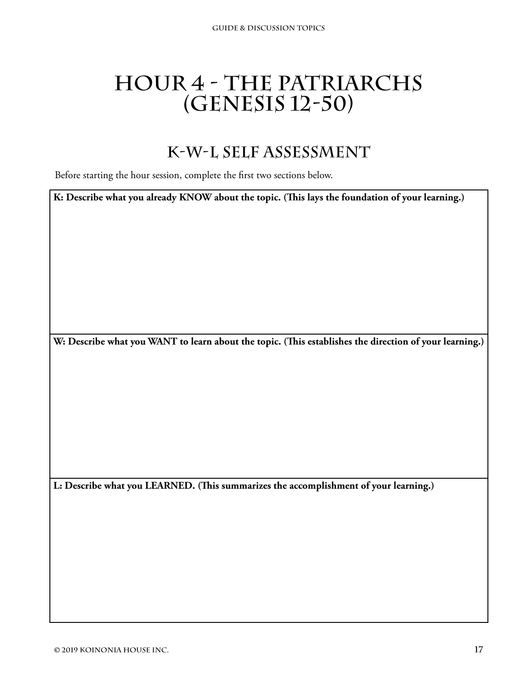# <span id="page-20-0"></span>**Hour 4 - The Patriarchs (Genesis 12-50)**

### **K-W-L Self Assessment**

Before starting the hour session, complete the first two sections below.

**K: Describe what you already KNOW about the topic. (This lays the foundation of your learning.)**

**W: Describe what you WANT to learn about the topic. (This establishes the direction of your learning.)**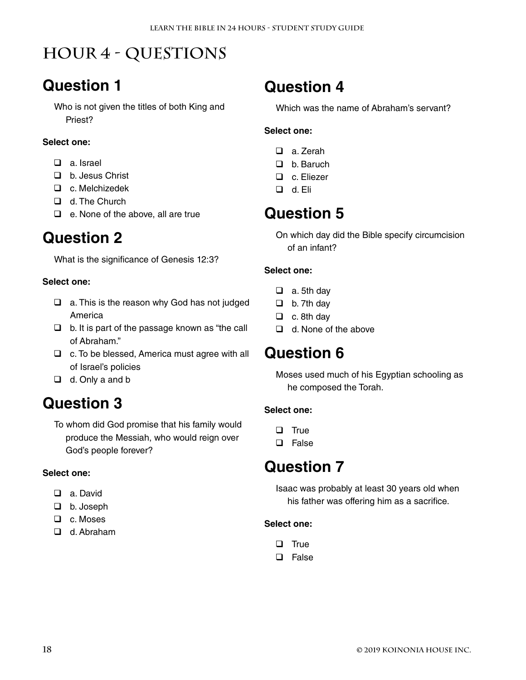# **Hour 4 - Questions**

### **Question 1**

Who is not given the titles of both King and Priest?

#### **Select one:**

- □ a. Israel
- □ b. Jesus Christ
- c. Melchizedek
- d. The Church
- $\Box$  e. None of the above, all are true

### **Question 2**

What is the significance of Genesis 12:3?

#### **Select one:**

- $\Box$  a. This is the reason why God has not judged America
- $\Box$  b. It is part of the passage known as "the call of Abraham."
- $\Box$  c. To be blessed, America must agree with all of Israel's policies
- $\Box$  d. Only a and b

### **Question 3**

To whom did God promise that his family would produce the Messiah, who would reign over God's people forever?

#### **Select one:**

- □ a. David
- □ b. Joseph
- □ c. Moses
- d. Abraham

### **Question 4**

Which was the name of Abraham's servant?

#### **Select one:**

- □ a. Zerah
- □ b. Baruch
- □ c. Eliezer
- d. Eli

### **Question 5**

On which day did the Bible specify circumcision of an infant?

#### **Select one:**

- $\Box$  a. 5th day
- $\Box$  b. 7th day
- $\Box$  c. 8th day
- $\Box$  d. None of the above

### **Question 6**

Moses used much of his Egyptian schooling as he composed the Torah.

#### **Select one:**

- $\Box$  True
- □ False

### **Question 7**

Isaac was probably at least 30 years old when his father was offering him as a sacrifice.

- $\Box$  True
- **Q** False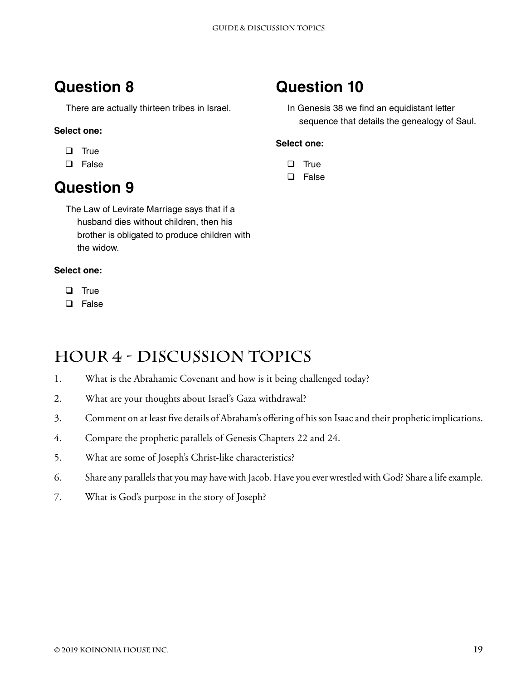There are actually thirteen tribes in Israel.

#### **Select one:**

- $\Box$  True
- **Q** False

### **Question 9**

The Law of Levirate Marriage says that if a husband dies without children, then his brother is obligated to produce children with the widow.

#### **Select one:**

- $\Box$  True
- **Q** False

### **Question 10**

In Genesis 38 we find an equidistant letter sequence that details the genealogy of Saul.

#### **Select one:**

- $\Box$  True
- □ False

## **Hour 4 - Discussion Topics**

- 1. What is the Abrahamic Covenant and how is it being challenged today?
- 2. What are your thoughts about Israel's Gaza withdrawal?
- 3. Comment on at least five details of Abraham's offering of his son Isaac and their prophetic implications.
- 4. Compare the prophetic parallels of Genesis Chapters 22 and 24.
- 5. What are some of Joseph's Christ-like characteristics?
- 6. Share any parallels that you may have with Jacob. Have you ever wrestled with God? Share a life example.
- 7. What is God's purpose in the story of Joseph?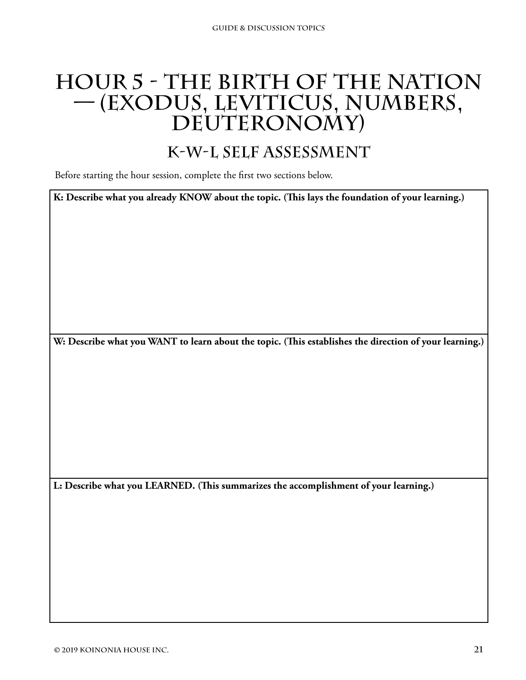# <span id="page-24-0"></span>**Hour 5 - The Birth of the Nation — (Exodus, Leviticus, Numbers,**   $DEUTERONOMY)$

### **K-W-L Self Assessment**

Before starting the hour session, complete the first two sections below.

**K: Describe what you already KNOW about the topic. (This lays the foundation of your learning.)**

**W: Describe what you WANT to learn about the topic. (This establishes the direction of your learning.)**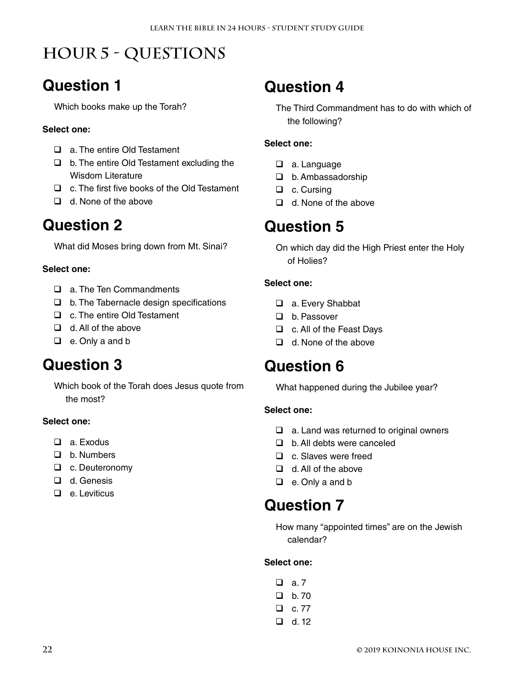# **Hour 5 - Questions**

### **Question 1**

Which books make up the Torah?

#### **Select one:**

- □ a. The entire Old Testament
- $\Box$  b. The entire Old Testament excluding the Wisdom Literature
- □ c. The first five books of the Old Testament
- $\Box$  d. None of the above

### **Question 2**

What did Moses bring down from Mt. Sinai?

#### **Select one:**

- □ a. The Ten Commandments
- $\Box$  b. The Tabernacle design specifications
- □ c. The entire Old Testament
- $\Box$  d. All of the above
- **Q** e. Only a and b

### **Question 3**

Which book of the Torah does Jesus quote from the most?

#### **Select one:**

- □ a. Exodus
- D b. Numbers
- □ c. Deuteronomy
- □ d. Genesis
- $\Box$  e. Leviticus

### **Question 4**

The Third Commandment has to do with which of the following?

#### **Select one:**

- □ a. Language
- □ b. Ambassadorship
- □ c. Cursing
- □ d. None of the above

### **Question 5**

On which day did the High Priest enter the Holy of Holies?

#### **Select one:**

- □ a. Every Shabbat
- □ b. Passover
- □ c. All of the Feast Days
- $\Box$  d. None of the above

### **Question 6**

What happened during the Jubilee year?

#### **Select one:**

- $\Box$  a. Land was returned to original owners
- □ b. All debts were canceled
- $\Box$  c. Slaves were freed
- $\Box$  d. All of the above
- □ e. Only a and b

### **Question 7**

How many "appointed times" are on the Jewish calendar?

| ப | a. 7  |
|---|-------|
| ப | b. 70 |
| ப | c. 77 |
| ப | d. 12 |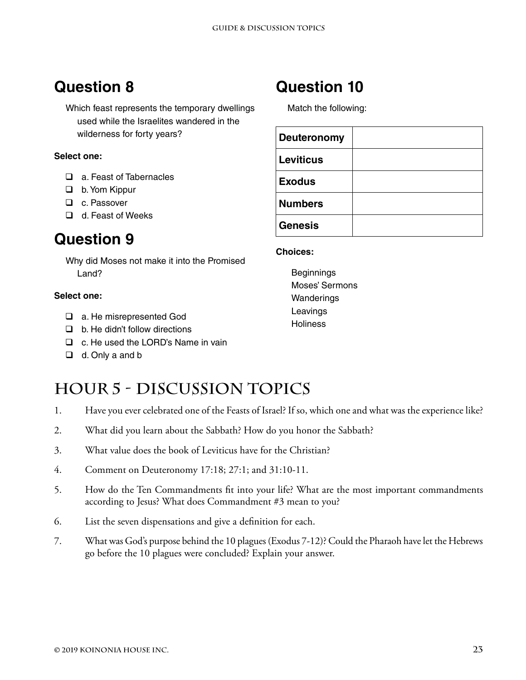Which feast represents the temporary dwellings used while the Israelites wandered in the wilderness for forty years?

#### **Select one:**

- a. Feast of Tabernacles
- □ b. Yom Kippur
- □ c. Passover
- $\Box$  d. Feast of Weeks

### **Question 9**

Why did Moses not make it into the Promised Land?

#### **Select one:**

- □ a. He misrepresented God
- $\Box$  b. He didn't follow directions
- □ c. He used the LORD's Name in vain
- $\Box$  d. Only a and b

### **Question 10**

Match the following:

| <b>Deuteronomy</b> |  |
|--------------------|--|
| Leviticus          |  |
| <b>Exodus</b>      |  |
| <b>Numbers</b>     |  |
| <b>Genesis</b>     |  |

#### **Choices:**

Beginnings Moses' Sermons **Wanderings** Leavings **Holiness** 

### **Hour 5 - Discussion Topics**

- 1. Have you ever celebrated one of the Feasts of Israel? If so, which one and what was the experience like?
- 2. What did you learn about the Sabbath? How do you honor the Sabbath?
- 3. What value does the book of Leviticus have for the Christian?
- 4. Comment on Deuteronomy 17:18; 27:1; and 31:10-11.
- 5. How do the Ten Commandments fit into your life? What are the most important commandments according to Jesus? What does Commandment #3 mean to you?
- 6. List the seven dispensations and give a definition for each.
- 7. What was God's purpose behind the 10 plagues (Exodus 7-12)? Could the Pharaoh have let the Hebrews go before the 10 plagues were concluded? Explain your answer.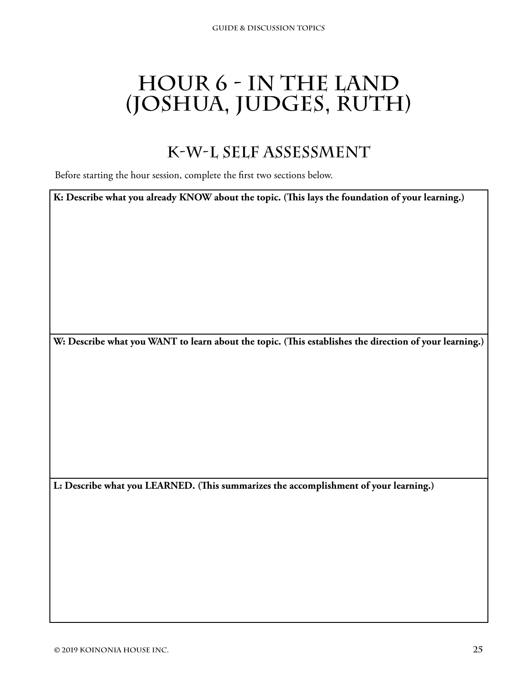# <span id="page-28-0"></span>**Hour 6 - In the Land (Joshua, Judges, Ruth)**

### **K-W-L Self Assessment**

Before starting the hour session, complete the first two sections below.

**K: Describe what you already KNOW about the topic. (This lays the foundation of your learning.)**

**W: Describe what you WANT to learn about the topic. (This establishes the direction of your learning.)**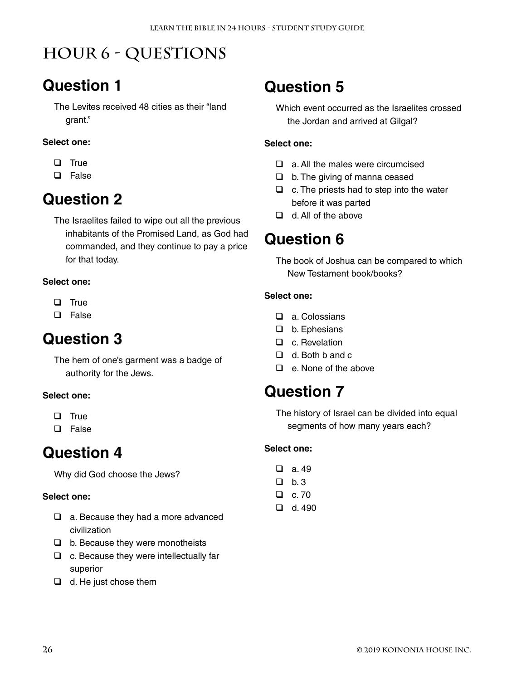# **Hour 6 - Questions**

### **Question 1**

The Levites received 48 cities as their "land grant."

#### **Select one:**

- $\Box$  True
- **Q** False

### **Question 2**

The Israelites failed to wipe out all the previous inhabitants of the Promised Land, as God had commanded, and they continue to pay a price for that today.

#### **Select one:**

- $\Box$  True
- **D** False

### **Question 3**

The hem of one's garment was a badge of authority for the Jews.

#### **Select one:**

- $\Box$  True
- D False

### **Question 4**

Why did God choose the Jews?

#### **Select one:**

- $\Box$  a. Because they had a more advanced civilization
- $\Box$  b. Because they were monotheists
- $\Box$  c. Because they were intellectually far superior
- $\Box$  d. He just chose them

### **Question 5**

Which event occurred as the Israelites crossed the Jordan and arrived at Gilgal?

#### **Select one:**

- a. All the males were circumcised
- $\Box$  b. The giving of manna ceased
- $\Box$  c. The priests had to step into the water before it was parted
- $\Box$  d. All of the above

### **Question 6**

The book of Joshua can be compared to which New Testament book/books?

#### **Select one:**

- a. Colossians
- $\Box$  b. Ephesians
- □ c. Revelation
- $\Box$  d. Both b and c
- $\Box$  e. None of the above

### **Question 7**

The history of Israel can be divided into equal segments of how many years each?

- $\Box$  b. 3
- $\Box$  c. 70  $\Box$  d. 490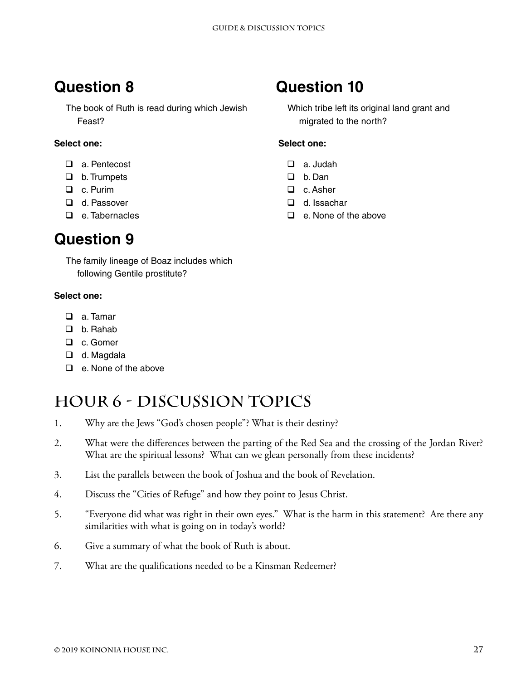The book of Ruth is read during which Jewish Feast?

#### **Select one:**

- a. Pentecost
- **D** b. Trumpets
- □ c. Purim
- □ d. Passover
- $\Box$  e. Tabernacles

### **Question 9**

The family lineage of Boaz includes which following Gentile prostitute?

#### **Select one:**

- □ a. Tamar
- b. Rahab
- □ c. Gomer
- □ d. Magdala
- $\Box$  e. None of the above

### **Hour 6 - Discussion Topics**

- 1. Why are the Jews "God's chosen people"? What is their destiny?
- 2. What were the differences between the parting of the Red Sea and the crossing of the Jordan River? What are the spiritual lessons? What can we glean personally from these incidents?
- 3. List the parallels between the book of Joshua and the book of Revelation.
- 4. Discuss the "Cities of Refuge" and how they point to Jesus Christ.
- 5. "Everyone did what was right in their own eyes." What is the harm in this statement? Are there any similarities with what is going on in today's world?
- 6. Give a summary of what the book of Ruth is about.
- 7. What are the qualifications needed to be a Kinsman Redeemer?

### **Question 10**

Which tribe left its original land grant and migrated to the north?

- a. Judah
- D. b. Dan
- □ c. Asher
- d. Issachar
- $\Box$  e. None of the above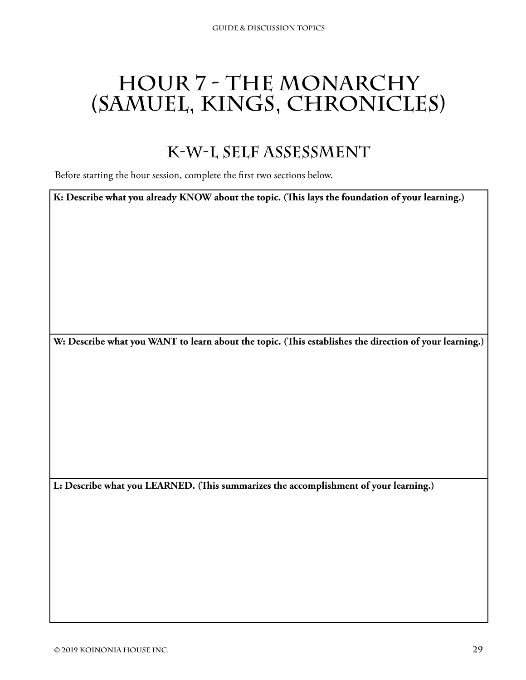# <span id="page-32-0"></span>**Hour 7 - The Monarchy (Samuel, Kings, Chronicles)**

### **K-W-L Self Assessment**

Before starting the hour session, complete the first two sections below.

**K: Describe what you already KNOW about the topic. (This lays the foundation of your learning.)**

**W: Describe what you WANT to learn about the topic. (This establishes the direction of your learning.)**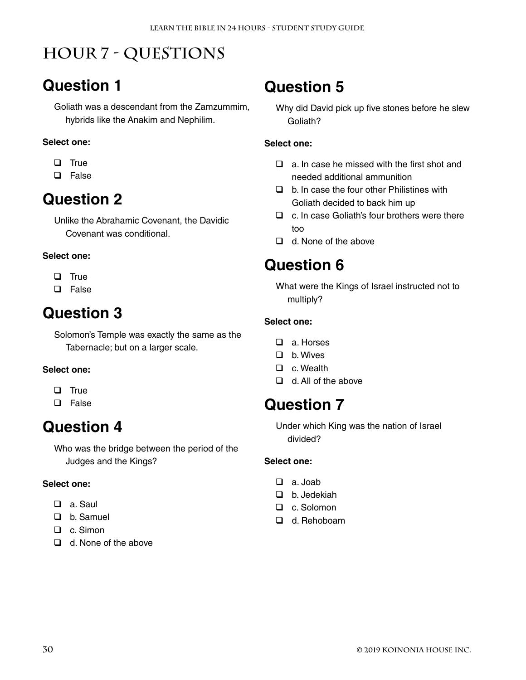# **Hour 7 - Questions**

### **Question 1**

Goliath was a descendant from the Zamzummim, hybrids like the Anakim and Nephilim.

#### **Select one:**

- $\Box$  True
- **Q** False

### **Question 2**

Unlike the Abrahamic Covenant, the Davidic Covenant was conditional.

#### **Select one:**

- $\Box$  True
- **Q** False

### **Question 3**

Solomon's Temple was exactly the same as the Tabernacle; but on a larger scale.

#### **Select one:**

- $\Box$  True
- □ False

### **Question 4**

Who was the bridge between the period of the Judges and the Kings?

#### **Select one:**

- a. Saul
- D b. Samuel
- □ c. Simon
- $\Box$  d. None of the above

### **Question 5**

Why did David pick up five stones before he slew Goliath?

#### **Select one:**

- $\Box$  a. In case he missed with the first shot and needed additional ammunition
- $\Box$  b. In case the four other Philistines with Goliath decided to back him up
- $\Box$  c. In case Goliath's four brothers were there too
- $\Box$  d. None of the above

### **Question 6**

What were the Kings of Israel instructed not to multiply?

#### **Select one:**

- a. Horses
- □ b. Wives
- □ c. Wealth
- $\Box$  d. All of the above

### **Question 7**

Under which King was the nation of Israel divided?

- a. Joab
- □ b. Jedekiah
- □ c. Solomon
- □ d. Rehoboam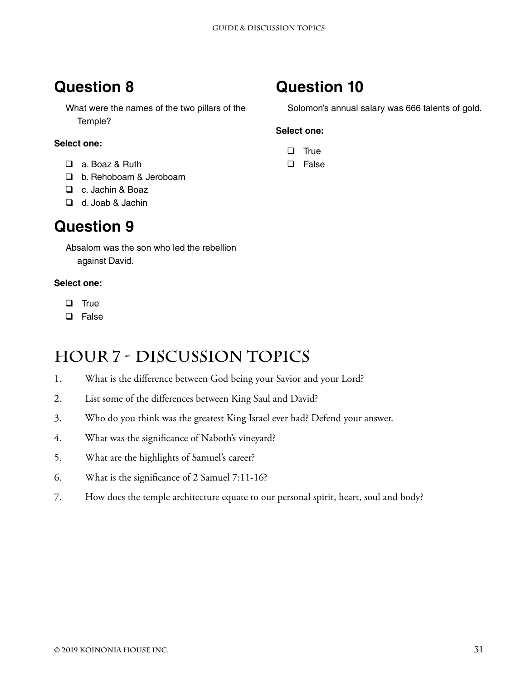What were the names of the two pillars of the Temple?

#### **Select one:**

- □ a. Boaz & Ruth
- □ b. Rehoboam & Jeroboam
- c. Jachin & Boaz
- d. Joab & Jachin

### **Question 9**

Absalom was the son who led the rebellion against David.

#### **Select one:**

- $\Box$  True
- **Q** False

### **Hour 7 - Discussion Topics**

- 1. What is the difference between God being your Savior and your Lord?
- 2. List some of the differences between King Saul and David?
- 3. Who do you think was the greatest King Israel ever had? Defend your answer.
- 4. What was the significance of Naboth's vineyard?
- 5. What are the highlights of Samuel's career?
- 6. What is the significance of 2 Samuel 7:11-16?
- 7. How does the temple architecture equate to our personal spirit, heart, soul and body?

### **Question 10**

Solomon's annual salary was 666 talents of gold.

- $\Box$  True
- **Q** False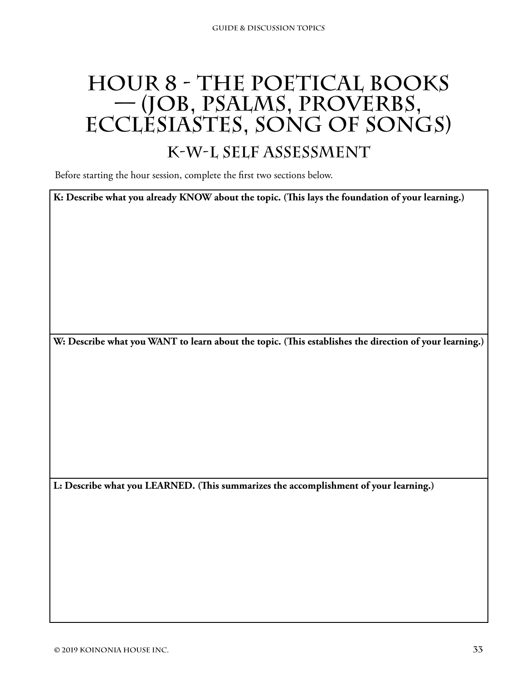# **HOUR 8 - THE POETICAL BOOKS — (Job, Psalms, Proverbs, Ecclesiastes, Song of Songs)**

### **K-W-L Self Assessment**

Before starting the hour session, complete the first two sections below.

**K: Describe what you already KNOW about the topic. (This lays the foundation of your learning.)**

**W: Describe what you WANT to learn about the topic. (This establishes the direction of your learning.)**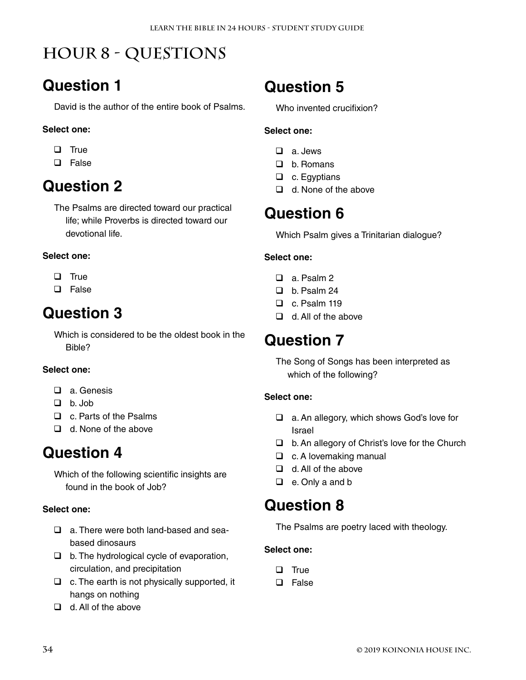# **Hour 8 - Questions**

### **Question 1**

David is the author of the entire book of Psalms.

#### **Select one:**

- $\Box$  True
- □ False

# **Question 2**

The Psalms are directed toward our practical life; while Proverbs is directed toward our devotional life.

#### **Select one:**

- $\Box$  True
- **Q** False

### **Question 3**

Which is considered to be the oldest book in the Bible?

#### **Select one:**

- $\Box$  a Genesis
- $\Box$  b. Job
- □ c. Parts of the Psalms
- $\Box$  d. None of the above

### **Question 4**

Which of the following scientific insights are found in the book of Job?

#### **Select one:**

- a. There were both land-based and seabased dinosaurs
- $\Box$  b. The hydrological cycle of evaporation, circulation, and precipitation
- $\Box$  c. The earth is not physically supported, it hangs on nothing
- $\Box$  d. All of the above

# **Question 5**

Who invented crucifixion?

#### **Select one:**

- a. Jews
- □ b. Romans
- $\Box$  c. Egyptians
- $\Box$  d. None of the above

### **Question 6**

Which Psalm gives a Trinitarian dialogue?

#### **Select one:**

- a. Psalm 2
- D b. Psalm 24
- $\Box$  c. Psalm 119
- $\Box$  d. All of the above

### **Question 7**

The Song of Songs has been interpreted as which of the following?

#### **Select one:**

- □ a. An allegory, which shows God's love for Israel
- $\Box$  b. An allegory of Christ's love for the Church
- $\Box$  c. A lovemaking manual
- $\Box$  d. All of the above
- □ e. Only a and b

### **Question 8**

The Psalms are poetry laced with theology.

- $\Box$  True
- □ False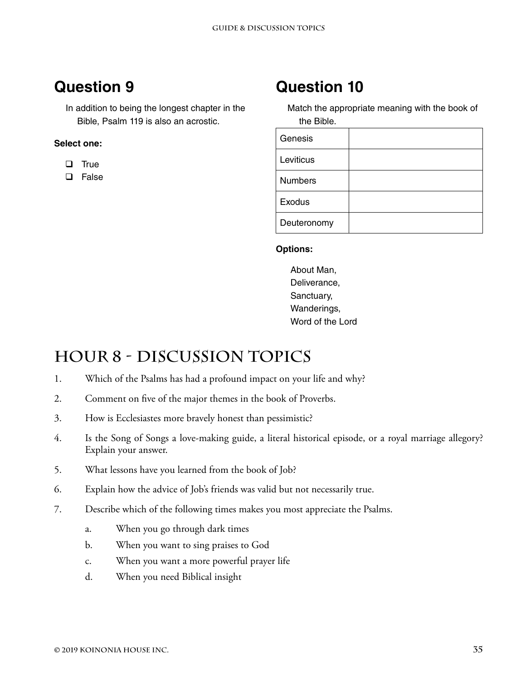In addition to being the longest chapter in the Bible, Psalm 119 is also an acrostic.

#### **Select one:**

- $\Box$  True
- □ False

### **Question 10**

Match the appropriate meaning with the book of the Bible.

| Genesis        |  |
|----------------|--|
| Leviticus      |  |
| <b>Numbers</b> |  |
| Exodus         |  |
| Deuteronomy    |  |

#### **Options:**

About Man, Deliverance, Sanctuary, Wanderings, Word of the Lord

### **Hour 8 - Discussion Topics**

- 1. Which of the Psalms has had a profound impact on your life and why?
- 2. Comment on five of the major themes in the book of Proverbs.
- 3. How is Ecclesiastes more bravely honest than pessimistic?
- 4. Is the Song of Songs a love-making guide, a literal historical episode, or a royal marriage allegory? Explain your answer.
- 5. What lessons have you learned from the book of Job?
- 6. Explain how the advice of Job's friends was valid but not necessarily true.
- 7. Describe which of the following times makes you most appreciate the Psalms.
	- a. When you go through dark times
	- b. When you want to sing praises to God
	- c. When you want a more powerful prayer life
	- d. When you need Biblical insight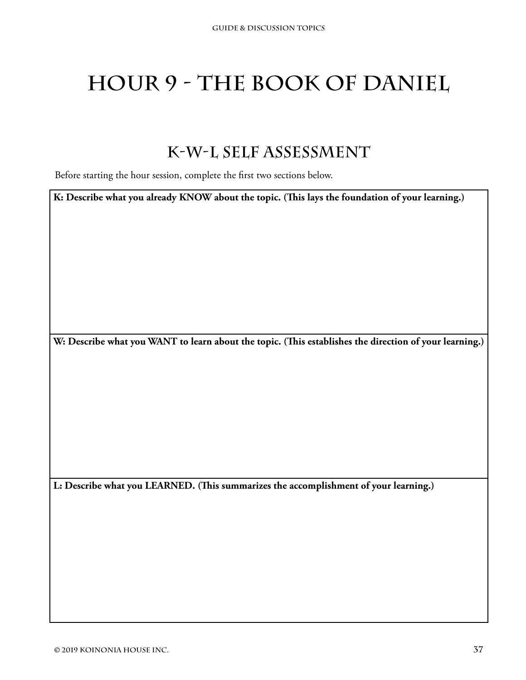# **Hour 9 - The Book of Daniel**

### **K-W-L Self Assessment**

Before starting the hour session, complete the first two sections below.

**K: Describe what you already KNOW about the topic. (This lays the foundation of your learning.)**

**W: Describe what you WANT to learn about the topic. (This establishes the direction of your learning.)**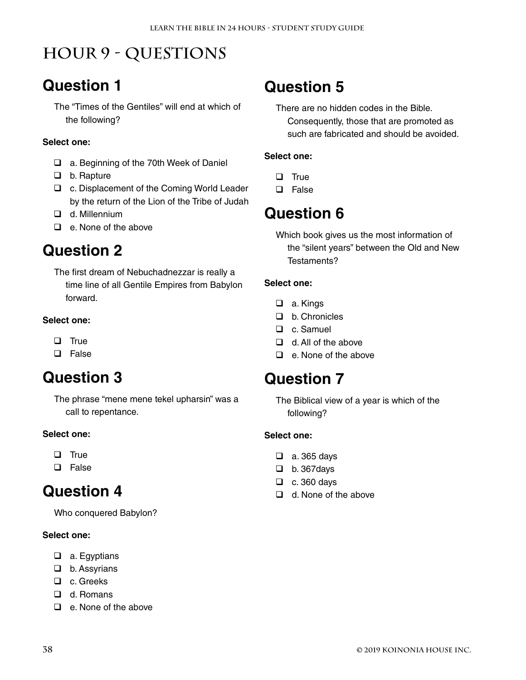# **Hour 9 - Questions**

# **Question 1**

The "Times of the Gentiles" will end at which of the following?

#### **Select one:**

- □ a. Beginning of the 70th Week of Daniel
- □ b. Rapture
- □ c. Displacement of the Coming World Leader by the return of the Lion of the Tribe of Judah
- d. Millennium
- $\Box$  e. None of the above

### **Question 2**

The first dream of Nebuchadnezzar is really a time line of all Gentile Empires from Babylon forward.

#### **Select one:**

- $\Box$  True
- **D** False

### **Question 3**

The phrase "mene mene tekel upharsin" was a call to repentance.

#### **Select one:**

- $\Box$  True
- □ False

### **Question 4**

Who conquered Babylon?

#### **Select one:**

- □ a. Egyptians
- □ b. Assyrians
- □ c. Greeks
- □ d. Romans
- $\Box$  e. None of the above

### **Question 5**

There are no hidden codes in the Bible. Consequently, those that are promoted as such are fabricated and should be avoided.

#### **Select one:**

- $\Box$  True
- **Q** False

### **Question 6**

Which book gives us the most information of the "silent years" between the Old and New Testaments?

#### **Select one:**

- □ a. Kings
- D b. Chronicles
- □ c. Samuel
- $\Box$  d. All of the above
- $\Box$  e. None of the above

### **Question 7**

The Biblical view of a year is which of the following?

- a. 365 days
- $\Box$  b. 367 days
- $\Box$  c. 360 days
- $\Box$  d. None of the above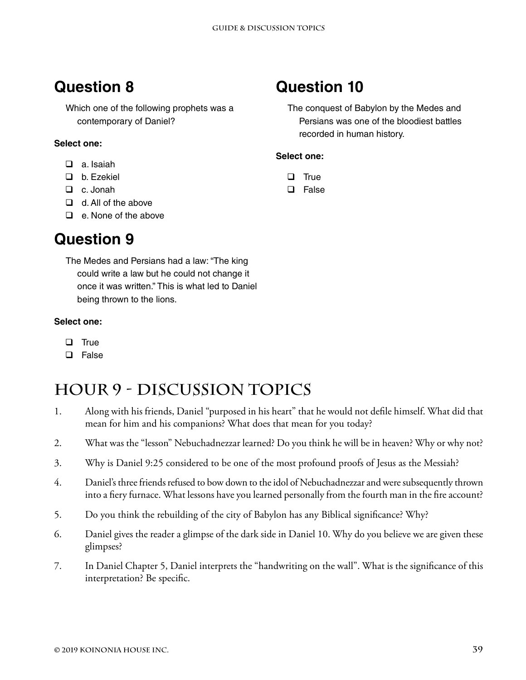Which one of the following prophets was a contemporary of Daniel?

#### **Select one:**

- $\Box$  a. Isaiah
- □ b. Ezekiel
- □ c. Jonah
- $\Box$  d. All of the above
- $\Box$  e. None of the above

### **Question 9**

The Medes and Persians had a law: "The king could write a law but he could not change it once it was written." This is what led to Daniel being thrown to the lions.

#### **Select one:**

- $\Box$  True
- **Q** False

# **Hour 9 - Discussion Topics**

- 1. Along with his friends, Daniel "purposed in his heart" that he would not defile himself. What did that mean for him and his companions? What does that mean for you today?
- 2. What was the "lesson" Nebuchadnezzar learned? Do you think he will be in heaven? Why or why not?
- 3. Why is Daniel 9:25 considered to be one of the most profound proofs of Jesus as the Messiah?
- 4. Daniel's three friends refused to bow down to the idol of Nebuchadnezzar and were subsequently thrown into a fiery furnace. What lessons have you learned personally from the fourth man in the fire account?
- 5. Do you think the rebuilding of the city of Babylon has any Biblical significance? Why?
- 6. Daniel gives the reader a glimpse of the dark side in Daniel 10. Why do you believe we are given these glimpses?
- 7. In Daniel Chapter 5, Daniel interprets the "handwriting on the wall". What is the significance of this interpretation? Be specific.

### **Question 10**

The conquest of Babylon by the Medes and Persians was one of the bloodiest battles recorded in human history.

- $\Box$  True
- **Q** False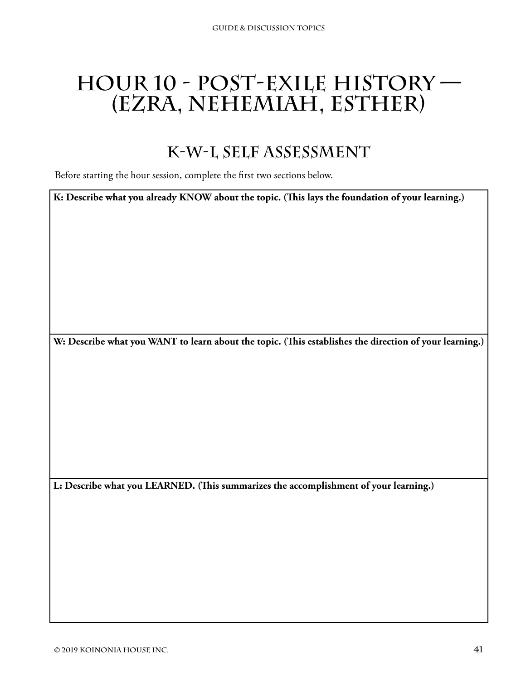# **Hour 10 - Post-Exile History — (Ezra, Nehemiah, Esther)**

### **K-W-L Self Assessment**

Before starting the hour session, complete the first two sections below.

**K: Describe what you already KNOW about the topic. (This lays the foundation of your learning.)**

**W: Describe what you WANT to learn about the topic. (This establishes the direction of your learning.)**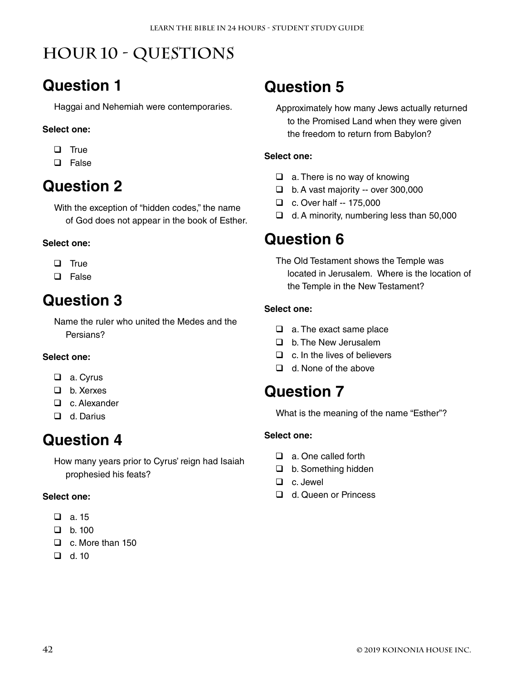# **Hour 10 - Questions**

### **Question 1**

Haggai and Nehemiah were contemporaries.

#### **Select one:**

- $\Box$  True
- □ False

# **Question 2**

With the exception of "hidden codes," the name of God does not appear in the book of Esther.

#### **Select one:**

- $\Box$  True
- **D** False

# **Question 3**

Name the ruler who united the Medes and the Persians?

#### **Select one:**

- □ a. Cyrus
- □ b. Xerxes
- □ c. Alexander
- □ d. Darius

### **Question 4**

How many years prior to Cyrus' reign had Isaiah prophesied his feats?

#### **Select one:**

- $\Box$  a. 15
- $\Box$  b. 100
- □ c. More than 150
- $\Box$  d. 10

### **Question 5**

Approximately how many Jews actually returned to the Promised Land when they were given the freedom to return from Babylon?

#### **Select one:**

- $\Box$  a. There is no way of knowing
- $\Box$  b. A vast majority -- over 300,000
- □ c. Over half -- 175,000
- $\Box$  d. A minority, numbering less than 50,000

### **Question 6**

The Old Testament shows the Temple was located in Jerusalem. Where is the location of the Temple in the New Testament?

#### **Select one:**

- a. The exact same place
- □ b. The New Jerusalem
- $\Box$  c. In the lives of believers
- $\Box$  d. None of the above

### **Question 7**

What is the meaning of the name "Esther"?

- □ a. One called forth
- □ b. Something hidden
- □ c. Jewel
- □ d. Queen or Princess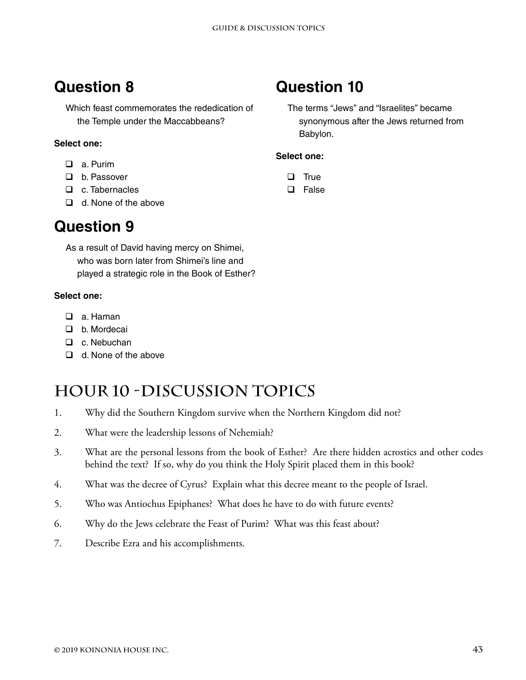Which feast commemorates the rededication of the Temple under the Maccabbeans?

#### **Select one:**

- a. Purim
- □ b. Passover
- □ c. Tabernacles
- $\Box$  d. None of the above

### **Question 9**

As a result of David having mercy on Shimei, who was born later from Shimei's line and played a strategic role in the Book of Esther?

#### **Select one:**

- □ a. Haman
- D b. Mordecai
- □ c. Nebuchan
- $\Box$  d. None of the above

### **Hour 10 -Discussion Topics**

- 1. Why did the Southern Kingdom survive when the Northern Kingdom did not?
- 2. What were the leadership lessons of Nehemiah?
- 3. What are the personal lessons from the book of Esther? Are there hidden acrostics and other codes behind the text? If so, why do you think the Holy Spirit placed them in this book?
- 4. What was the decree of Cyrus? Explain what this decree meant to the people of Israel.
- 5. Who was Antiochus Epiphanes? What does he have to do with future events?
- 6. Why do the Jews celebrate the Feast of Purim? What was this feast about?
- 7. Describe Ezra and his accomplishments.

### **Question 10**

The terms "Jews" and "Israelites" became synonymous after the Jews returned from Babylon.

- $\Box$  True
- **Q** False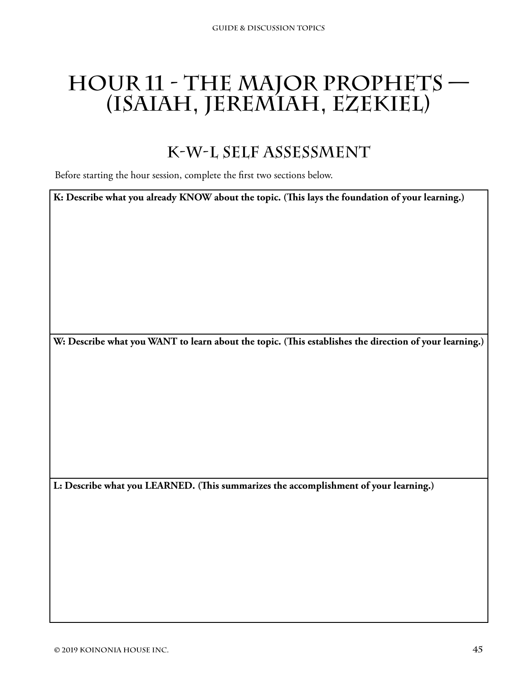# **Hour 11 - The Major Prophets — (Isaiah, Jeremiah, Ezekiel)**

### **K-W-L Self Assessment**

Before starting the hour session, complete the first two sections below.

**K: Describe what you already KNOW about the topic. (This lays the foundation of your learning.)**

**W: Describe what you WANT to learn about the topic. (This establishes the direction of your learning.)**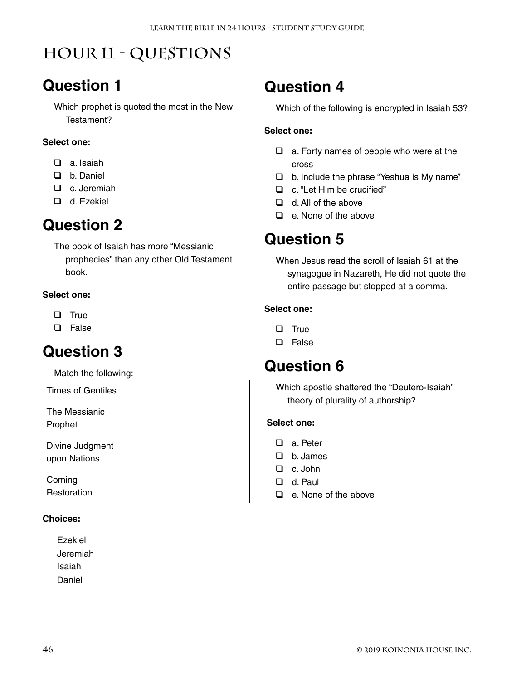# **Hour 11 - Questions**

### **Question 1**

Which prophet is quoted the most in the New Testament?

#### **Select one:**

- $\Box$  a. Isaiah
- D b. Daniel
- □ c. Jeremiah
- □ d. Ezekiel

### **Question 2**

The book of Isaiah has more "Messianic prophecies" than any other Old Testament book.

#### **Select one:**

- $\Box$  True
- **Q** False

### **Question 3**

Match the following:

| Times of Gentiles               |  |
|---------------------------------|--|
| The Messianic<br>Prophet        |  |
| Divine Judgment<br>upon Nations |  |
| Coming<br>Restoration           |  |

#### **Choices:**

Ezekiel Jeremiah Isaiah Daniel

### **Question 4**

Which of the following is encrypted in Isaiah 53?

#### **Select one:**

- $\Box$  a. Forty names of people who were at the cross
- $\Box$  b. Include the phrase "Yeshua is My name"
- □ c. "Let Him be crucified"
- $\Box$  d. All of the above
- $\Box$  e. None of the above

### **Question 5**

When Jesus read the scroll of Isaiah 61 at the synagogue in Nazareth, He did not quote the entire passage but stopped at a comma.

#### **Select one:**

- $\Box$  True
- **D** False

### **Question 6**

Which apostle shattered the "Deutero-Isaiah" theory of plurality of authorship?

- □ a Peter
- $\Box$  b. James
- $\Box$  c. John
- d. Paul
- $\Box$  e. None of the above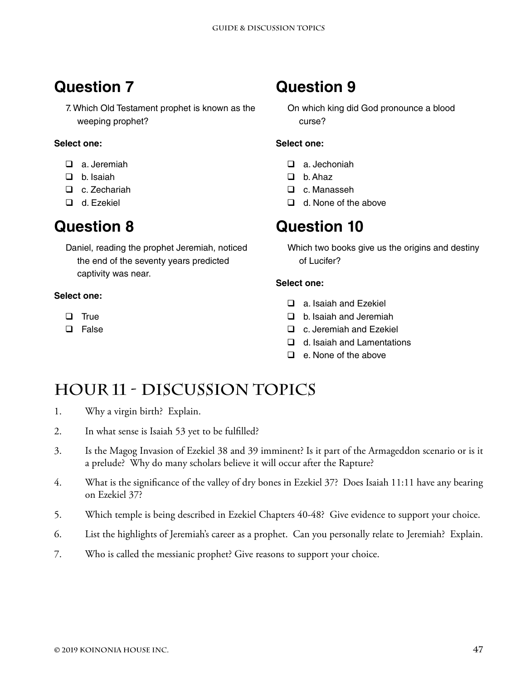7. Which Old Testament prophet is known as the weeping prophet?

#### **Select one:**

- a. Jeremiah
- $\Box$  b. Isaiah
- □ c. Zechariah
- □ d. Ezekiel

### **Question 8**

Daniel, reading the prophet Jeremiah, noticed the end of the seventy years predicted captivity was near.

#### **Select one:**

- $\Box$  True
- **Q** False

### **Question 9**

On which king did God pronounce a blood curse?

#### **Select one:**

- a. Jechoniah
- $\Box$  b. Ahaz
- □ c. Manasseh
- d. None of the above

### **Question 10**

Which two books give us the origins and destiny of Lucifer?

#### **Select one:**

- □ a. Isaiah and Ezekiel
- $\Box$  b. Isaiah and Jeremiah
- □ c. Jeremiah and Ezekiel
- $\Box$  d. Isaiah and Lamentations
- $\Box$  e. None of the above

### **Hour 11 - Discussion Topics**

- 1. Why a virgin birth? Explain.
- 2. In what sense is Isaiah 53 yet to be fulfilled?
- 3. Is the Magog Invasion of Ezekiel 38 and 39 imminent? Is it part of the Armageddon scenario or is it a prelude? Why do many scholars believe it will occur after the Rapture?
- 4. What is the significance of the valley of dry bones in Ezekiel 37? Does Isaiah 11:11 have any bearing on Ezekiel 37?
- 5. Which temple is being described in Ezekiel Chapters 40-48? Give evidence to support your choice.
- 6. List the highlights of Jeremiah's career as a prophet. Can you personally relate to Jeremiah? Explain.
- 7. Who is called the messianic prophet? Give reasons to support your choice.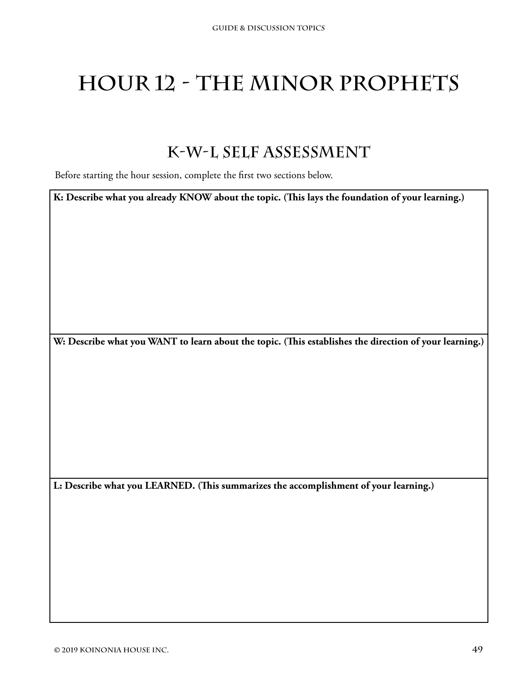# **Hour 12 - The Minor Prophets**

### **K-W-L Self Assessment**

Before starting the hour session, complete the first two sections below.

**K: Describe what you already KNOW about the topic. (This lays the foundation of your learning.)**

**W: Describe what you WANT to learn about the topic. (This establishes the direction of your learning.)**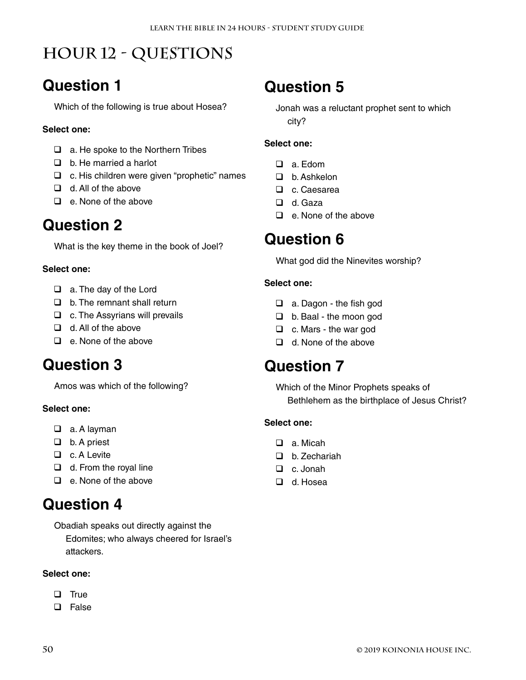# **Hour 12 - Questions**

### **Question 1**

Which of the following is true about Hosea?

#### **Select one:**

- $\Box$  a. He spoke to the Northern Tribes
- $\Box$  b. He married a harlot
- $\Box$  c. His children were given "prophetic" names
- $\Box$  d. All of the above
- $\Box$  e. None of the above

### **Question 2**

What is the key theme in the book of Joel?

#### **Select one:**

- $\Box$  a. The day of the Lord
- $\Box$  b. The remnant shall return
- $\Box$  c. The Assyrians will prevails
- $\Box$  d. All of the above
- $\Box$  e. None of the above

### **Question 3**

Amos was which of the following?

#### **Select one:**

- □ a. A layman
- $\Box$  b. A priest
- □ c. A Levite
- $\Box$  d. From the royal line
- $\Box$  e. None of the above

### **Question 4**

Obadiah speaks out directly against the Edomites; who always cheered for Israel's attackers.

#### **Select one:**

- $\Box$  True
- □ False

# **Question 5**

Jonah was a reluctant prophet sent to which city?

#### **Select one:**

- a. Edom
- □ b. Ashkelon
- D c. Caesarea
- □ d. Gaza
- $\Box$  e. None of the above

### **Question 6**

What god did the Ninevites worship?

#### **Select one:**

- □ a. Dagon the fish god
- □ b. Baal the moon god
- $\Box$  c. Mars the war god
- $\Box$  d. None of the above

### **Question 7**

Which of the Minor Prophets speaks of Bethlehem as the birthplace of Jesus Christ?

- $\Box$  a Micah
- □ h Zechariah
- □ c. Jonah
- d. Hosea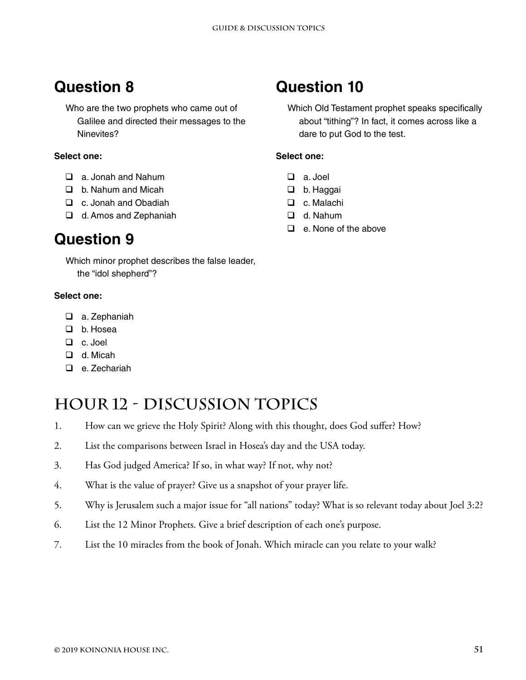Who are the two prophets who came out of Galilee and directed their messages to the Ninevites?

#### **Select one:**

- a. Jonah and Nahum
- **D** b. Nahum and Micah
- □ c. Jonah and Obadiah
- □ d. Amos and Zephaniah

### **Question 9**

Which minor prophet describes the false leader, the "idol shepherd"?

#### **Select one:**

- a. Zephaniah
- b. Hosea
- c. Joel
- d. Micah
- □ e. Zechariah

### **Hour 12 - Discussion Topics**

- 1. How can we grieve the Holy Spirit? Along with this thought, does God suffer? How?
- 2. List the comparisons between Israel in Hosea's day and the USA today.
- 3. Has God judged America? If so, in what way? If not, why not?
- 4. What is the value of prayer? Give us a snapshot of your prayer life.
- 5. Why is Jerusalem such a major issue for "all nations" today? What is so relevant today about Joel 3:2?
- 6. List the 12 Minor Prophets. Give a brief description of each one's purpose.
- 7. List the 10 miracles from the book of Jonah. Which miracle can you relate to your walk?

### **Question 10**

Which Old Testament prophet speaks specifically about "tithing"? In fact, it comes across like a dare to put God to the test.

- a. Joel
- □ b. Haggai
- □ c. Malachi
- d. Nahum
- □ e. None of the above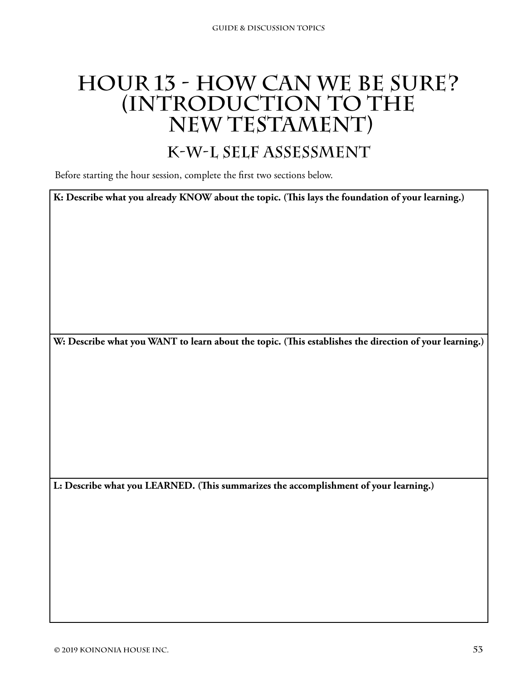# **Hour 13 - How Can We Be Sure? (Introduction to the New Testament)**

### **K-W-L Self Assessment**

Before starting the hour session, complete the first two sections below.

**K: Describe what you already KNOW about the topic. (This lays the foundation of your learning.)**

**W: Describe what you WANT to learn about the topic. (This establishes the direction of your learning.)**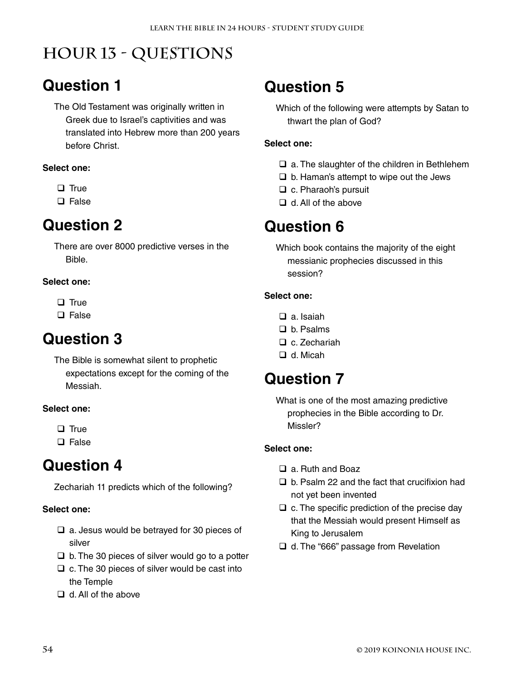# **Hour 13 - Questions**

### **Question 1**

The Old Testament was originally written in Greek due to Israel's captivities and was translated into Hebrew more than 200 years before Christ.

#### **Select one:**

- $\Box$  True
- **Q** False

### **Question 2**

There are over 8000 predictive verses in the Bible.

#### **Select one:**

- $\Box$  True
- □ False

### **Question 3**

The Bible is somewhat silent to prophetic expectations except for the coming of the Messiah.

#### **Select one:**

 $\Box$  True

 $\square$  False

### **Question 4**

Zechariah 11 predicts which of the following?

#### **Select one:**

- $\Box$  a. Jesus would be betrayed for 30 pieces of silver
- $\Box$  b. The 30 pieces of silver would go to a potter
- $\Box$  c. The 30 pieces of silver would be cast into the Temple
- $\Box$  d. All of the above

### **Question 5**

Which of the following were attempts by Satan to thwart the plan of God?

#### **Select one:**

- $\Box$  a. The slaughter of the children in Bethlehem
- $\Box$  b. Haman's attempt to wipe out the Jews
- $\Box$  c. Pharaoh's pursuit
- $\Box$  d. All of the above

### **Question 6**

Which book contains the majority of the eight messianic prophecies discussed in this session?

#### **Select one:**

- □ a. Isaiah
- □ b. Psalms
- $\Box$  c. Zechariah
- □ d. Micah

### **Question 7**

What is one of the most amazing predictive prophecies in the Bible according to Dr. Missler?

- □ a. Ruth and Boaz
- $\Box$  b. Psalm 22 and the fact that crucifixion had not yet been invented
- $\Box$  c. The specific prediction of the precise day that the Messiah would present Himself as King to Jerusalem
- □ d. The "666" passage from Revelation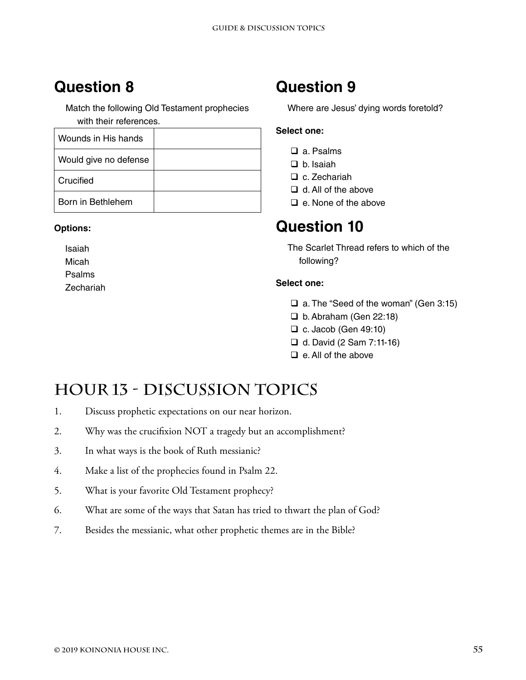Match the following Old Testament prophecies with their references.

| Wounds in His hands   |  |
|-----------------------|--|
| Would give no defense |  |
| Crucified             |  |
| Born in Bethlehem     |  |

#### **Options:**

Isaiah Micah Psalms Zechariah

### **Question 9**

Where are Jesus' dying words foretold?

#### **Select one:**

- □ a. Psalms
- $\Box$  b. Isaiah
- □ c. Zechariah
- $\Box$  d. All of the above
- $\Box$  e. None of the above

### **Question 10**

The Scarlet Thread refers to which of the following?

#### **Select one:**

- $\Box$  a. The "Seed of the woman" (Gen 3:15)
- $\Box$  b. Abraham (Gen 22:18)
- $\Box$  c. Jacob (Gen 49:10)
- $\Box$  d. David (2 Sam 7:11-16)
- $\Box$  e. All of the above

# **Hour 13 - Discussion Topics**

- 1. Discuss prophetic expectations on our near horizon.
- 2. Why was the crucifixion NOT a tragedy but an accomplishment?
- 3. In what ways is the book of Ruth messianic?
- 4. Make a list of the prophecies found in Psalm 22.
- 5. What is your favorite Old Testament prophecy?
- 6. What are some of the ways that Satan has tried to thwart the plan of God?
- 7. Besides the messianic, what other prophetic themes are in the Bible?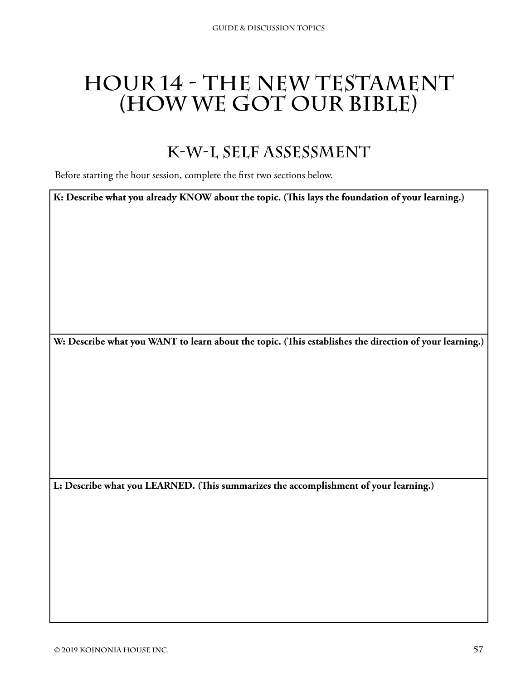# **Hour 14 - The New Testament (How We Got Our Bible)**

### **K-W-L Self Assessment**

Before starting the hour session, complete the first two sections below.

**K: Describe what you already KNOW about the topic. (This lays the foundation of your learning.)**

**W: Describe what you WANT to learn about the topic. (This establishes the direction of your learning.)**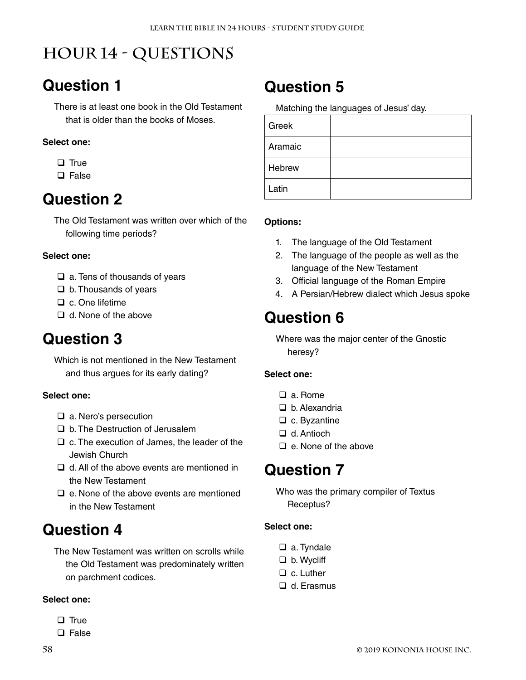# **Hour 14 - Questions**

### **Question 1**

There is at least one book in the Old Testament that is older than the books of Moses.

#### **Select one:**

- $\Box$  True
- □ False

### **Question 2**

The Old Testament was written over which of the following time periods?

#### **Select one:**

- $\Box$  a. Tens of thousands of years
- $\Box$  b. Thousands of years
- $\Box$  c. One lifetime
- $\Box$  d. None of the above

### **Question 3**

Which is not mentioned in the New Testament and thus argues for its early dating?

#### **Select one:**

- □ a. Nero's persecution
- □ b. The Destruction of Jerusalem
- $\Box$  c. The execution of James, the leader of the Jewish Church
- $\Box$  d. All of the above events are mentioned in the New Testament
- $\Box$  e. None of the above events are mentioned in the New Testament

### **Question 4**

The New Testament was written on scrolls while the Old Testament was predominately written on parchment codices.

#### **Select one:**

- $\Box$  True
- $\square$  False

### **Question 5**

Matching the languages of Jesus' day.

| Greek   |  |
|---------|--|
| Aramaic |  |
| Hebrew  |  |
| Latin   |  |

#### **Options:**

- 1. The language of the Old Testament
- 2. The language of the people as well as the language of the New Testament
- 3. Official language of the Roman Empire
- 4. A Persian/Hebrew dialect which Jesus spoke

### **Question 6**

Where was the major center of the Gnostic heresy?

#### **Select one:**

- a. Rome
- $\Box$  b. Alexandria
- $\Box$  c. Byzantine
- □ d. Antioch
- $\Box$  e. None of the above

### **Question 7**

Who was the primary compiler of Textus Receptus?

- □ a. Tyndale
- □ b. Wycliff
- □ c. Luther
- □ d. Erasmus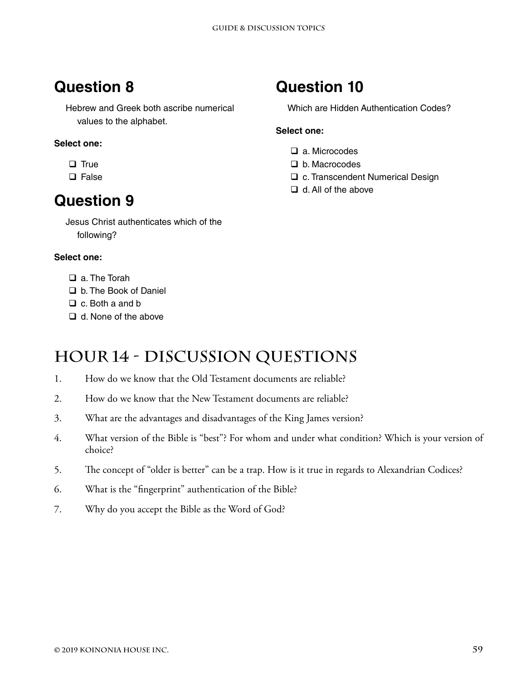Hebrew and Greek both ascribe numerical values to the alphabet.

#### **Select one:**

- $\Box$  True
- $\Box$  False

### **Question 9**

Jesus Christ authenticates which of the following?

#### **Select one:**

- □ a. The Torah
- b. The Book of Daniel
- $\Box$  c. Both a and b
- $\Box$  d. None of the above

### **Hour 14 - Discussion Questions**

- 1. How do we know that the Old Testament documents are reliable?
- 2. How do we know that the New Testament documents are reliable?
- 3. What are the advantages and disadvantages of the King James version?
- 4. What version of the Bible is "best"? For whom and under what condition? Which is your version of choice?
- 5. The concept of "older is better" can be a trap. How is it true in regards to Alexandrian Codices?
- 6. What is the "fingerprint" authentication of the Bible?
- 7. Why do you accept the Bible as the Word of God?

# **Question 10**

Which are Hidden Authentication Codes?

- □ a. Microcodes
- b. Macrocodes
- □ c. Transcendent Numerical Design
- $\Box$  d. All of the above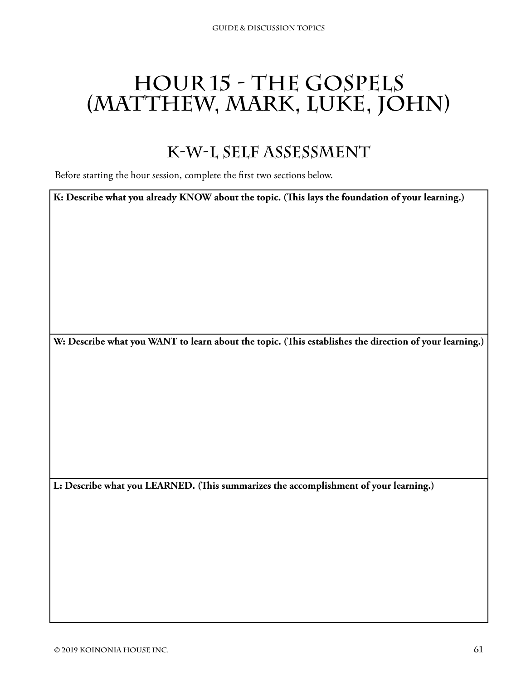# **Hour 15 - The Gospels (Matthew, Mark, Luke, John)**

### **K-W-L Self Assessment**

Before starting the hour session, complete the first two sections below.

**K: Describe what you already KNOW about the topic. (This lays the foundation of your learning.)**

**W: Describe what you WANT to learn about the topic. (This establishes the direction of your learning.)**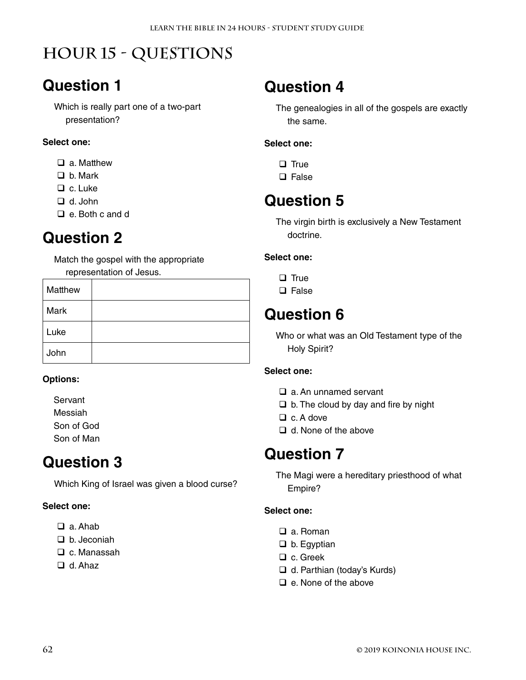# **Hour 15 - Questions**

# **Question 1**

Which is really part one of a two-part presentation?

#### **Select one:**

- □ a. Matthew
- □ b. Mark
- □ c. Luke
- d. John
- e. Both c and d

# **Question 2**

Match the gospel with the appropriate representation of Jesus.

| Matthew |  |
|---------|--|
| Mark    |  |
| Luke    |  |
| John    |  |

#### **Options:**

Servant Messiah Son of God Son of Man

### **Question 3**

Which King of Israel was given a blood curse?

#### **Select one:**

- a. Ahab
- $\Box$  b. Jeconiah
- □ c. Manassah
- d. Ahaz

### **Question 4**

The genealogies in all of the gospels are exactly the same.

#### **Select one:**

- $\Box$  True
- $\square$  False

### **Question 5**

The virgin birth is exclusively a New Testament doctrine.

#### **Select one:**

- $\Box$  True
- □ False

### **Question 6**

Who or what was an Old Testament type of the Holy Spirit?

#### **Select one:**

- □ a. An unnamed servant
- $\Box$  b. The cloud by day and fire by night
- $\Box$  c. A dove
- □ d. None of the above

### **Question 7**

The Magi were a hereditary priesthood of what Empire?

- □ a. Roman
- $\Box$  b. Egyptian
- □ c. Greek
- □ d. Parthian (today's Kurds)
- $\Box$  e. None of the above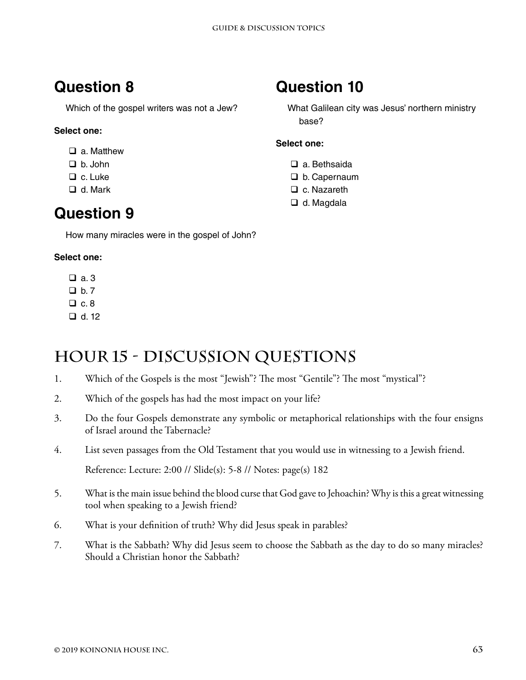Which of the gospel writers was not a Jew?

#### **Select one:**

- □ a. Matthew
- b. John
- □ c. Luke
- □ d. Mark

### **Question 9**

How many miracles were in the gospel of John?

#### **Select one:**

- $a.3$
- $D b. 7$
- $\Box$  c. 8
- $\Box$  d. 12

### **Hour 15 - Discussion Questions**

- 1. Which of the Gospels is the most "Jewish"? The most "Gentile"? The most "mystical"?
- 2. Which of the gospels has had the most impact on your life?
- 3. Do the four Gospels demonstrate any symbolic or metaphorical relationships with the four ensigns of Israel around the Tabernacle?
- 4. List seven passages from the Old Testament that you would use in witnessing to a Jewish friend.

Reference: Lecture: 2:00 // Slide(s): 5-8 // Notes: page(s) 182

- 5. What is the main issue behind the blood curse that God gave to Jehoachin? Why is this a great witnessing tool when speaking to a Jewish friend?
- 6. What is your definition of truth? Why did Jesus speak in parables?
- 7. What is the Sabbath? Why did Jesus seem to choose the Sabbath as the day to do so many miracles? Should a Christian honor the Sabbath?

### **Question 10**

What Galilean city was Jesus' northern ministry base?

- □ a. Bethsaida
- D b. Capernaum
- □ c. Nazareth
- □ d. Magdala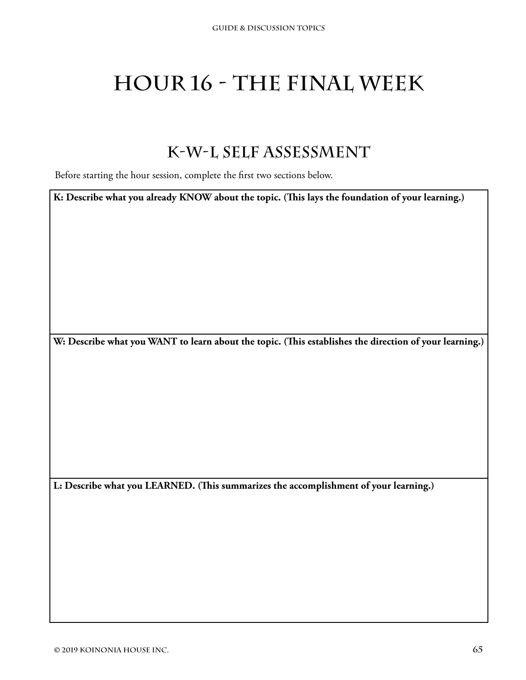# **Hour 16 - The Final Week**

### **K-W-L Self Assessment**

Before starting the hour session, complete the first two sections below.

**K: Describe what you already KNOW about the topic. (This lays the foundation of your learning.)**

**W: Describe what you WANT to learn about the topic. (This establishes the direction of your learning.)**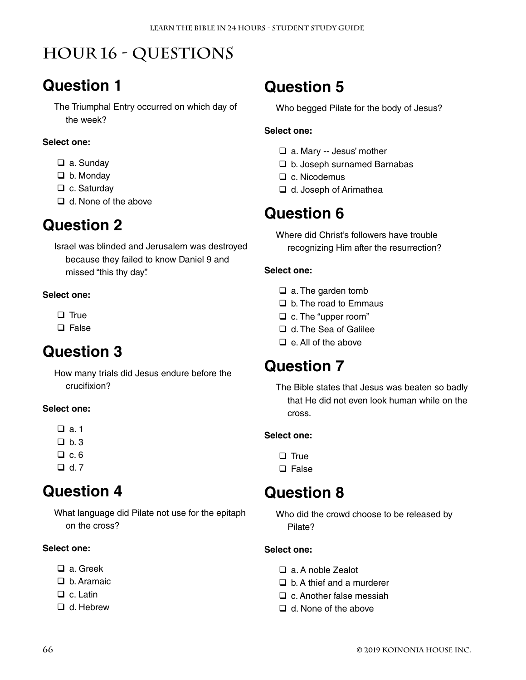# **Hour 16 - Questions**

### **Question 1**

The Triumphal Entry occurred on which day of the week?

#### **Select one:**

- □ a. Sunday
- □ b. Monday
- □ c. Saturday
- $\Box$  d. None of the above

### **Question 2**

Israel was blinded and Jerusalem was destroyed because they failed to know Daniel 9 and missed "this thy day".

#### **Select one:**

- $\Box$  True
- □ False

### **Question 3**

How many trials did Jesus endure before the crucifixion?

#### **Select one:**

- $a.1$
- $Dh.3$
- $\Box$  c. 6
- $\Box$  d. 7

### **Question 4**

What language did Pilate not use for the epitaph on the cross?

#### **Select one:**

- a. Greek
- □ b. Aramaic
- □ c. Latin
- □ d. Hebrew

### **Question 5**

Who begged Pilate for the body of Jesus?

#### **Select one:**

- □ a. Mary -- Jesus' mother
- □ b. Joseph surnamed Barnabas
- $\Box$  c. Nicodemus
- □ d. Joseph of Arimathea

### **Question 6**

Where did Christ's followers have trouble recognizing Him after the resurrection?

#### **Select one:**

- $\Box$  a. The garden tomb
- $\Box$  b. The road to Emmaus
- □ c. The "upper room"
- □ d. The Sea of Galilee
- $\Box$  e. All of the above

### **Question 7**

The Bible states that Jesus was beaten so badly that He did not even look human while on the cross.

#### **Select one:**

- $\Box$  True
- $\Box$  False

### **Question 8**

Who did the crowd choose to be released by Pilate?

- a. A noble Zealot
- $\Box$  b. A thief and a murderer
- $\Box$  c. Another false messiah
- d. None of the above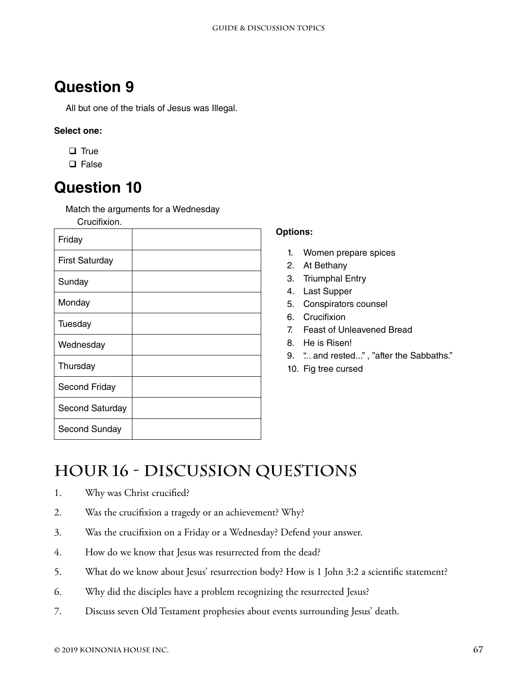All but one of the trials of Jesus was Illegal.

#### **Select one:**

- $\Box$  True
- □ False

### **Question 10**

Match the arguments for a Wednesday

Crucifixion.

| Friday                |  |
|-----------------------|--|
| <b>First Saturday</b> |  |
| Sunday                |  |
| Monday                |  |
| Tuesday               |  |
| Wednesday             |  |
| Thursday              |  |
| Second Friday         |  |
| Second Saturday       |  |
| Second Sunday         |  |

#### **Options:**

- 1. Women prepare spices
- 2. At Bethany
- 3. Triumphal Entry
- 4. Last Supper
- 5. Conspirators counsel
- 6. Crucifixion
- 7. Feast of Unleavened Bread
- 8. He is Risen!
- 9. "... and rested..." , "after the Sabbaths."
- 10. Fig tree cursed

# **Hour 16 - Discussion Questions**

- 1. Why was Christ crucified?
- 2. Was the crucifixion a tragedy or an achievement? Why?
- 3. Was the crucifixion on a Friday or a Wednesday? Defend your answer.
- 4. How do we know that Jesus was resurrected from the dead?
- 5. What do we know about Jesus' resurrection body? How is 1 John 3:2 a scientific statement?
- 6. Why did the disciples have a problem recognizing the resurrected Jesus?
- 7. Discuss seven Old Testament prophesies about events surrounding Jesus' death.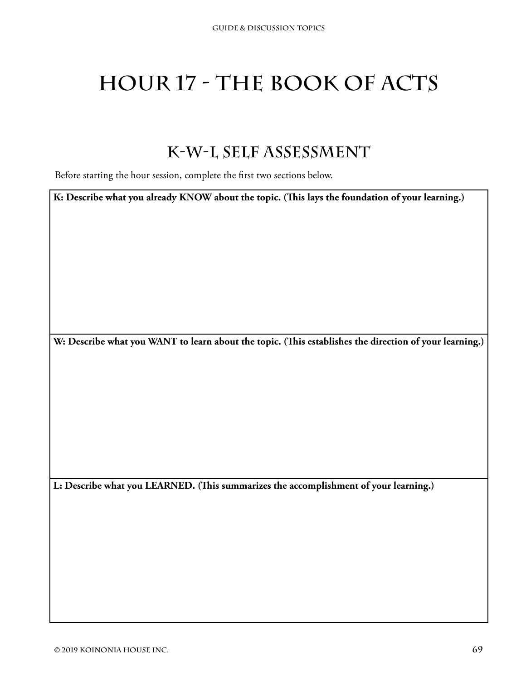# **HOUR 17 - THE BOOK OF ACTS**

### **K-W-L Self Assessment**

Before starting the hour session, complete the first two sections below.

**K: Describe what you already KNOW about the topic. (This lays the foundation of your learning.)**

**W: Describe what you WANT to learn about the topic. (This establishes the direction of your learning.)**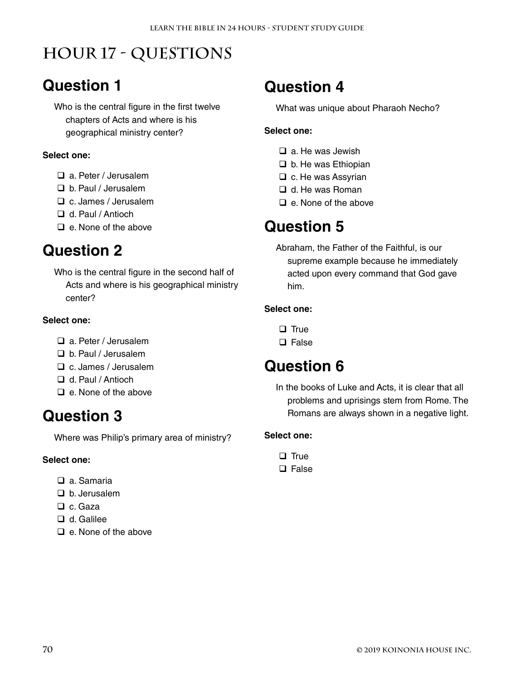# **Hour 17 - Questions**

## **Question 1**

Who is the central figure in the first twelve chapters of Acts and where is his geographical ministry center?

#### **Select one:**

- a. Peter / Jerusalem
- b. Paul / Jerusalem
- c. James / Jerusalem
- □ d. Paul / Antioch
- $\Box$  e. None of the above

### **Question 2**

Who is the central figure in the second half of Acts and where is his geographical ministry center?

#### **Select one:**

#### a. Peter / Jerusalem

- b. Paul / Jerusalem
- c. James / Jerusalem
- □ d. Paul / Antioch
- $\Box$  e. None of the above

### **Question 3**

Where was Philip's primary area of ministry?

#### **Select one:**

- □ a Samaria
- b. Jerusalem
- $\Box$  c. Gaza
- □ d. Galilee
- $\Box$  e. None of the above

### **Question 4**

What was unique about Pharaoh Necho?

#### **Select one:**

- $\Box$  a. He was Jewish
- $\Box$  b. He was Ethiopian
- $\Box$  c. He was Assyrian
- $\Box$  d. He was Roman
- $\Box$  e. None of the above

### **Question 5**

Abraham, the Father of the Faithful, is our supreme example because he immediately acted upon every command that God gave him.

#### **Select one:**

- $\Box$  True
- □ False

### **Question 6**

In the books of Luke and Acts, it is clear that all problems and uprisings stem from Rome. The Romans are always shown in a negative light.

- $\Box$  True
- $\Box$  False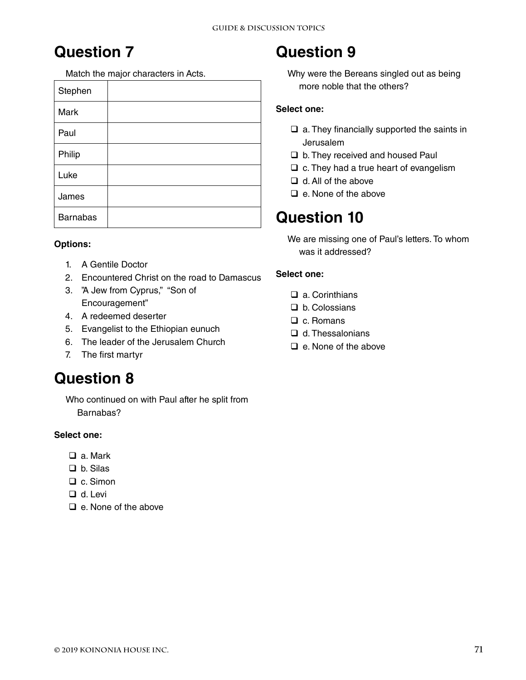Match the major characters in Acts.

| Stephen         |  |
|-----------------|--|
| Mark            |  |
| Paul            |  |
| Philip          |  |
| Luke            |  |
| James           |  |
| <b>Barnabas</b> |  |

#### **Options:**

- 1. A Gentile Doctor
- 2. Encountered Christ on the road to Damascus
- 3. "A Jew from Cyprus," "Son of Encouragement"
- 4. A redeemed deserter
- 5. Evangelist to the Ethiopian eunuch
- 6. The leader of the Jerusalem Church
- 7. The first martyr

### **Question 8**

Who continued on with Paul after he split from Barnabas?

#### **Select one:**

- a. Mark
- □ b. Silas
- □ c. Simon
- d. Levi
- $\Box$  e. None of the above

## **Question 9**

Why were the Bereans singled out as being more noble that the others?

#### **Select one:**

- $\Box$  a. They financially supported the saints in Jerusalem
- □ b. They received and housed Paul
- $\Box$  c. They had a true heart of evangelism
- $\Box$  d. All of the above
- $\Box$  e. None of the above

### **Question 10**

We are missing one of Paul's letters. To whom was it addressed?

- □ a. Corinthians
- D b. Colossians
- □ c. Romans
- $\Box$  d. Thessalonians
- $\Box$  e. None of the above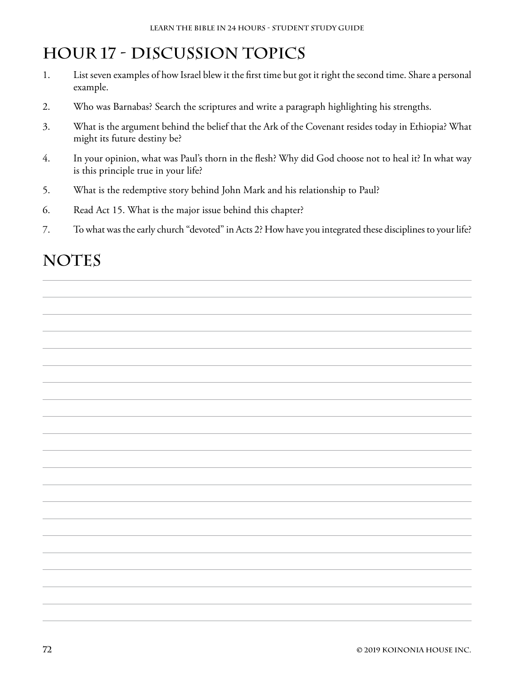# **Hour 17 - Discussion Topics**

- 1. List seven examples of how Israel blew it the first time but got it right the second time. Share a personal example.
- 2. Who was Barnabas? Search the scriptures and write a paragraph highlighting his strengths.
- 3. What is the argument behind the belief that the Ark of the Covenant resides today in Ethiopia? What might its future destiny be?
- 4. In your opinion, what was Paul's thorn in the flesh? Why did God choose not to heal it? In what way is this principle true in your life?
- 5. What is the redemptive story behind John Mark and his relationship to Paul?
- 6. Read Act 15. What is the major issue behind this chapter?
- 7. To what was the early church "devoted" in Acts 2? How have you integrated these disciplines to your life?

## NOTES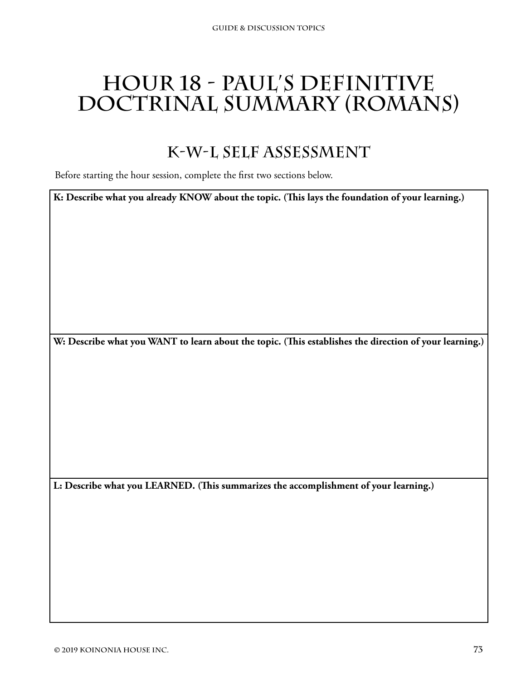# **Hour 18 - Paul's Definitive Doctrinal Summary (Romans)**

### **K-W-L Self Assessment**

Before starting the hour session, complete the first two sections below.

**K: Describe what you already KNOW about the topic. (This lays the foundation of your learning.)**

**W: Describe what you WANT to learn about the topic. (This establishes the direction of your learning.)**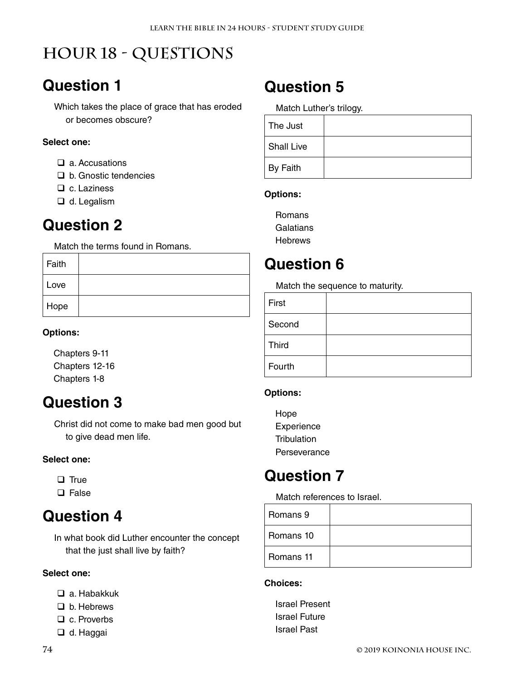# **Hour 18 - Questions**

### **Question 1**

Which takes the place of grace that has eroded or becomes obscure?

#### **Select one:**

- $\Box$  a. Accusations
- □ b. Gnostic tendencies
- $\Box$  c. Laziness
- □ d. Legalism

#### **Question 2**

Match the terms found in Romans.

| Faith |  |
|-------|--|
| Love  |  |
| Hope  |  |

#### **Options:**

Chapters 9-11 Chapters 12-16 Chapters 1-8

### **Question 3**

Christ did not come to make bad men good but to give dead men life.

#### **Select one:**

 $\Box$  True

 $\square$  False

### **Question 4**

In what book did Luther encounter the concept that the just shall live by faith?

#### **Select one:**

- a. Habakkuk
- □ b. Hebrews
- □ c. Proverbs
- □ d. Haggai

### **Question 5**

Match Luther's trilogy.

| The Just          |  |
|-------------------|--|
| <b>Shall Live</b> |  |
| By Faith          |  |

#### **Options:**

Romans **Galatians Hebrews** 

### **Question 6**

Match the sequence to maturity.

| First        |  |
|--------------|--|
| Second       |  |
| <b>Third</b> |  |
| Fourth       |  |

#### **Options:**

Hope **Experience Tribulation** Perseverance

### **Question 7**

Match references to Israel.

| Romans 9  |  |
|-----------|--|
| Romans 10 |  |
| Romans 11 |  |

#### **Choices:**

Israel Present Israel Future Israel Past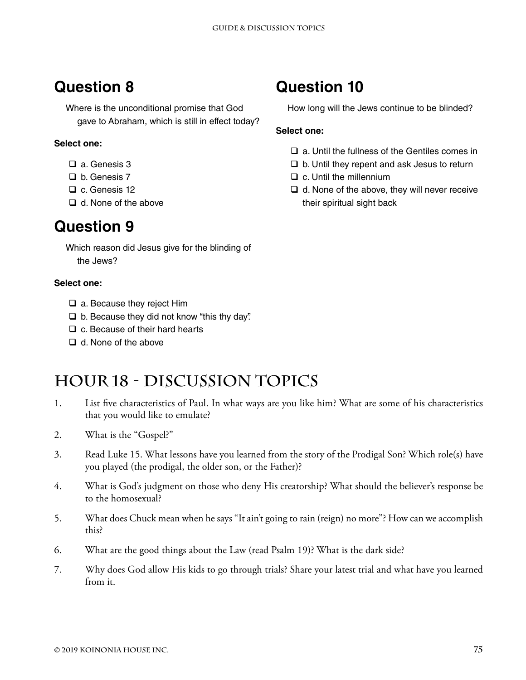Where is the unconditional promise that God gave to Abraham, which is still in effect today?

#### **Select one:**

- a. Genesis 3
- □ b. Genesis 7
- □ c. Genesis 12
- $\Box$  d. None of the above

### **Question 9**

Which reason did Jesus give for the blinding of the Jews?

#### **Select one:**

- □ a. Because they reject Him
- $\Box$  b. Because they did not know "this thy day".
- $\Box$  c. Because of their hard hearts
- $\Box$  d. None of the above

## **Hour 18 - Discussion Topics**

- 1. List five characteristics of Paul. In what ways are you like him? What are some of his characteristics that you would like to emulate?
- 2. What is the "Gospel?"
- 3. Read Luke 15. What lessons have you learned from the story of the Prodigal Son? Which role(s) have you played (the prodigal, the older son, or the Father)?
- 4. What is God's judgment on those who deny His creatorship? What should the believer's response be to the homosexual?
- 5. What does Chuck mean when he says "It ain't going to rain (reign) no more"? How can we accomplish this?
- 6. What are the good things about the Law (read Psalm 19)? What is the dark side?
- 7. Why does God allow His kids to go through trials? Share your latest trial and what have you learned from it.

## **Question 10**

How long will the Jews continue to be blinded?

- $\Box$  a. Until the fullness of the Gentiles comes in
- $\Box$  b. Until they repent and ask Jesus to return
- $\square$  c. Until the millennium
- $\Box$  d. None of the above, they will never receive their spiritual sight back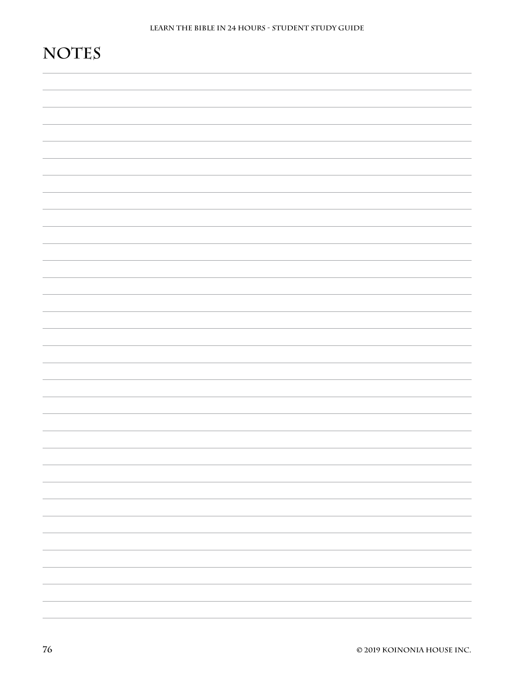# **Notes**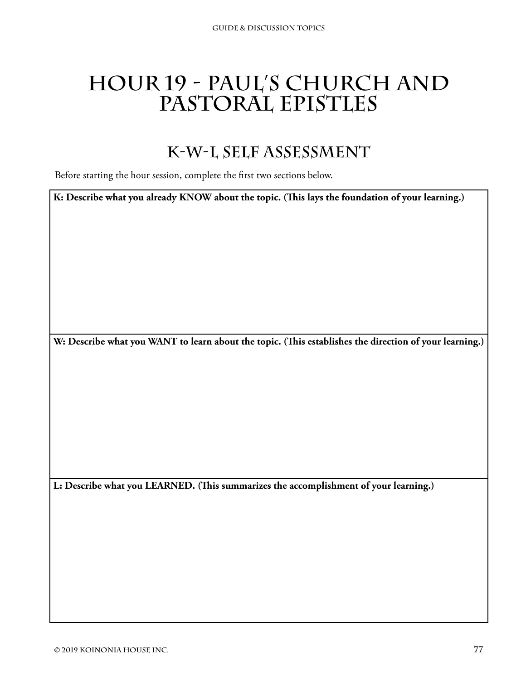# **Hour 19 - Paul's Church and Pastoral Epistles**

### **K-W-L Self Assessment**

Before starting the hour session, complete the first two sections below.

**K: Describe what you already KNOW about the topic. (This lays the foundation of your learning.)**

**W: Describe what you WANT to learn about the topic. (This establishes the direction of your learning.)**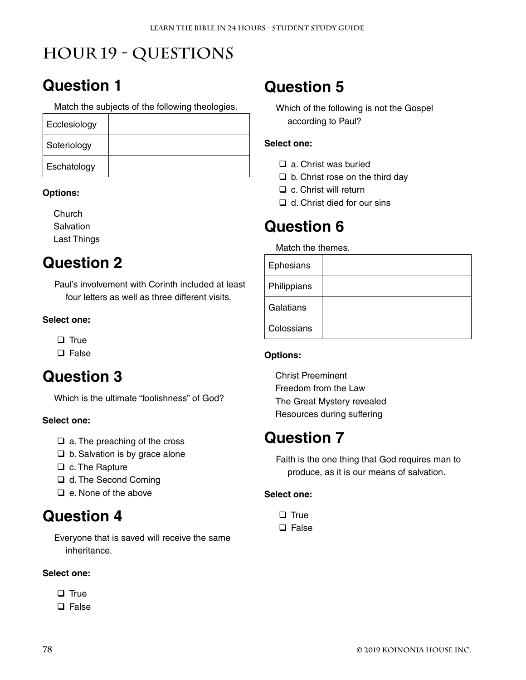# **Hour 19 - Questions**

# **Question 1**

Match the subjects of the following theologies.

| Ecclesiology |  |
|--------------|--|
| Soteriology  |  |
| Eschatology  |  |

#### **Options:**

**Church Salvation** Last Things

### **Question 2**

Paul's involvement with Corinth included at least four letters as well as three different visits.

#### **Select one:**

 $\Box$  True

□ False

## **Question 3**

Which is the ultimate "foolishness" of God?

#### **Select one:**

- $\Box$  a. The preaching of the cross
- $\Box$  b. Salvation is by grace alone
- $\Box$  c. The Rapture
- d. The Second Coming
- $\Box$  e. None of the above

### **Question 4**

Everyone that is saved will receive the same inheritance.

#### **Select one:**

- $\Box$  True
- $\square$  False

# **Question 5**

Which of the following is not the Gospel according to Paul?

#### **Select one:**

- $\Box$  a. Christ was buried
- $\Box$  b. Christ rose on the third day
- $\Box$  c. Christ will return
- $\Box$  d. Christ died for our sins

## **Question 6**

Match the themes.

| Ephesians   |  |
|-------------|--|
| Philippians |  |
| Galatians   |  |
| Colossians  |  |

#### **Options:**

Christ Preeminent Freedom from the Law The Great Mystery revealed Resources during suffering

### **Question 7**

Faith is the one thing that God requires man to produce, as it is our means of salvation.

- $\Box$  True
- $\square$  False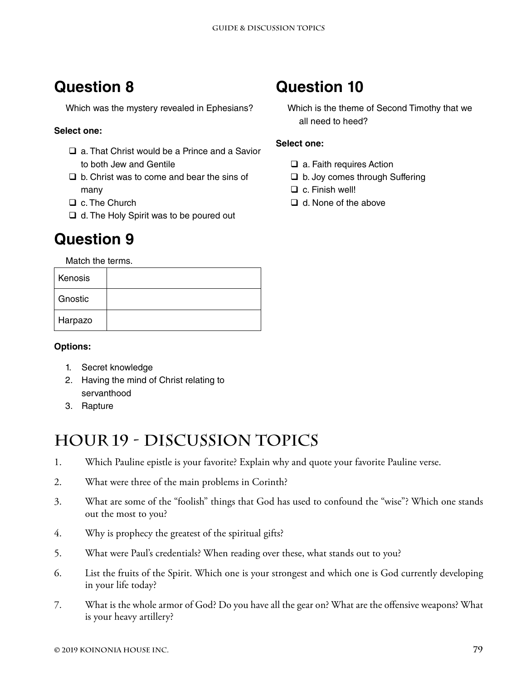Which was the mystery revealed in Ephesians?

#### **Select one:**

- □ a. That Christ would be a Prince and a Savior to both Jew and Gentile
- $\Box$  b. Christ was to come and bear the sins of many
- □ c. The Church
- $\Box$  d. The Holy Spirit was to be poured out

### **Question 9**

Match the terms.

| Kenosis |  |
|---------|--|
| Gnostic |  |
| Harpazo |  |

#### **Options:**

- 1. Secret knowledge
- 2. Having the mind of Christ relating to servanthood
- 3. Rapture

### **Hour 19 - Discussion Topics**

- 1. Which Pauline epistle is your favorite? Explain why and quote your favorite Pauline verse.
- 2. What were three of the main problems in Corinth?
- 3. What are some of the "foolish" things that God has used to confound the "wise"? Which one stands out the most to you?
- 4. Why is prophecy the greatest of the spiritual gifts?
- 5. What were Paul's credentials? When reading over these, what stands out to you?
- 6. List the fruits of the Spirit. Which one is your strongest and which one is God currently developing in your life today?
- 7. What is the whole armor of God? Do you have all the gear on? What are the offensive weapons? What is your heavy artillery?

### **Question 10**

Which is the theme of Second Timothy that we all need to heed?

- $\Box$  a. Faith requires Action
- □ b. Joy comes through Suffering
- □ c. Finish well!
- **□** d. None of the above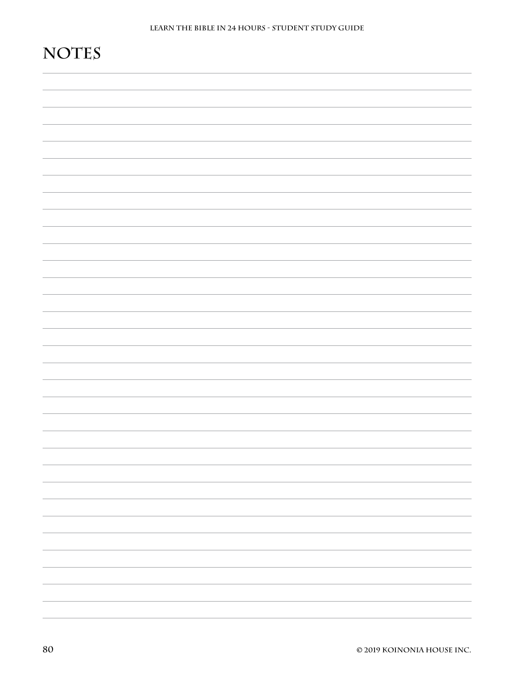# **Notes**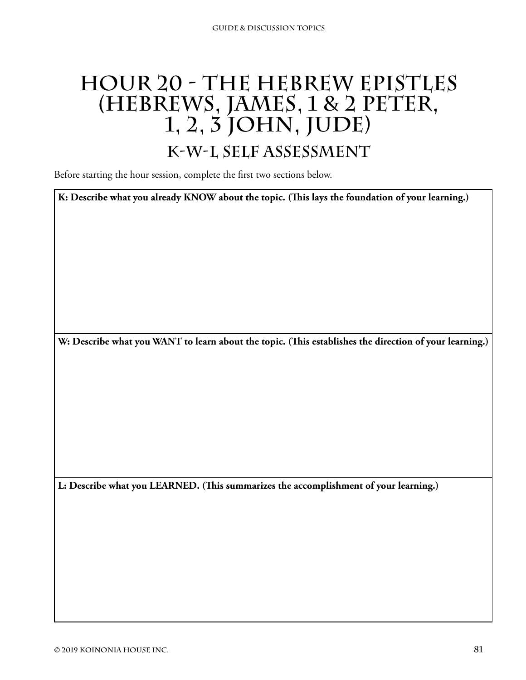# **Hour 20 - The Hebrew Epistles (Hebrews, James, 1 & 2 Peter, 1, 2, 3 John, Jude)**

### **K-W-L Self Assessment**

Before starting the hour session, complete the first two sections below.

**K: Describe what you already KNOW about the topic. (This lays the foundation of your learning.)**

**W: Describe what you WANT to learn about the topic. (This establishes the direction of your learning.)**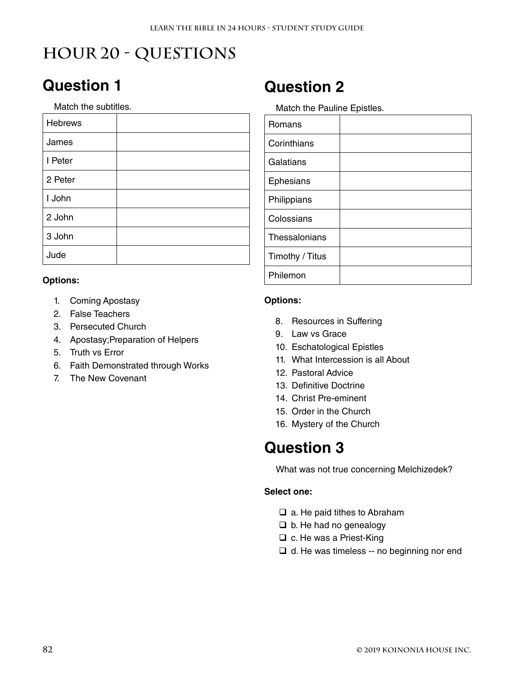# **Hour 20 - Questions**

## **Question 1**

Match the subtitles.

| Hebrews |  |
|---------|--|
| James   |  |
| I Peter |  |
| 2 Peter |  |
| I John  |  |
| 2 John  |  |
| 3 John  |  |
| Jude    |  |

#### **Options:**

- 1. Coming Apostasy
- 2. False Teachers
- 3. Persecuted Church
- 4. Apostasy;Preparation of Helpers
- 5. Truth vs Error
- 6. Faith Demonstrated through Works
- 7. The New Covenant

### **Question 2**

Match the Pauline Epistles.

| Romans          |  |
|-----------------|--|
| Corinthians     |  |
| Galatians       |  |
| Ephesians       |  |
| Philippians     |  |
| Colossians      |  |
| Thessalonians   |  |
| Timothy / Titus |  |
| Philemon        |  |

#### **Options:**

- 8. Resources in Suffering
- 9. Law vs Grace
- 10. Eschatological Epistles
- 11. What Intercession is all About
- 12. Pastoral Advice
- 13. Definitive Doctrine
- 14. Christ Pre-eminent
- 15. Order in the Church
- 16. Mystery of the Church

### **Question 3**

What was not true concerning Melchizedek?

- $\Box$  a. He paid tithes to Abraham
- $\Box$  b. He had no genealogy
- □ c. He was a Priest-King
- $\Box$  d. He was timeless -- no beginning nor end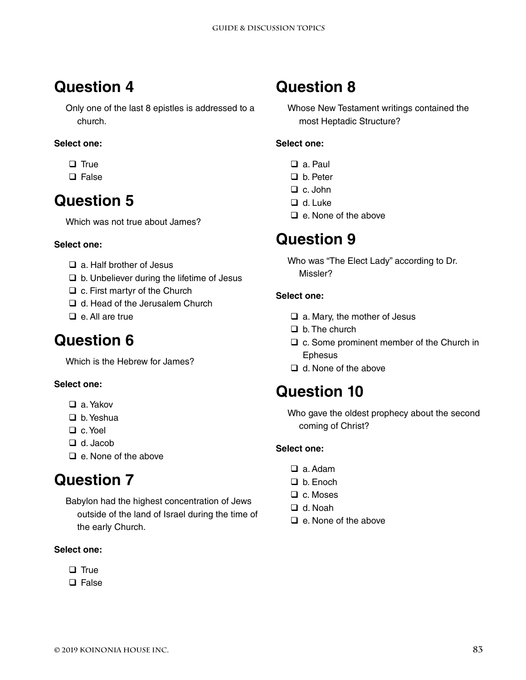Only one of the last 8 epistles is addressed to a church.

#### **Select one:**

- $\Box$  True
- $\square$  False

### **Question 5**

Which was not true about James?

#### **Select one:**

- $\Box$  a. Half brother of Jesus
- $\Box$  b. Unbeliever during the lifetime of Jesus
- $\Box$  c. First martyr of the Church
- □ d. Head of the Jerusalem Church
- $\Box$  e. All are true

### **Question 6**

Which is the Hebrew for James?

#### **Select one:**

- a. Yakov
- $\Box$  b. Yeshua
- □ c. Yoel
- □ d. Jacob
- $\Box$  e. None of the above

## **Question 7**

Babylon had the highest concentration of Jews outside of the land of Israel during the time of the early Church.

#### **Select one:**

- $\Box$  True
- $\Box$  False

## **Question 8**

Whose New Testament writings contained the most Heptadic Structure?

#### **Select one:**

- □ a. Paul
- □ b. Peter
- $\Box$  c. John
- □ d. Luke
- $\Box$  e. None of the above

### **Question 9**

Who was "The Elect Lady" according to Dr. Missler?

#### **Select one:**

- $\Box$  a. Mary, the mother of Jesus
- $\Box$  b. The church
- $\Box$  c. Some prominent member of the Church in **Ephesus**
- $\Box$  d. None of the above

### **Question 10**

Who gave the oldest prophecy about the second coming of Christ?

- □ a. Adam
- □ b. Enoch
- $\Box$  c. Moses
- □ d. Noah
- $\Box$  e. None of the above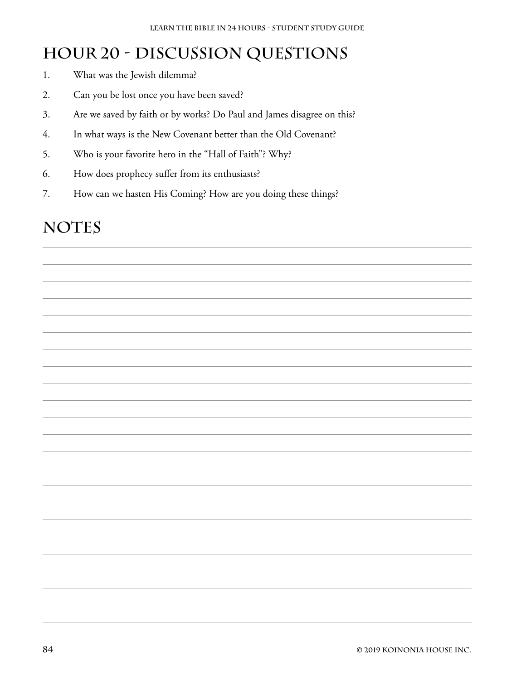### **Hour 20 - Discussion Questions**

- 1. What was the Jewish dilemma?
- 2. Can you be lost once you have been saved?
- 3. Are we saved by faith or by works? Do Paul and James disagree on this?
- 4. In what ways is the New Covenant better than the Old Covenant?
- 5. Who is your favorite hero in the "Hall of Faith"? Why?
- 6. How does prophecy suffer from its enthusiasts?
- 7. How can we hasten His Coming? How are you doing these things?

### NOTES

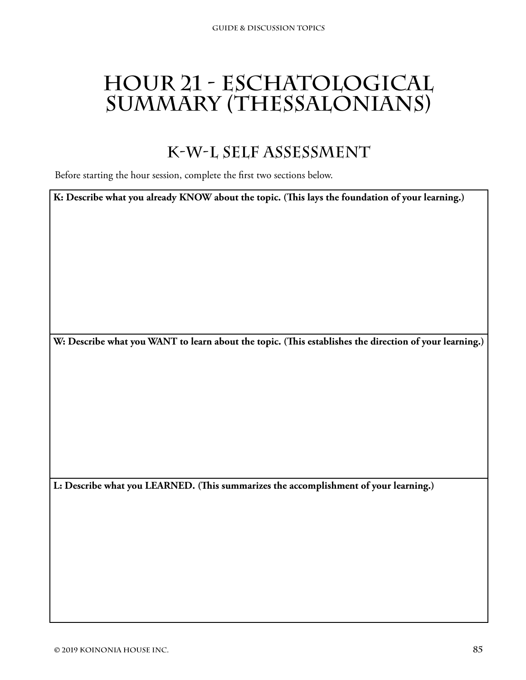# **Hour 21 - Eschatological Summary (Thessalonians)**

### **K-W-L Self Assessment**

Before starting the hour session, complete the first two sections below.

**K: Describe what you already KNOW about the topic. (This lays the foundation of your learning.)**

**W: Describe what you WANT to learn about the topic. (This establishes the direction of your learning.)**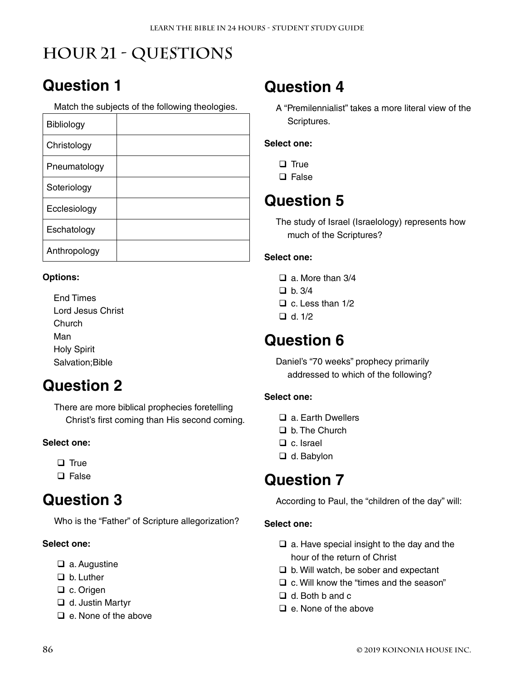# **Hour 21 - Questions**

## **Question 1**

Match the subjects of the following theologies.

| Bibliology   |  |
|--------------|--|
| Christology  |  |
| Pneumatology |  |
| Soteriology  |  |
| Ecclesiology |  |
| Eschatology  |  |
| Anthropology |  |

#### **Options:**

End Times Lord Jesus Christ **Church** Man Holy Spirit Salvation;Bible

## **Question 2**

There are more biblical prophecies foretelling Christ's first coming than His second coming.

#### **Select one:**

 $\Box$  True

 $\square$  False

### **Question 3**

Who is the "Father" of Scripture allegorization?

#### **Select one:**

- $\Box$  a. Augustine
- □ b. Luther
- □ c. Origen
- $\Box$  d. Justin Martyr
- $\Box$  e. None of the above

### **Question 4**

A "Premilennialist" takes a more literal view of the Scriptures.

#### **Select one:**

- $\Box$  True
- $\square$  False

## **Question 5**

The study of Israel (Israelology) represents how much of the Scriptures?

#### **Select one:**

- $\Box$  a. More than 3/4
- $\Box$  b. 3/4
- $\Box$  c. Less than 1/2
- $\Box$  d. 1/2

### **Question 6**

Daniel's "70 weeks" prophecy primarily addressed to which of the following?

#### **Select one:**

- □ a. Farth Dwellers
- □ b. The Church
- □ c. Israel
- □ d. Babylon

### **Question 7**

According to Paul, the "children of the day" will:

- $\Box$  a. Have special insight to the day and the hour of the return of Christ
- $\Box$  b. Will watch, be sober and expectant
- $\Box$  c. Will know the "times and the season"
- $\Box$  d. Both b and c
- $\Box$  e. None of the above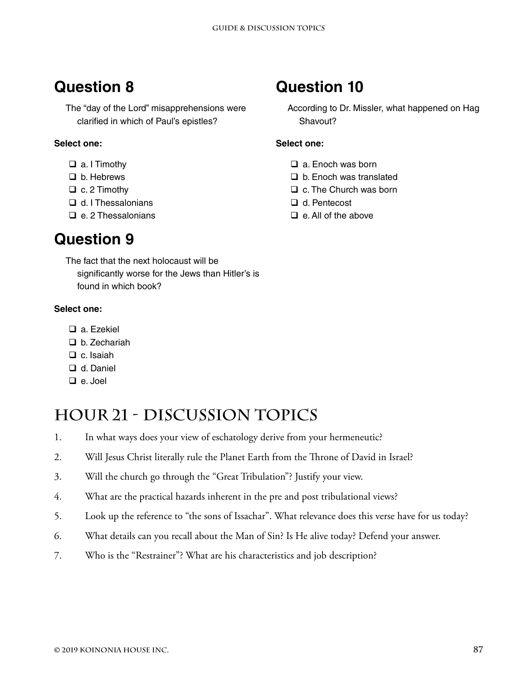The "day of the Lord" misapprehensions were clarified in which of Paul's epistles?

#### **Select one:**

- a. I Timothy
- □ b. Hebrews
- $\Box$  c. 2 Timothy
- □ d. I Thessalonians
- $\Box$  e. 2 Thessalonians

### **Question 9**

The fact that the next holocaust will be significantly worse for the Jews than Hitler's is found in which book?

#### **Select one:**

- □ a. Ezekiel
- □ b. Zechariah
- $\Box$  c. Isaiah
- □ d. Daniel
- $\Box$  e. Joel

### **Hour 21 - Discussion Topics**

- 1. In what ways does your view of eschatology derive from your hermeneutic?
- 2. Will Jesus Christ literally rule the Planet Earth from the Throne of David in Israel?
- 3. Will the church go through the "Great Tribulation"? Justify your view.
- 4. What are the practical hazards inherent in the pre and post tribulational views?
- 5. Look up the reference to "the sons of Issachar". What relevance does this verse have for us today?
- 6. What details can you recall about the Man of Sin? Is He alive today? Defend your answer.
- 7. Who is the "Restrainer"? What are his characteristics and job description?

### **Question 10**

According to Dr. Missler, what happened on Hag Shavout?

- $\Box$  a. Enoch was born
- $\Box$  b. Enoch was translated
- $\Box$  c. The Church was born
- d. Pentecost
- $\Box$  e. All of the above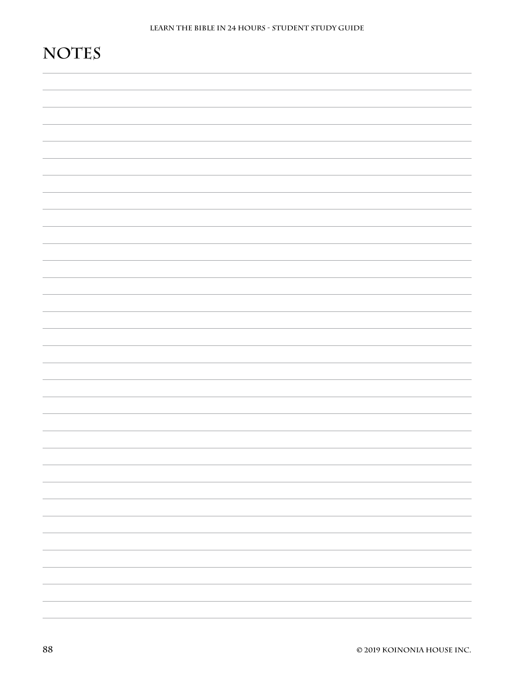# **Notes**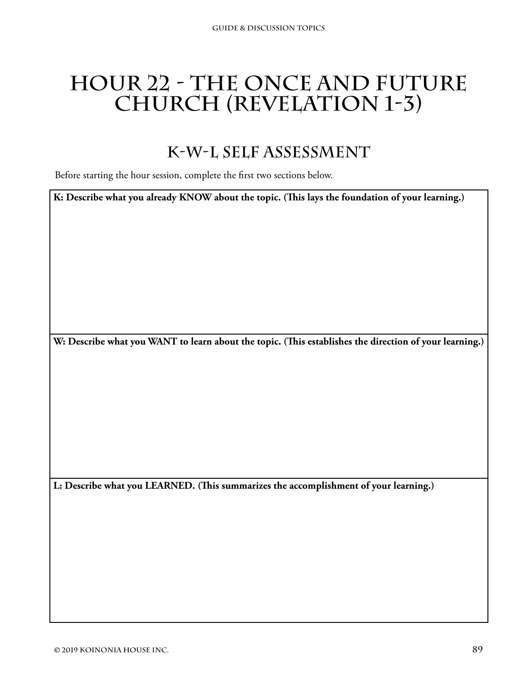# **Hour 22 - The Once and Future Church (Revelation 1-3)**

### **K-W-L Self Assessment**

Before starting the hour session, complete the first two sections below.

**K: Describe what you already KNOW about the topic. (This lays the foundation of your learning.)**

**W: Describe what you WANT to learn about the topic. (This establishes the direction of your learning.)**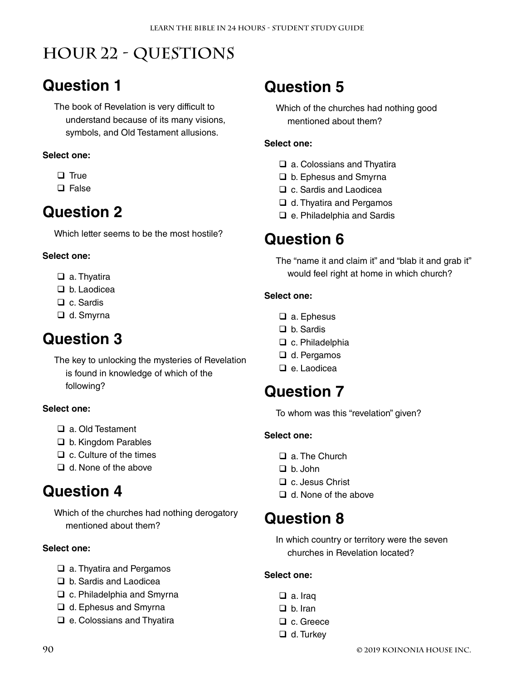# **Hour 22 - Questions**

## **Question 1**

The book of Revelation is very difficult to understand because of its many visions, symbols, and Old Testament allusions.

#### **Select one:**

- $\Box$  True
- $\square$  False

### **Question 2**

Which letter seems to be the most hostile?

#### **Select one:**

- □ a. Thyatira
- □ b. Laodicea
- □ c. Sardis
- □ d. Smyrna

### **Question 3**

The key to unlocking the mysteries of Revelation is found in knowledge of which of the following?

#### **Select one:**

- □ a. Old Testament
- □ b. Kingdom Parables
- $\Box$  c. Culture of the times
- $\Box$  d. None of the above

### **Question 4**

Which of the churches had nothing derogatory mentioned about them?

#### **Select one:**

- □ a. Thyatira and Pergamos
- □ b. Sardis and Laodicea
- □ c. Philadelphia and Smyrna
- □ d. Ephesus and Smyrna
- □ e. Colossians and Thyatira

## **Question 5**

Which of the churches had nothing good mentioned about them?

#### **Select one:**

- □ a. Colossians and Thyatira
- □ b. Ephesus and Smyrna
- □ c. Sardis and Laodicea
- □ d. Thyatira and Pergamos
- □ e. Philadelphia and Sardis

### **Question 6**

The "name it and claim it" and "blab it and grab it" would feel right at home in which church?

#### **Select one:**

- □ a. Ephesus
- □ b. Sardis
- $\Box$  c. Philadelphia
- **□** d. Pergamos
- □ e. Laodicea

### **Question 7**

To whom was this "revelation" given?

#### **Select one:**

- $\Box$  a. The Church
- $\Box$  b. John
- □ c. Jesus Christ
- $\Box$  d. None of the above

### **Question 8**

In which country or territory were the seven churches in Revelation located?

- □ a. Iraq
- $\Box$  b. Iran
- □ c. Greece
- $\Box$  d. Turkey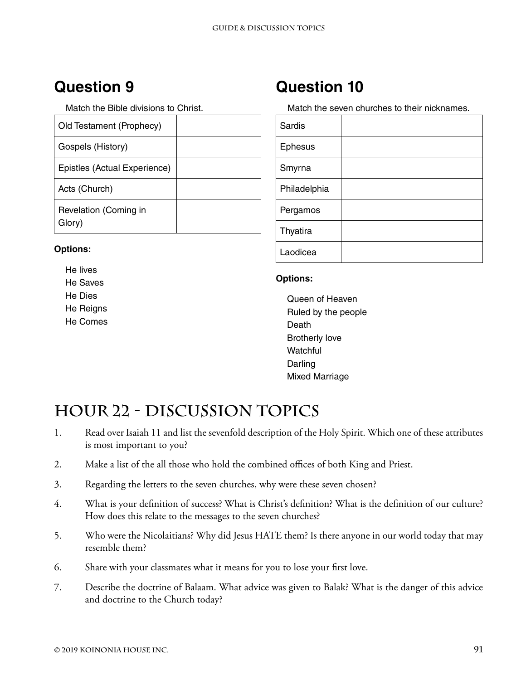Match the Bible divisions to Christ.

| Old Testament (Prophecy)        |  |
|---------------------------------|--|
| Gospels (History)               |  |
| Epistles (Actual Experience)    |  |
| Acts (Church)                   |  |
| Revelation (Coming in<br>Glorv) |  |

#### **Options:**

He lives He Saves He Dies He Reigns He Comes

### **Question 10**

Match the seven churches to their nicknames.

| <b>Sardis</b>  |  |
|----------------|--|
| <b>Ephesus</b> |  |
| Smyrna         |  |
| Philadelphia   |  |
| Pergamos       |  |
| Thyatira       |  |
| Laodicea       |  |

#### **Options:**

Queen of Heaven Ruled by the people Death Brotherly love **Watchful** Darling Mixed Marriage

## **Hour 22 - Discussion Topics**

- 1. Read over Isaiah 11 and list the sevenfold description of the Holy Spirit. Which one of these attributes is most important to you?
- 2. Make a list of the all those who hold the combined offices of both King and Priest.
- 3. Regarding the letters to the seven churches, why were these seven chosen?
- 4. What is your definition of success? What is Christ's definition? What is the definition of our culture? How does this relate to the messages to the seven churches?
- 5. Who were the Nicolaitians? Why did Jesus HATE them? Is there anyone in our world today that may resemble them?
- 6. Share with your classmates what it means for you to lose your first love.
- 7. Describe the doctrine of Balaam. What advice was given to Balak? What is the danger of this advice and doctrine to the Church today?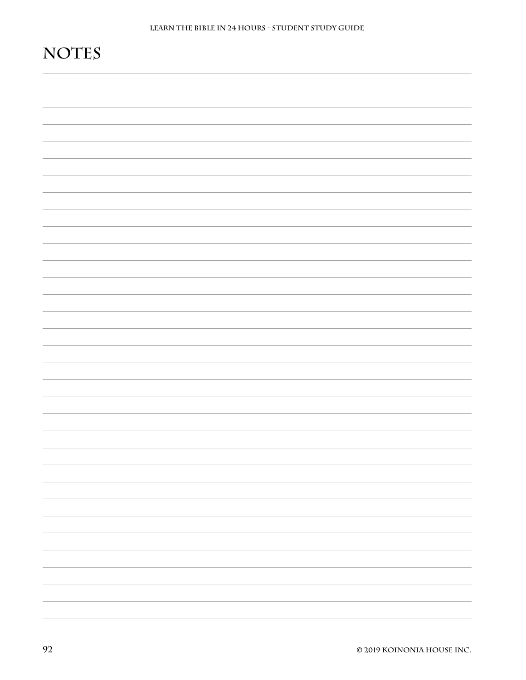# **Notes**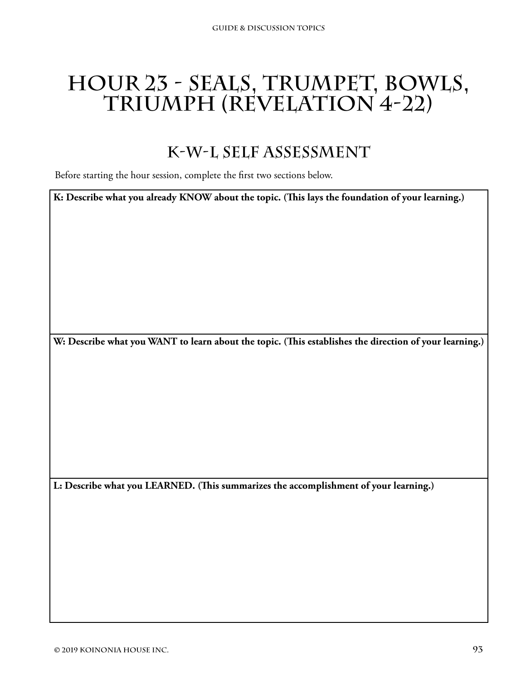# **Hour 23 - Seals, Trumpet, Bowls, Triumph (Revelation 4-22)**

### **K-W-L Self Assessment**

Before starting the hour session, complete the first two sections below.

**K: Describe what you already KNOW about the topic. (This lays the foundation of your learning.)**

**W: Describe what you WANT to learn about the topic. (This establishes the direction of your learning.)**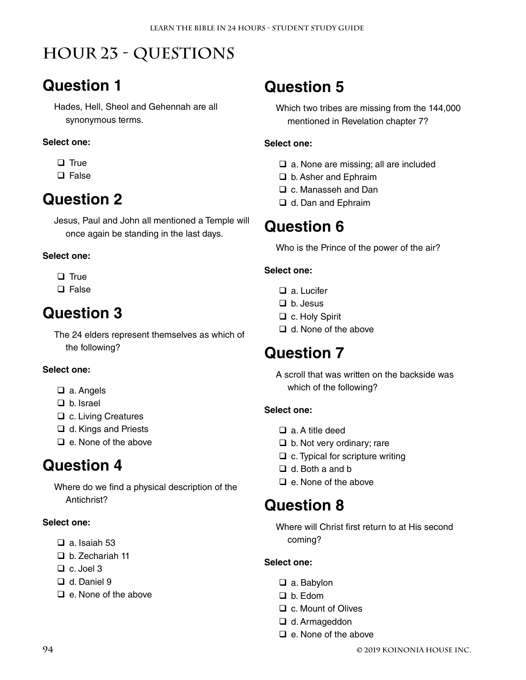# **Hour 23 - Questions**

## **Question 1**

Hades, Hell, Sheol and Gehennah are all synonymous terms.

#### **Select one:**

- $\Box$  True
- $\square$  False

### **Question 2**

Jesus, Paul and John all mentioned a Temple will once again be standing in the last days.

#### **Select one:**

- $\Box$  True
- $\Box$  False

### **Question 3**

The 24 elders represent themselves as which of the following?

#### **Select one:**

- □ a. Angels
- $\Box$  b. Israel
- □ c. Living Creatures
- **□** d. Kings and Priests
- $\Box$  e. None of the above

### **Question 4**

Where do we find a physical description of the Antichrist?

#### **Select one:**

- $\Box$  a. Isaiah 53
- □ b. Zechariah 11
- $\Box$  c. Joel 3
- □ d. Daniel 9
- $\Box$  e. None of the above

## **Question 5**

Which two tribes are missing from the 144,000 mentioned in Revelation chapter 7?

#### **Select one:**

- $\Box$  a. None are missing; all are included
- □ b. Asher and Ephraim
- □ c. Manasseh and Dan
- □ d. Dan and Ephraim

### **Question 6**

Who is the Prince of the power of the air?

#### **Select one:**

- □ a. Lucifer
- $\Box$  b. Jesus
- □ c. Holy Spirit
- $\Box$  d. None of the above

### **Question 7**

A scroll that was written on the backside was which of the following?

#### **Select one:**

- a. A title deed
- $\Box$  b. Not very ordinary; rare
- $\Box$  c. Typical for scripture writing
- $\Box$  d. Both a and b
- $\Box$  e. None of the above

### **Question 8**

Where will Christ first return to at His second coming?

- □ a. Babylon
- b. Edom
- □ c. Mount of Olives
- □ d. Armageddon
- $\Box$  e. None of the above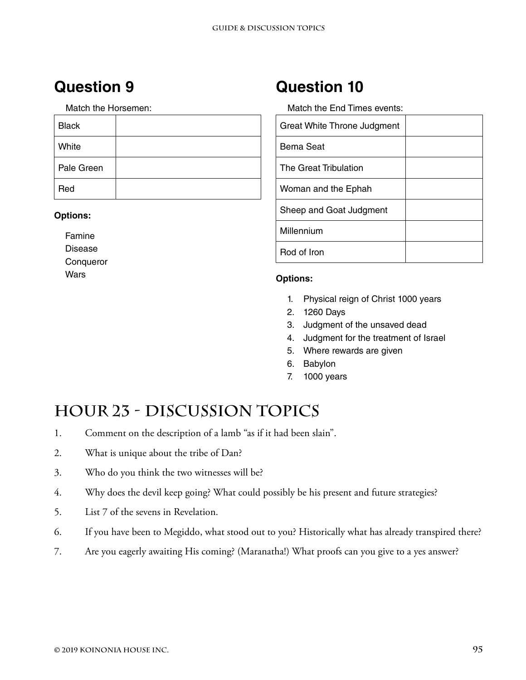Match the Horsemen:

| <b>Black</b> |  |
|--------------|--|
| White        |  |
| Pale Green   |  |
| Red          |  |

#### **Options:**

Famine Disease **Conqueror Wars** 

### **Question 10**

Match the End Times events:

| Great White Throne Judgment |  |
|-----------------------------|--|
| Bema Seat                   |  |
| The Great Tribulation       |  |
| Woman and the Ephah         |  |
| Sheep and Goat Judgment     |  |
| Millennium                  |  |
| Rod of Iron                 |  |

#### **Options:**

- 1. Physical reign of Christ 1000 years
- 2. 1260 Days
- 3. Judgment of the unsaved dead
- 4. Judgment for the treatment of Israel
- 5. Where rewards are given
- 6. Babylon
- 7. 1000 years

## **Hour 23 - Discussion Topics**

- 1. Comment on the description of a lamb "as if it had been slain".
- 2. What is unique about the tribe of Dan?
- 3. Who do you think the two witnesses will be?
- 4. Why does the devil keep going? What could possibly be his present and future strategies?
- 5. List 7 of the sevens in Revelation.
- 6. If you have been to Megiddo, what stood out to you? Historically what has already transpired there?
- 7. Are you eagerly awaiting His coming? (Maranatha!) What proofs can you give to a yes answer?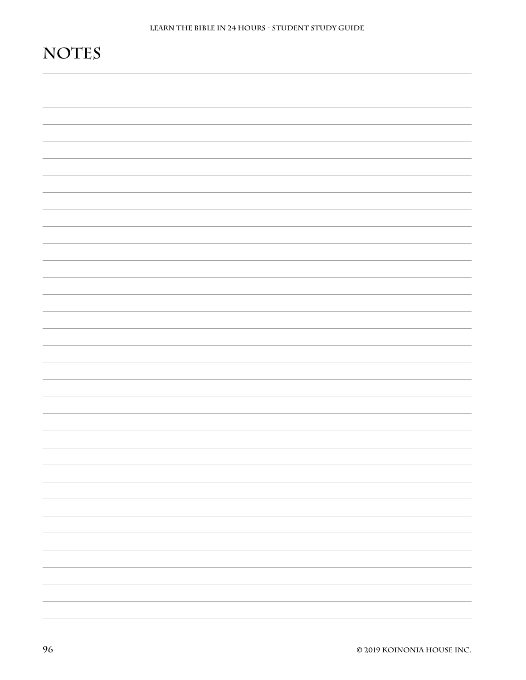# **Notes**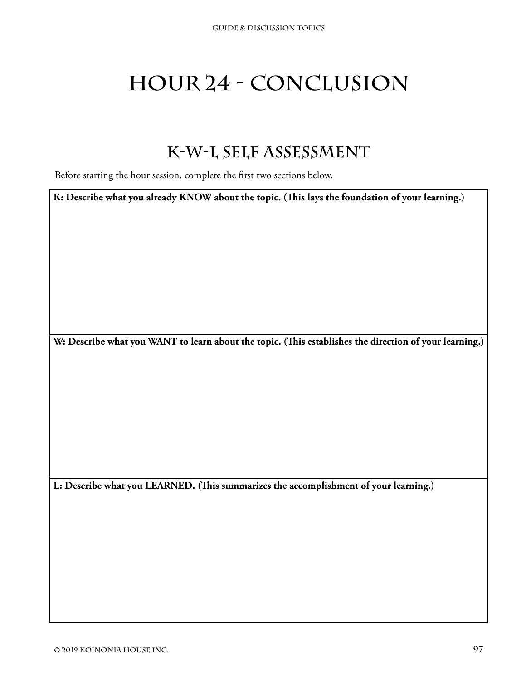# **Hour 24 - Conclusion**

### **K-W-L Self Assessment**

Before starting the hour session, complete the first two sections below.

**K: Describe what you already KNOW about the topic. (This lays the foundation of your learning.)**

**W: Describe what you WANT to learn about the topic. (This establishes the direction of your learning.)**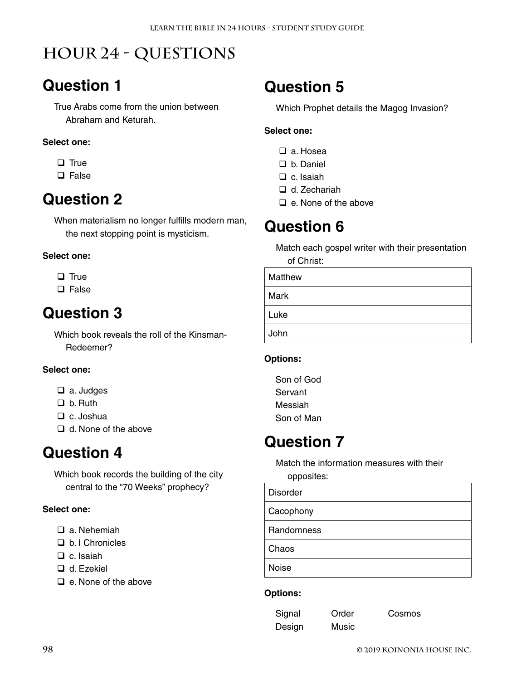# **Hour 24 - Questions**

## **Question 1**

True Arabs come from the union between Abraham and Keturah.

#### **Select one:**

- $\Box$  True
- □ False

### **Question 2**

When materialism no longer fulfills modern man, the next stopping point is mysticism.

#### **Select one:**

- $\Box$  True
- $\Box$  False

### **Question 3**

Which book reveals the roll of the Kinsman-Redeemer?

#### **Select one:**

- □ a. Judges
- $\Box$  b. Ruth
- □ c. Joshua
- $\Box$  d. None of the above

### **Question 4**

Which book records the building of the city central to the "70 Weeks" prophecy?

#### **Select one:**

- □ a. Nehemiah
- □ b. I Chronicles
- $\Box$  c. Isaiah
- □ d. Ezekiel
- $\Box$  e. None of the above

### **Question 5**

Which Prophet details the Magog Invasion?

#### **Select one:**

- □ a. Hosea
- D b. Daniel
- $\Box$  c. Isaiah
- □ d. Zechariah
- $\Box$  e. None of the above

### **Question 6**

Match each gospel writer with their presentation

of Christ:

| Matthew |  |
|---------|--|
| Mark    |  |
| Luke    |  |
| John    |  |

#### **Options:**

Son of God Servant Messiah Son of Man

### **Question 7**

Match the information measures with their opposites:

| <b>Disorder</b> |  |
|-----------------|--|
| Cacophony       |  |
| Randomness      |  |
| Chaos           |  |
| Noise           |  |

#### **Options:**

Signal Order Cosmos Design Music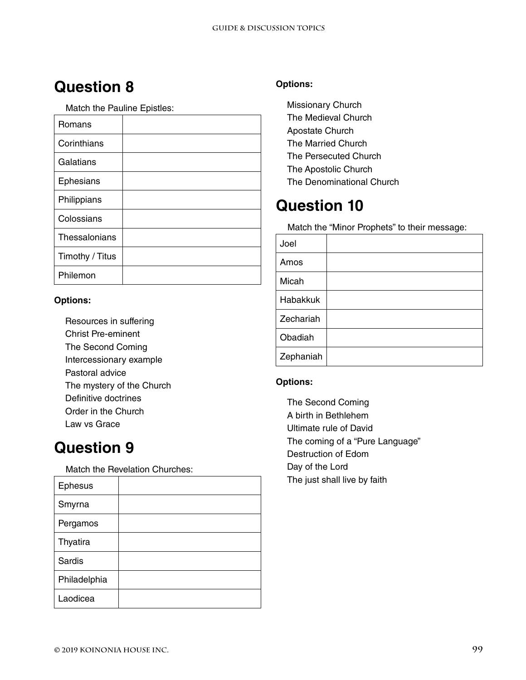Match the Pauline Epistles:

| Romans          |  |
|-----------------|--|
| Corinthians     |  |
| Galatians       |  |
| Ephesians       |  |
| Philippians     |  |
| Colossians      |  |
| Thessalonians   |  |
| Timothy / Titus |  |
| Philemon        |  |

#### **Options:**

Resources in suffering Christ Pre-eminent The Second Coming Intercessionary example Pastoral advice The mystery of the Church Definitive doctrines Order in the Church Law vs Grace

### **Question 9**

Match the Revelation Churches:

| <b>Ephesus</b> |  |
|----------------|--|
| Smyrna         |  |
| Pergamos       |  |
| Thyatira       |  |
| Sardis         |  |
| Philadelphia   |  |
| Laodicea       |  |

#### **Options:**

Missionary Church The Medieval Church Apostate Church The Married Church The Persecuted Church The Apostolic Church The Denominational Church

### **Question 10**

Match the "Minor Prophets" to their message:

| Joel      |  |
|-----------|--|
| Amos      |  |
| Micah     |  |
| Habakkuk  |  |
| Zechariah |  |
| Obadiah   |  |
| Zephaniah |  |

#### **Options:**

The Second Coming A birth in Bethlehem Ultimate rule of David The coming of a "Pure Language" Destruction of Edom Day of the Lord The just shall live by faith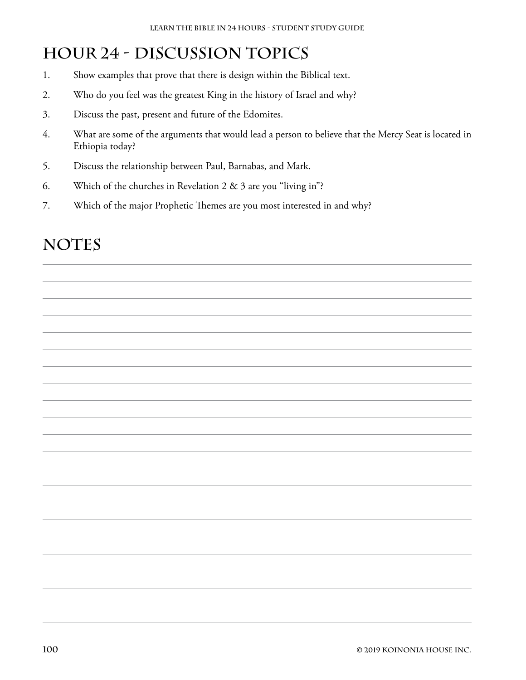# **Hour 24 - Discussion Topics**

- 1. Show examples that prove that there is design within the Biblical text.
- 2. Who do you feel was the greatest King in the history of Israel and why?
- 3. Discuss the past, present and future of the Edomites.
- 4. What are some of the arguments that would lead a person to believe that the Mercy Seat is located in Ethiopia today?
- 5. Discuss the relationship between Paul, Barnabas, and Mark.
- 6. Which of the churches in Revelation 2 & 3 are you "living in"?
- 7. Which of the major Prophetic Themes are you most interested in and why?

### NOTES

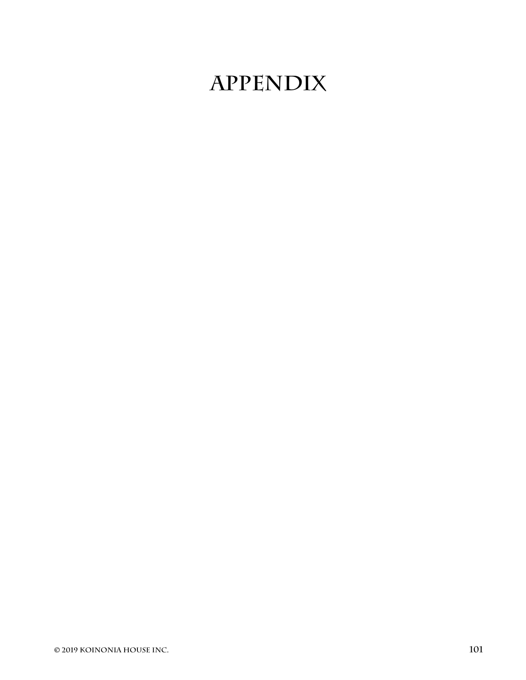# **APPENDIX**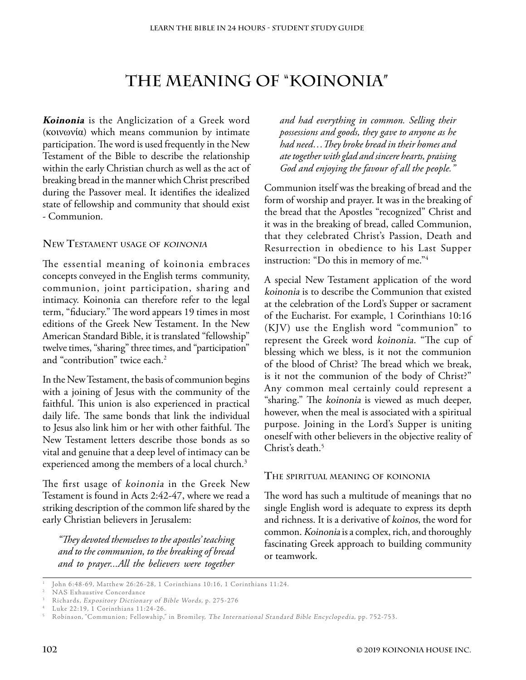### **The Meaning of "Koinonia"**

**Koinonia** is the Anglicization of a Greek word (κοινωνία) which means communion by intimate participation. The word is used frequently in the New Testament of the Bible to describe the relationship within the early Christian church as well as the act of breaking bread in the manner which Christ prescribed during the Passover meal. It identifies the idealized state of fellowship and community that should exist - Communion.

#### **New Testament usage of koinonia**

The essential meaning of koinonia embraces concepts conveyed in the English terms community, communion, joint participation, sharing and intimacy. Koinonia can therefore refer to the legal term, "fiduciary." The word appears 19 times in most editions of the Greek New Testament. In the New American Standard Bible, it is translated "fellowship" twelve times, "sharing" three times, and "participation" and "contribution" twice each.<sup>2</sup>

In the New Testament, the basis of communion begins with a joining of Jesus with the community of the faithful. This union is also experienced in practical daily life. The same bonds that link the individual to Jesus also link him or her with other faithful. The New Testament letters describe those bonds as so vital and genuine that a deep level of intimacy can be experienced among the members of a local church.<sup>3</sup>

The first usage of koinonia in the Greek New Testament is found in Acts 2:42-47, where we read a striking description of the common life shared by the early Christian believers in Jerusalem:

*"They devoted themselves to the apostles' teaching and to the communion, to the breaking of bread and to prayer...All the believers were together* 

*and had everything in common. Selling their possessions and goods, they gave to anyone as he had need…They broke bread in their homes and ate together with glad and sincere hearts, praising God and enjoying the favour of all the people."* 

Communion itself was the breaking of bread and the form of worship and prayer. It was in the breaking of the bread that the Apostles "recognized" Christ and it was in the breaking of bread, called Communion, that they celebrated Christ's Passion, Death and Resurrection in obedience to his Last Supper instruction: "Do this in memory of me."4

A special New Testament application of the word koinonia is to describe the Communion that existed at the celebration of the Lord's Supper or sacrament of the Eucharist. For example, 1 Corinthians 10:16 (KJV) use the English word "communion" to represent the Greek word koinonia. "The cup of blessing which we bless, is it not the communion of the blood of Christ? The bread which we break, is it not the communion of the body of Christ?" Any common meal certainly could represent a "sharing." The koinonia is viewed as much deeper, however, when the meal is associated with a spiritual purpose. Joining in the Lord's Supper is uniting oneself with other believers in the objective reality of Christ's death.<sup>5</sup>

#### **The spiritual meaning of koinonia**

The word has such a multitude of meanings that no single English word is adequate to express its depth and richness. It is a derivative of koinos, the word for common. Koinonia is a complex, rich, and thoroughly fascinating Greek approach to building community or teamwork.

<sup>1</sup> John 6:48-69, Matthew 26:26-28, 1 Corinthians 10:16, 1 Corinthians 11:24.

<sup>2</sup> NAS Exhaustive Concordance

<sup>3</sup> Richards, Expository Dictionary of Bible Words, p. 275-276

<sup>4</sup> Luke 22:19, 1 Corinthians 11:24-26.

<sup>5</sup> Robinson, "Communion; Fellowship," in Bromiley, The International Standard Bible Encyclopedia, pp. 752-753.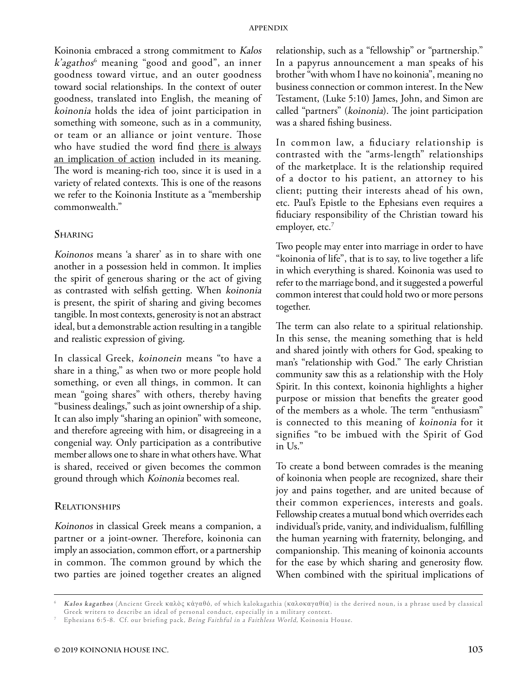Koinonia embraced a strong commitment to Kalos k'agathos<sup>6</sup> meaning "good and good", an inner goodness toward virtue, and an outer goodness toward social relationships. In the context of outer goodness, translated into English, the meaning of koinonia holds the idea of joint participation in something with someone, such as in a community, or team or an alliance or joint venture. Those who have studied the word find there is always an implication of action included in its meaning. The word is meaning-rich too, since it is used in a variety of related contexts. This is one of the reasons we refer to the Koinonia Institute as a "membership commonwealth."

#### **Sharing**

Koinonos means 'a sharer' as in to share with one another in a possession held in common. It implies the spirit of generous sharing or the act of giving as contrasted with selfish getting. When koinonia is present, the spirit of sharing and giving becomes tangible. In most contexts, generosity is not an abstract ideal, but a demonstrable action resulting in a tangible and realistic expression of giving.

In classical Greek, koinonein means "to have a share in a thing," as when two or more people hold something, or even all things, in common. It can mean "going shares" with others, thereby having "business dealings," such as joint ownership of a ship. It can also imply "sharing an opinion" with someone, and therefore agreeing with him, or disagreeing in a congenial way. Only participation as a contributive member allows one to share in what others have. What is shared, received or given becomes the common ground through which Koinonia becomes real.

#### **Relationships**

Koinonos in classical Greek means a companion, a partner or a joint-owner. Therefore, koinonia can imply an association, common effort, or a partnership in common. The common ground by which the two parties are joined together creates an aligned

relationship, such as a "fellowship" or "partnership." In a papyrus announcement a man speaks of his brother "with whom I have no koinonia", meaning no business connection or common interest. In the New Testament, (Luke 5:10) James, John, and Simon are called "partners" (koinonia). The joint participation was a shared fishing business.

In common law, a fiduciary relationship is contrasted with the "arms-length" relationships of the marketplace. It is the relationship required of a doctor to his patient, an attorney to his client; putting their interests ahead of his own, etc. Paul's Epistle to the Ephesians even requires a fiduciary responsibility of the Christian toward his employer, etc.<sup>7</sup>

Two people may enter into marriage in order to have "koinonia of life", that is to say, to live together a life in which everything is shared. Koinonia was used to refer to the marriage bond, and it suggested a powerful common interest that could hold two or more persons together.

The term can also relate to a spiritual relationship. In this sense, the meaning something that is held and shared jointly with others for God, speaking to man's "relationship with God." The early Christian community saw this as a relationship with the Holy Spirit. In this context, koinonia highlights a higher purpose or mission that benefits the greater good of the members as a whole. The term "enthusiasm" is connected to this meaning of koinonia for it signifies "to be imbued with the Spirit of God in Us."

To create a bond between comrades is the meaning of koinonia when people are recognized, share their joy and pains together, and are united because of their common experiences, interests and goals. Fellowship creates a mutual bond which overrides each individual's pride, vanity, and individualism, fulfilling the human yearning with fraternity, belonging, and companionship. This meaning of koinonia accounts for the ease by which sharing and generosity flow. When combined with the spiritual implications of

<sup>6</sup> **Kalos kagathos** (Ancient Greek καλὸς κἀγαθό, of which kalokagathia (καλοκαγαθία) is the derived noun, is a phrase used by classical

Ephesians 6:5-8. Cf. our briefing pack, Being Faithful in a Faithless World, Koinonia House.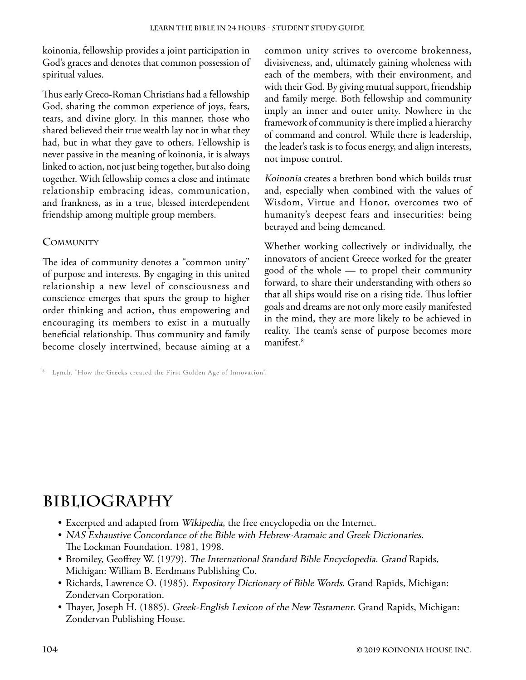koinonia, fellowship provides a joint participation in God's graces and denotes that common possession of spiritual values.

Thus early Greco-Roman Christians had a fellowship God, sharing the common experience of joys, fears, tears, and divine glory. In this manner, those who shared believed their true wealth lay not in what they had, but in what they gave to others. Fellowship is never passive in the meaning of koinonia, it is always linked to action, not just being together, but also doing together. With fellowship comes a close and intimate relationship embracing ideas, communication, and frankness, as in a true, blessed interdependent friendship among multiple group members.

#### **Community**

The idea of community denotes a "common unity" of purpose and interests. By engaging in this united relationship a new level of consciousness and conscience emerges that spurs the group to higher order thinking and action, thus empowering and encouraging its members to exist in a mutually beneficial relationship. Thus community and family become closely intertwined, because aiming at a

8 Lynch, "How the Greeks created the First Golden Age of Innovation".

common unity strives to overcome brokenness, divisiveness, and, ultimately gaining wholeness with each of the members, with their environment, and with their God. By giving mutual support, friendship and family merge. Both fellowship and community imply an inner and outer unity. Nowhere in the framework of community is there implied a hierarchy of command and control. While there is leadership, the leader's task is to focus energy, and align interests, not impose control.

Koinonia creates a brethren bond which builds trust and, especially when combined with the values of Wisdom, Virtue and Honor, overcomes two of humanity's deepest fears and insecurities: being betrayed and being demeaned.

Whether working collectively or individually, the innovators of ancient Greece worked for the greater good of the whole — to propel their community forward, to share their understanding with others so that all ships would rise on a rising tide. Thus loftier goals and dreams are not only more easily manifested in the mind, they are more likely to be achieved in reality. The team's sense of purpose becomes more manifest.8

## **Bibliography**

- Excerpted and adapted from Wikipedia, the free encyclopedia on the Internet.
- NAS Exhaustive Concordance of the Bible with Hebrew-Aramaic and Greek Dictionaries. The Lockman Foundation. 1981, 1998.
- Bromiley, Geoffrey W. (1979). The International Standard Bible Encyclopedia. Grand Rapids, Michigan: William B. Eerdmans Publishing Co.
- Richards, Lawrence O. (1985). Expository Dictionary of Bible Words. Grand Rapids, Michigan: Zondervan Corporation.
- Thayer, Joseph H. (1885). Greek-English Lexicon of the New Testament. Grand Rapids, Michigan: Zondervan Publishing House.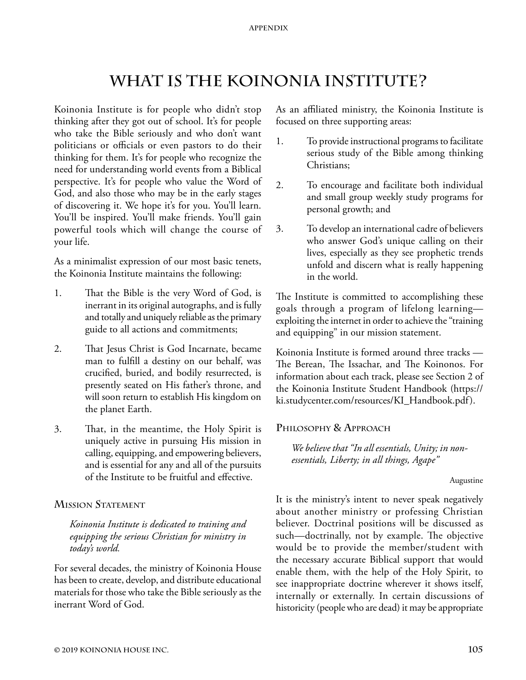# **What is the Koinonia Institute?**

Koinonia Institute is for people who didn't stop thinking after they got out of school. It's for people who take the Bible seriously and who don't want politicians or officials or even pastors to do their thinking for them. It's for people who recognize the need for understanding world events from a Biblical perspective. It's for people who value the Word of God, and also those who may be in the early stages of discovering it. We hope it's for you. You'll learn. You'll be inspired. You'll make friends. You'll gain powerful tools which will change the course of your life.

As a minimalist expression of our most basic tenets, the Koinonia Institute maintains the following:

- 1. That the Bible is the very Word of God, is inerrant in its original autographs, and is fully and totally and uniquely reliable as the primary guide to all actions and commitments;
- 2. That Jesus Christ is God Incarnate, became man to fulfill a destiny on our behalf, was crucified, buried, and bodily resurrected, is presently seated on His father's throne, and will soon return to establish His kingdom on the planet Earth.
- 3. That, in the meantime, the Holy Spirit is uniquely active in pursuing His mission in calling, equipping, and empowering believers, and is essential for any and all of the pursuits of the Institute to be fruitful and effective.

# **Mission Statement**

*Koinonia Institute is dedicated to training and equipping the serious Christian for ministry in today's world.*

For several decades, the ministry of Koinonia House has been to create, develop, and distribute educational materials for those who take the Bible seriously as the inerrant Word of God.

As an affiliated ministry, the Koinonia Institute is focused on three supporting areas:

- 1. To provide instructional programs to facilitate serious study of the Bible among thinking Christians;
- 2. To encourage and facilitate both individual and small group weekly study programs for personal growth; and
- 3. To develop an international cadre of believers who answer God's unique calling on their lives, especially as they see prophetic trends unfold and discern what is really happening in the world.

The Institute is committed to accomplishing these goals through a program of lifelong learning exploiting the internet in order to achieve the "training and equipping" in our mission statement.

Koinonia Institute is formed around three tracks — The Berean, The Issachar, and The Koinonos. For information about each track, please see Section 2 of the Koinonia Institute Student Handbook (https:// ki.studycenter.com/resources/KI\_Handbook.pdf).

# **Philosophy & Approach**

*We believe that "In all essentials, Unity; in nonessentials, Liberty; in all things, Agape"*

Augustine

It is the ministry's intent to never speak negatively about another ministry or professing Christian believer. Doctrinal positions will be discussed as such—doctrinally, not by example. The objective would be to provide the member/student with the necessary accurate Biblical support that would enable them, with the help of the Holy Spirit, to see inappropriate doctrine wherever it shows itself, internally or externally. In certain discussions of historicity (people who are dead) it may be appropriate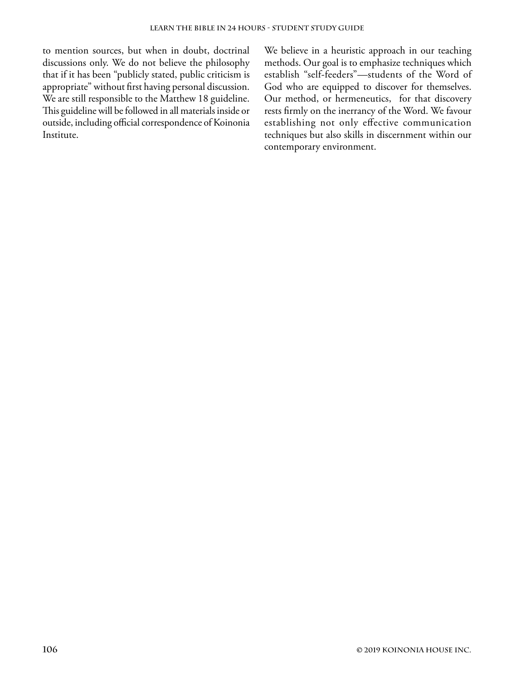to mention sources, but when in doubt, doctrinal discussions only. We do not believe the philosophy that if it has been "publicly stated, public criticism is appropriate" without first having personal discussion. We are still responsible to the Matthew 18 guideline. This guideline will be followed in all materials inside or outside, including official correspondence of Koinonia Institute.

We believe in a heuristic approach in our teaching methods. Our goal is to emphasize techniques which establish "self-feeders"—students of the Word of God who are equipped to discover for themselves. Our method, or hermeneutics, for that discovery rests firmly on the inerrancy of the Word. We favour establishing not only effective communication techniques but also skills in discernment within our contemporary environment.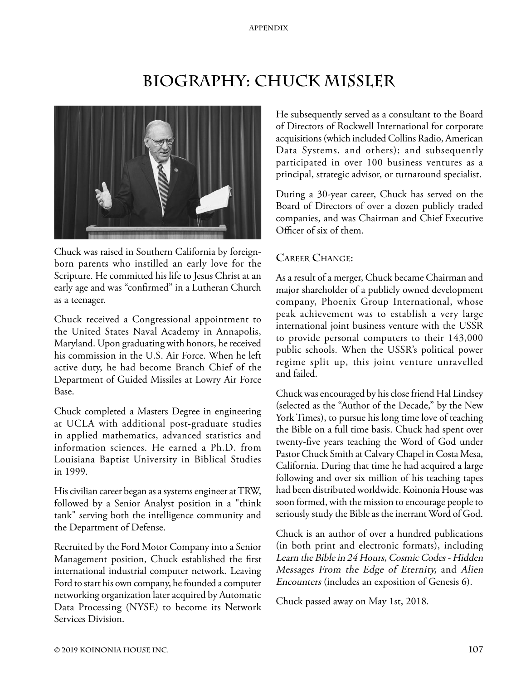# **Biography: Chuck Missler**



Chuck was raised in Southern California by foreignborn parents who instilled an early love for the Scripture. He committed his life to Jesus Christ at an early age and was "confirmed" in a Lutheran Church as a teenager.

Chuck received a Congressional appointment to the United States Naval Academy in Annapolis, Maryland. Upon graduating with honors, he received his commission in the U.S. Air Force. When he left active duty, he had become Branch Chief of the Department of Guided Missiles at Lowry Air Force Base.

Chuck completed a Masters Degree in engineering at UCLA with additional post-graduate studies in applied mathematics, advanced statistics and information sciences. He earned a Ph.D. from Louisiana Baptist University in Biblical Studies in 1999.

His civilian career began as a systems engineer at TRW, followed by a Senior Analyst position in a "think tank" serving both the intelligence community and the Department of Defense.

Recruited by the Ford Motor Company into a Senior Management position, Chuck established the first international industrial computer network. Leaving Ford to start his own company, he founded a computer networking organization later acquired by Automatic Data Processing (NYSE) to become its Network Services Division.

He subsequently served as a consultant to the Board of Directors of Rockwell International for corporate acquisitions (which included Collins Radio, American Data Systems, and others); and subsequently participated in over 100 business ventures as a principal, strategic advisor, or turnaround specialist.

During a 30-year career, Chuck has served on the Board of Directors of over a dozen publicly traded companies, and was Chairman and Chief Executive Officer of six of them.

# **Career Change:**

As a result of a merger, Chuck became Chairman and major shareholder of a publicly owned development company, Phoenix Group International, whose peak achievement was to establish a very large international joint business venture with the USSR to provide personal computers to their 143,000 public schools. When the USSR's political power regime split up, this joint venture unravelled and failed.

Chuck was encouraged by his close friend Hal Lindsey (selected as the "Author of the Decade," by the New York Times), to pursue his long time love of teaching the Bible on a full time basis. Chuck had spent over twenty-five years teaching the Word of God under Pastor Chuck Smith at Calvary Chapel in Costa Mesa, California. During that time he had acquired a large following and over six million of his teaching tapes had been distributed worldwide. Koinonia House was soon formed, with the mission to encourage people to seriously study the Bible as the inerrant Word of God.

Chuck is an author of over a hundred publications (in both print and electronic formats), including Learn the Bible in 24 Hours, Cosmic Codes - Hidden Messages From the Edge of Eternity, and Alien Encounters (includes an exposition of Genesis 6).

Chuck passed away on May 1st, 2018.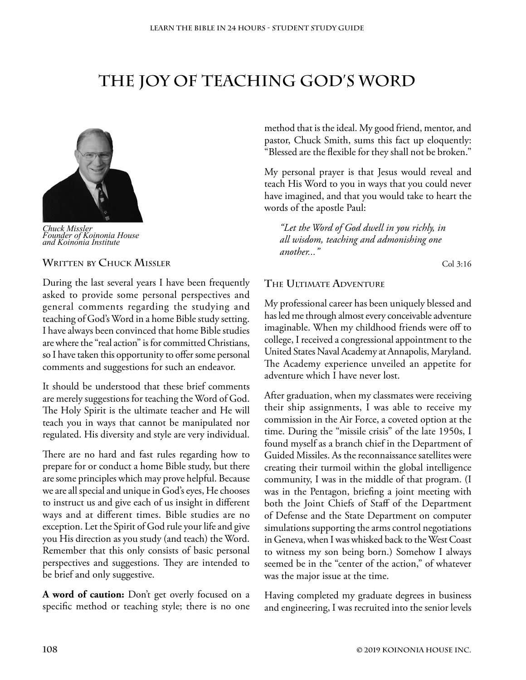# **The Joy of Teaching God's Word**



*Chuck Missler Founder of Koinonia House and Koinonia Institute*

#### **Written by Chuck Missler**

During the last several years I have been frequently asked to provide some personal perspectives and general comments regarding the studying and teaching of God's Word in a home Bible study setting. I have always been convinced that home Bible studies are where the "real action" is for committed Christians, so I have taken this opportunity to offer some personal comments and suggestions for such an endeavor.

It should be understood that these brief comments are merely suggestions for teaching the Word of God. The Holy Spirit is the ultimate teacher and He will teach you in ways that cannot be manipulated nor regulated. His diversity and style are very individual.

There are no hard and fast rules regarding how to prepare for or conduct a home Bible study, but there are some principles which may prove helpful. Because we are all special and unique in God's eyes, He chooses to instruct us and give each of us insight in different ways and at different times. Bible studies are no exception. Let the Spirit of God rule your life and give you His direction as you study (and teach) the Word. Remember that this only consists of basic personal perspectives and suggestions. They are intended to be brief and only suggestive.

**A word of caution:** Don't get overly focused on a specific method or teaching style; there is no one

method that is the ideal. My good friend, mentor, and pastor, Chuck Smith, sums this fact up eloquently: "Blessed are the flexible for they shall not be broken."

My personal prayer is that Jesus would reveal and teach His Word to you in ways that you could never have imagined, and that you would take to heart the words of the apostle Paul:

*"Let the Word of God dwell in you richly, in all wisdom, teaching and admonishing one another..."* 

Col 3:16

## **The Ultimate Adventure**

My professional career has been uniquely blessed and has led me through almost every conceivable adventure imaginable. When my childhood friends were off to college, I received a congressional appointment to the United States Naval Academy at Annapolis, Maryland. The Academy experience unveiled an appetite for adventure which I have never lost.

After graduation, when my classmates were receiving their ship assignments, I was able to receive my commission in the Air Force, a coveted option at the time. During the "missile crisis" of the late 1950s, I found myself as a branch chief in the Department of Guided Missiles. As the reconnaissance satellites were creating their turmoil within the global intelligence community, I was in the middle of that program. (I was in the Pentagon, briefing a joint meeting with both the Joint Chiefs of Staff of the Department of Defense and the State Department on computer simulations supporting the arms control negotiations in Geneva, when I was whisked back to the West Coast to witness my son being born.) Somehow I always seemed be in the "center of the action," of whatever was the major issue at the time.

Having completed my graduate degrees in business and engineering, I was recruited into the senior levels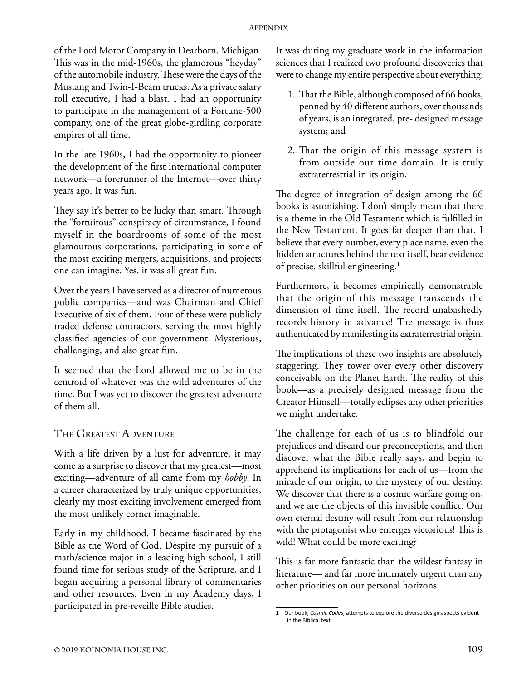of the Ford Motor Company in Dearborn, Michigan. This was in the mid-1960s, the glamorous "heyday" of the automobile industry. These were the days of the Mustang and Twin-I-Beam trucks. As a private salary roll executive, I had a blast. I had an opportunity to participate in the management of a Fortune-500 company, one of the great globe-girdling corporate empires of all time.

In the late 1960s, I had the opportunity to pioneer the development of the first international computer network—a forerunner of the Internet—over thirty years ago. It was fun.

They say it's better to be lucky than smart. Through the "fortuitous" conspiracy of circumstance, I found myself in the boardrooms of some of the most glamourous corporations, participating in some of the most exciting mergers, acquisitions, and projects one can imagine. Yes, it was all great fun.

Over the years I have served as a director of numerous public companies—and was Chairman and Chief Executive of six of them. Four of these were publicly traded defense contractors, serving the most highly classified agencies of our government. Mysterious, challenging, and also great fun.

It seemed that the Lord allowed me to be in the centroid of whatever was the wild adventures of the time. But I was yet to discover the greatest adventure of them all.

# **The Greatest Adventure**

With a life driven by a lust for adventure, it may come as a surprise to discover that my greatest—most exciting—adventure of all came from my *hobby*! In a career characterized by truly unique opportunities, clearly my most exciting involvement emerged from the most unlikely corner imaginable.

Early in my childhood, I became fascinated by the Bible as the Word of God. Despite my pursuit of a math/science major in a leading high school, I still found time for serious study of the Scripture, and I began acquiring a personal library of commentaries and other resources. Even in my Academy days, I participated in pre-reveille Bible studies.

It was during my graduate work in the information sciences that I realized two profound discoveries that were to change my entire perspective about everything:

- 1. That the Bible, although composed of 66 books, penned by 40 different authors, over thousands of years, is an integrated, pre- designed message system; and
- 2. That the origin of this message system is from outside our time domain. It is truly extraterrestrial in its origin.

The degree of integration of design among the 66 books is astonishing. I don't simply mean that there is a theme in the Old Testament which is fulfilled in the New Testament. It goes far deeper than that. I believe that every number, every place name, even the hidden structures behind the text itself, bear evidence of precise, skillful engineering.1

Furthermore, it becomes empirically demonstrable that the origin of this message transcends the dimension of time itself. The record unabashedly records history in advance! The message is thus authenticated by manifesting its extraterrestrial origin.

The implications of these two insights are absolutely staggering. They tower over every other discovery conceivable on the Planet Earth. The reality of this book—as a precisely designed message from the Creator Himself—totally eclipses any other priorities we might undertake.

The challenge for each of us is to blindfold our prejudices and discard our preconceptions, and then discover what the Bible really says, and begin to apprehend its implications for each of us—from the miracle of our origin, to the mystery of our destiny. We discover that there is a cosmic warfare going on, and we are the objects of this invisible conflict. Our own eternal destiny will result from our relationship with the protagonist who emerges victorious! This is wild! What could be more exciting?

This is far more fantastic than the wildest fantasy in literature— and far more intimately urgent than any other priorities on our personal horizons.

**<sup>1</sup>** Our book, *Cosmic Codes*, attempts to explore the diverse design aspects evident in the Biblical text.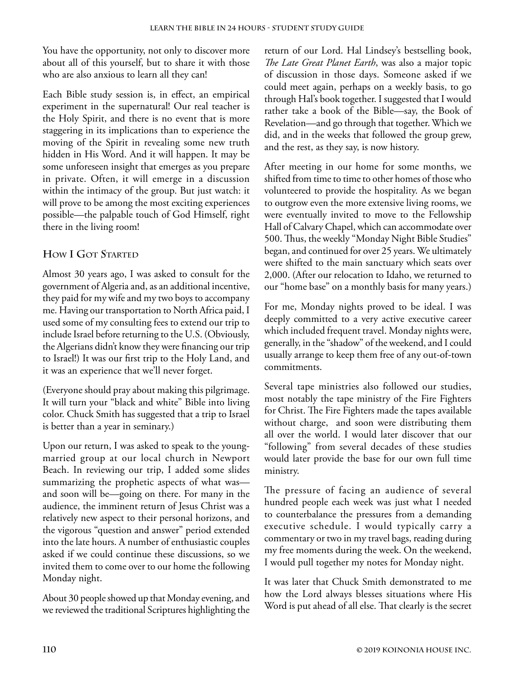You have the opportunity, not only to discover more about all of this yourself, but to share it with those who are also anxious to learn all they can!

Each Bible study session is, in effect, an empirical experiment in the supernatural! Our real teacher is the Holy Spirit, and there is no event that is more staggering in its implications than to experience the moving of the Spirit in revealing some new truth hidden in His Word. And it will happen. It may be some unforeseen insight that emerges as you prepare in private. Often, it will emerge in a discussion within the intimacy of the group. But just watch: it will prove to be among the most exciting experiences possible—the palpable touch of God Himself, right there in the living room!

# **How I Got Started**

Almost 30 years ago, I was asked to consult for the government of Algeria and, as an additional incentive, they paid for my wife and my two boys to accompany me. Having our transportation to North Africa paid, I used some of my consulting fees to extend our trip to include Israel before returning to the U.S. (Obviously, the Algerians didn't know they were financing our trip to Israel!) It was our first trip to the Holy Land, and it was an experience that we'll never forget.

(Everyone should pray about making this pilgrimage. It will turn your "black and white" Bible into living color. Chuck Smith has suggested that a trip to Israel is better than a year in seminary.)

Upon our return, I was asked to speak to the youngmarried group at our local church in Newport Beach. In reviewing our trip, I added some slides summarizing the prophetic aspects of what was and soon will be—going on there. For many in the audience, the imminent return of Jesus Christ was a relatively new aspect to their personal horizons, and the vigorous "question and answer" period extended into the late hours. A number of enthusiastic couples asked if we could continue these discussions, so we invited them to come over to our home the following Monday night.

About 30 people showed up that Monday evening, and we reviewed the traditional Scriptures highlighting the

return of our Lord. Hal Lindsey's bestselling book, *The Late Great Planet Earth*, was also a major topic of discussion in those days. Someone asked if we could meet again, perhaps on a weekly basis, to go through Hal's book together. I suggested that I would rather take a book of the Bible—say, the Book of Revelation—and go through that together. Which we did, and in the weeks that followed the group grew, and the rest, as they say, is now history.

After meeting in our home for some months, we shifted from time to time to other homes of those who volunteered to provide the hospitality. As we began to outgrow even the more extensive living rooms, we were eventually invited to move to the Fellowship Hall of Calvary Chapel, which can accommodate over 500. Thus, the weekly "Monday Night Bible Studies" began, and continued for over 25 years. We ultimately were shifted to the main sanctuary which seats over 2,000. (After our relocation to Idaho, we returned to our "home base" on a monthly basis for many years.)

For me, Monday nights proved to be ideal. I was deeply committed to a very active executive career which included frequent travel. Monday nights were, generally, in the "shadow" of the weekend, and I could usually arrange to keep them free of any out-of-town commitments.

Several tape ministries also followed our studies, most notably the tape ministry of the Fire Fighters for Christ. The Fire Fighters made the tapes available without charge, and soon were distributing them all over the world. I would later discover that our "following" from several decades of these studies would later provide the base for our own full time ministry.

The pressure of facing an audience of several hundred people each week was just what I needed to counterbalance the pressures from a demanding executive schedule. I would typically carry a commentary or two in my travel bags, reading during my free moments during the week. On the weekend, I would pull together my notes for Monday night.

It was later that Chuck Smith demonstrated to me how the Lord always blesses situations where His Word is put ahead of all else. That clearly is the secret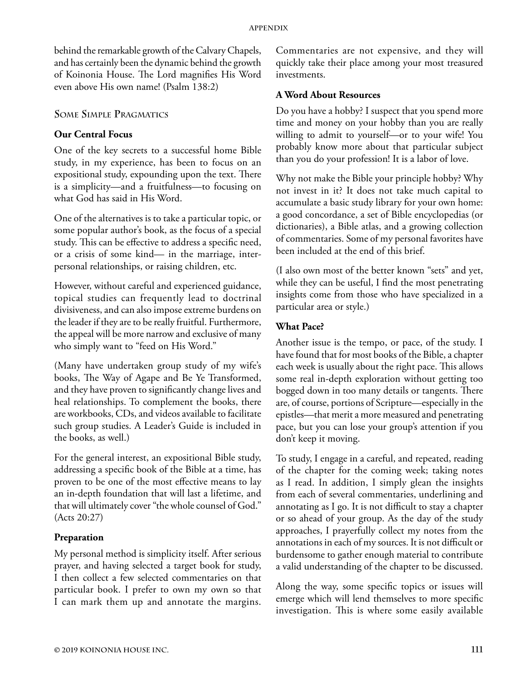behind the remarkable growth of the Calvary Chapels, and has certainly been the dynamic behind the growth of Koinonia House. The Lord magnifies His Word even above His own name! (Psalm 138:2)

## **Some Simple Pragmatics**

# **Our Central Focus**

One of the key secrets to a successful home Bible study, in my experience, has been to focus on an expositional study, expounding upon the text. There is a simplicity—and a fruitfulness—to focusing on what God has said in His Word.

One of the alternatives is to take a particular topic, or some popular author's book, as the focus of a special study. This can be effective to address a specific need, or a crisis of some kind— in the marriage, interpersonal relationships, or raising children, etc.

However, without careful and experienced guidance, topical studies can frequently lead to doctrinal divisiveness, and can also impose extreme burdens on the leader if they are to be really fruitful. Furthermore, the appeal will be more narrow and exclusive of many who simply want to "feed on His Word."

(Many have undertaken group study of my wife's books, The Way of Agape and Be Ye Transformed, and they have proven to significantly change lives and heal relationships. To complement the books, there are workbooks, CDs, and videos available to facilitate such group studies. A Leader's Guide is included in the books, as well.)

For the general interest, an expositional Bible study, addressing a specific book of the Bible at a time, has proven to be one of the most effective means to lay an in-depth foundation that will last a lifetime, and that will ultimately cover "the whole counsel of God." (Acts 20:27)

# **Preparation**

My personal method is simplicity itself. After serious prayer, and having selected a target book for study, I then collect a few selected commentaries on that particular book. I prefer to own my own so that I can mark them up and annotate the margins.

Commentaries are not expensive, and they will quickly take their place among your most treasured investments.

## **A Word About Resources**

Do you have a hobby? I suspect that you spend more time and money on your hobby than you are really willing to admit to yourself—or to your wife! You probably know more about that particular subject than you do your profession! It is a labor of love.

Why not make the Bible your principle hobby? Why not invest in it? It does not take much capital to accumulate a basic study library for your own home: a good concordance, a set of Bible encyclopedias (or dictionaries), a Bible atlas, and a growing collection of commentaries. Some of my personal favorites have been included at the end of this brief.

(I also own most of the better known "sets" and yet, while they can be useful, I find the most penetrating insights come from those who have specialized in a particular area or style.)

## **What Pace?**

Another issue is the tempo, or pace, of the study. I have found that for most books of the Bible, a chapter each week is usually about the right pace. This allows some real in-depth exploration without getting too bogged down in too many details or tangents. There are, of course, portions of Scripture—especially in the epistles—that merit a more measured and penetrating pace, but you can lose your group's attention if you don't keep it moving.

To study, I engage in a careful, and repeated, reading of the chapter for the coming week; taking notes as I read. In addition, I simply glean the insights from each of several commentaries, underlining and annotating as I go. It is not difficult to stay a chapter or so ahead of your group. As the day of the study approaches, I prayerfully collect my notes from the annotations in each of my sources. It is not difficult or burdensome to gather enough material to contribute a valid understanding of the chapter to be discussed.

Along the way, some specific topics or issues will emerge which will lend themselves to more specific investigation. This is where some easily available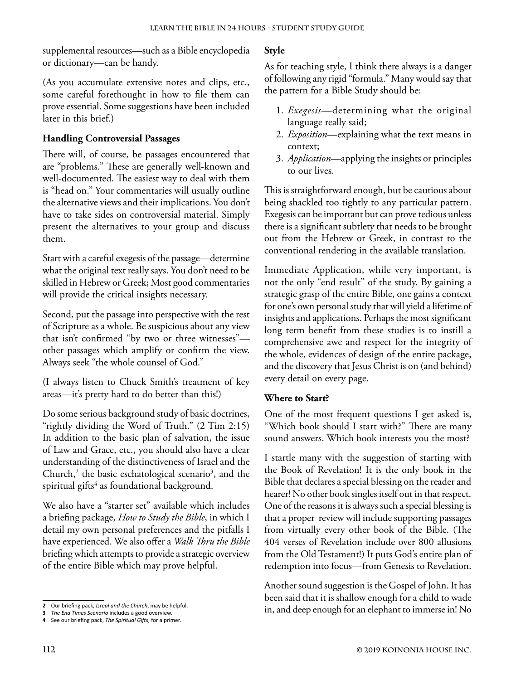supplemental resources—such as a Bible encyclopedia or dictionary—can be handy.

(As you accumulate extensive notes and clips, etc., some careful forethought in how to file them can prove essential. Some suggestions have been included later in this brief.)

# **Handling Controversial Passages**

There will, of course, be passages encountered that are "problems." These are generally well-known and well-documented. The easiest way to deal with them is "head on." Your commentaries will usually outline the alternative views and their implications. You don't have to take sides on controversial material. Simply present the alternatives to your group and discuss them.

Start with a careful exegesis of the passage—determine what the original text really says. You don't need to be skilled in Hebrew or Greek; Most good commentaries will provide the critical insights necessary.

Second, put the passage into perspective with the rest of Scripture as a whole. Be suspicious about any view that isn't confirmed "by two or three witnesses" other passages which amplify or confirm the view. Always seek "the whole counsel of God."

(I always listen to Chuck Smith's treatment of key areas—it's pretty hard to do better than this!)

Do some serious background study of basic doctrines, "rightly dividing the Word of Truth." (2 Tim 2:15) In addition to the basic plan of salvation, the issue of Law and Grace, etc., you should also have a clear understanding of the distinctiveness of Israel and the Church, $2$  the basic eschatological scenario<sup>3</sup>, and the  $s$ piritual gifts<sup>4</sup> as foundational background.

We also have a "starter set" available which includes a briefing package, *How to Study the Bible*, in which I detail my own personal preferences and the pitfalls I have experienced. We also offer a *Walk Thru the Bible*  briefing which attempts to provide a strategic overview of the entire Bible which may prove helpful.

## **Style**

As for teaching style, I think there always is a danger of following any rigid "formula." Many would say that the pattern for a Bible Study should be:

- 1. *Exegesis*—determining what the original language really said;
- 2. *Exposition*—explaining what the text means in context;
- 3. *Application*—applying the insights or principles to our lives.

This is straightforward enough, but be cautious about being shackled too tightly to any particular pattern. Exegesis can be important but can prove tedious unless there is a significant subtlety that needs to be brought out from the Hebrew or Greek, in contrast to the conventional rendering in the available translation.

Immediate Application, while very important, is not the only "end result" of the study. By gaining a strategic grasp of the entire Bible, one gains a context for one's own personal study that will yield a lifetime of insights and applications. Perhaps the most significant long term benefit from these studies is to instill a comprehensive awe and respect for the integrity of the whole, evidences of design of the entire package, and the discovery that Jesus Christ is on (and behind) every detail on every page.

# **Where to Start?**

One of the most frequent questions I get asked is, "Which book should I start with?" There are many sound answers. Which book interests you the most?

I startle many with the suggestion of starting with the Book of Revelation! It is the only book in the Bible that declares a special blessing on the reader and hearer! No other book singles itself out in that respect. One of the reasons it is always such a special blessing is that a proper review will include supporting passages from virtually every other book of the Bible. (The 404 verses of Revelation include over 800 allusions from the Old Testament!) It puts God's entire plan of redemption into focus—from Genesis to Revelation.

Another sound suggestion is the Gospel of John. It has been said that it is shallow enough for a child to wade in, and deep enough for an elephant to immerse in! No

**<sup>2</sup>** Our briefing pack, *Isreal and the Church*, may be helpful.

**<sup>3</sup>** *The End Times Scenario* includes a good overview.

**<sup>4</sup>** See our briefing pack, *The Spiritual Gifts*, for a primer.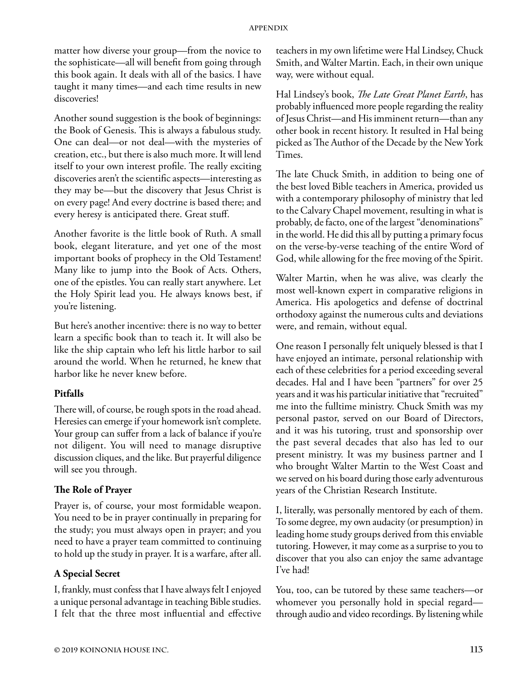matter how diverse your group—from the novice to the sophisticate—all will benefit from going through this book again. It deals with all of the basics. I have taught it many times—and each time results in new discoveries!

Another sound suggestion is the book of beginnings: the Book of Genesis. This is always a fabulous study. One can deal—or not deal—with the mysteries of creation, etc., but there is also much more. It will lend itself to your own interest profile. The really exciting discoveries aren't the scientific aspects—interesting as they may be—but the discovery that Jesus Christ is on every page! And every doctrine is based there; and every heresy is anticipated there. Great stuff.

Another favorite is the little book of Ruth. A small book, elegant literature, and yet one of the most important books of prophecy in the Old Testament! Many like to jump into the Book of Acts. Others, one of the epistles. You can really start anywhere. Let the Holy Spirit lead you. He always knows best, if you're listening.

But here's another incentive: there is no way to better learn a specific book than to teach it. It will also be like the ship captain who left his little harbor to sail around the world. When he returned, he knew that harbor like he never knew before.

## **Pitfalls**

There will, of course, be rough spots in the road ahead. Heresies can emerge if your homework isn't complete. Your group can suffer from a lack of balance if you're not diligent. You will need to manage disruptive discussion cliques, and the like. But prayerful diligence will see you through.

#### **The Role of Prayer**

Prayer is, of course, your most formidable weapon. You need to be in prayer continually in preparing for the study; you must always open in prayer; and you need to have a prayer team committed to continuing to hold up the study in prayer. It is a warfare, after all.

#### **A Special Secret**

I, frankly, must confess that I have always felt I enjoyed a unique personal advantage in teaching Bible studies. I felt that the three most influential and effective

teachers in my own lifetime were Hal Lindsey, Chuck Smith, and Walter Martin. Each, in their own unique way, were without equal.

Hal Lindsey's book, *The Late Great Planet Earth*, has probably influenced more people regarding the reality of Jesus Christ—and His imminent return—than any other book in recent history. It resulted in Hal being picked as The Author of the Decade by the New York Times.

The late Chuck Smith, in addition to being one of the best loved Bible teachers in America, provided us with a contemporary philosophy of ministry that led to the Calvary Chapel movement, resulting in what is probably, de facto, one of the largest "denominations" in the world. He did this all by putting a primary focus on the verse-by-verse teaching of the entire Word of God, while allowing for the free moving of the Spirit.

Walter Martin, when he was alive, was clearly the most well-known expert in comparative religions in America. His apologetics and defense of doctrinal orthodoxy against the numerous cults and deviations were, and remain, without equal.

One reason I personally felt uniquely blessed is that I have enjoyed an intimate, personal relationship with each of these celebrities for a period exceeding several decades. Hal and I have been "partners" for over 25 years and it was his particular initiative that "recruited" me into the fulltime ministry. Chuck Smith was my personal pastor, served on our Board of Directors, and it was his tutoring, trust and sponsorship over the past several decades that also has led to our present ministry. It was my business partner and I who brought Walter Martin to the West Coast and we served on his board during those early adventurous years of the Christian Research Institute.

I, literally, was personally mentored by each of them. To some degree, my own audacity (or presumption) in leading home study groups derived from this enviable tutoring. However, it may come as a surprise to you to discover that you also can enjoy the same advantage I've had!

You, too, can be tutored by these same teachers—or whomever you personally hold in special regard through audio and video recordings. By listening while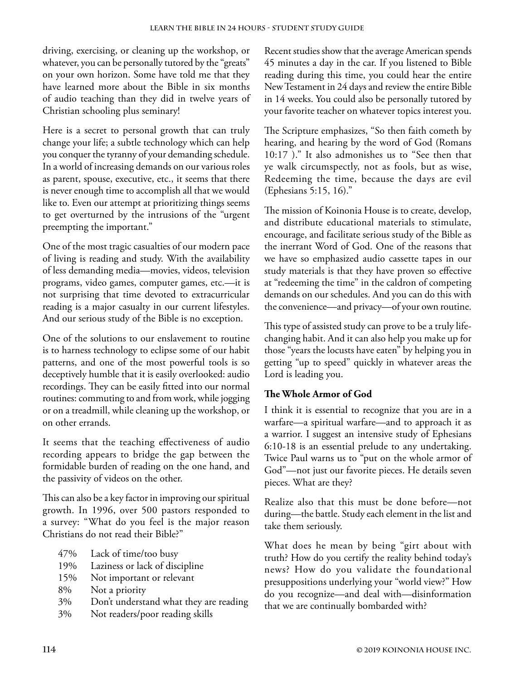driving, exercising, or cleaning up the workshop, or whatever, you can be personally tutored by the "greats" on your own horizon. Some have told me that they have learned more about the Bible in six months of audio teaching than they did in twelve years of Christian schooling plus seminary!

Here is a secret to personal growth that can truly change your life; a subtle technology which can help you conquer the tyranny of your demanding schedule. In a world of increasing demands on our various roles as parent, spouse, executive, etc., it seems that there is never enough time to accomplish all that we would like to. Even our attempt at prioritizing things seems to get overturned by the intrusions of the "urgent preempting the important."

One of the most tragic casualties of our modern pace of living is reading and study. With the availability of less demanding media—movies, videos, television programs, video games, computer games, etc.—it is not surprising that time devoted to extracurricular reading is a major casualty in our current lifestyles. And our serious study of the Bible is no exception.

One of the solutions to our enslavement to routine is to harness technology to eclipse some of our habit patterns, and one of the most powerful tools is so deceptively humble that it is easily overlooked: audio recordings. They can be easily fitted into our normal routines: commuting to and from work, while jogging or on a treadmill, while cleaning up the workshop, or on other errands.

It seems that the teaching effectiveness of audio recording appears to bridge the gap between the formidable burden of reading on the one hand, and the passivity of videos on the other.

This can also be a key factor in improving our spiritual growth. In 1996, over 500 pastors responded to a survey: "What do you feel is the major reason Christians do not read their Bible?"

- 47% Lack of time/too busy
- 19% Laziness or lack of discipline
- 15% Not important or relevant
- 8% Not a priority
- 3% Don't understand what they are reading
- 3% Not readers/poor reading skills

Recent studies show that the average American spends 45 minutes a day in the car. If you listened to Bible reading during this time, you could hear the entire New Testament in 24 days and review the entire Bible in 14 weeks. You could also be personally tutored by your favorite teacher on whatever topics interest you.

The Scripture emphasizes, "So then faith cometh by hearing, and hearing by the word of God (Romans 10:17 )." It also admonishes us to "See then that ye walk circumspectly, not as fools, but as wise, Redeeming the time, because the days are evil (Ephesians 5:15, 16)."

The mission of Koinonia House is to create, develop, and distribute educational materials to stimulate, encourage, and facilitate serious study of the Bible as the inerrant Word of God. One of the reasons that we have so emphasized audio cassette tapes in our study materials is that they have proven so effective at "redeeming the time" in the caldron of competing demands on our schedules. And you can do this with the convenience—and privacy—of your own routine.

This type of assisted study can prove to be a truly lifechanging habit. And it can also help you make up for those "years the locusts have eaten" by helping you in getting "up to speed" quickly in whatever areas the Lord is leading you.

# **The Whole Armor of God**

I think it is essential to recognize that you are in a warfare—a spiritual warfare—and to approach it as a warrior. I suggest an intensive study of Ephesians 6:10-18 is an essential prelude to any undertaking. Twice Paul warns us to "put on the whole armor of God"—not just our favorite pieces. He details seven pieces. What are they?

Realize also that this must be done before—not during—the battle. Study each element in the list and take them seriously.

What does he mean by being "girt about with truth? How do you certify the reality behind today's news? How do you validate the foundational presuppositions underlying your "world view?" How do you recognize—and deal with—disinformation that we are continually bombarded with?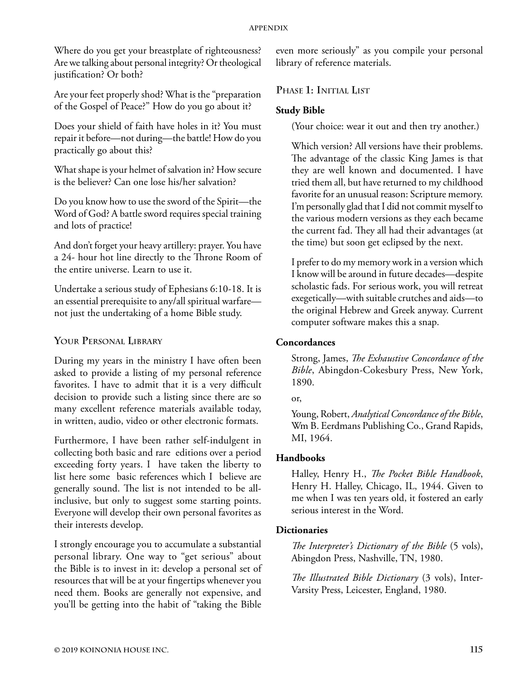Where do you get your breastplate of righteousness? Are we talking about personal integrity? Or theological justification? Or both?

Are your feet properly shod? What is the "preparation of the Gospel of Peace?" How do you go about it?

Does your shield of faith have holes in it? You must repair it before—not during—the battle! How do you practically go about this?

What shape is your helmet of salvation in? How secure is the believer? Can one lose his/her salvation?

Do you know how to use the sword of the Spirit—the Word of God? A battle sword requires special training and lots of practice!

And don't forget your heavy artillery: prayer. You have a 24- hour hot line directly to the Throne Room of the entire universe. Learn to use it.

Undertake a serious study of Ephesians 6:10-18. It is an essential prerequisite to any/all spiritual warfare not just the undertaking of a home Bible study.

# **Your Personal Library**

During my years in the ministry I have often been asked to provide a listing of my personal reference favorites. I have to admit that it is a very difficult decision to provide such a listing since there are so many excellent reference materials available today, in written, audio, video or other electronic formats.

Furthermore, I have been rather self-indulgent in collecting both basic and rare editions over a period exceeding forty years. I have taken the liberty to list here some basic references which I believe are generally sound. The list is not intended to be allinclusive, but only to suggest some starting points. Everyone will develop their own personal favorites as their interests develop.

I strongly encourage you to accumulate a substantial personal library. One way to "get serious" about the Bible is to invest in it: develop a personal set of resources that will be at your fingertips whenever you need them. Books are generally not expensive, and you'll be getting into the habit of "taking the Bible

even more seriously" as you compile your personal library of reference materials.

# **Phase 1: Initial List**

# **Study Bible**

(Your choice: wear it out and then try another.)

Which version? All versions have their problems. The advantage of the classic King James is that they are well known and documented. I have tried them all, but have returned to my childhood favorite for an unusual reason: Scripture memory. I'm personally glad that I did not commit myself to the various modern versions as they each became the current fad. They all had their advantages (at the time) but soon get eclipsed by the next.

I prefer to do my memory work in a version which I know will be around in future decades—despite scholastic fads. For serious work, you will retreat exegetically—with suitable crutches and aids—to the original Hebrew and Greek anyway. Current computer software makes this a snap.

# **Concordances**

Strong, James, *The Exhaustive Concordance of the Bible*, Abingdon-Cokesbury Press, New York, 1890.

Young, Robert, *Analytical Concordance of the Bible*, Wm B. Eerdmans Publishing Co., Grand Rapids, MI, 1964.

# **Handbooks**

Halley, Henry H., *The Pocket Bible Handbook*, Henry H. Halley, Chicago, IL, 1944. Given to me when I was ten years old, it fostered an early serious interest in the Word.

# **Dictionaries**

*The Interpreter's Dictionary of the Bible* (5 vols), Abingdon Press, Nashville, TN, 1980.

*The Illustrated Bible Dictionary* (3 vols), Inter-Varsity Press, Leicester, England, 1980.

or,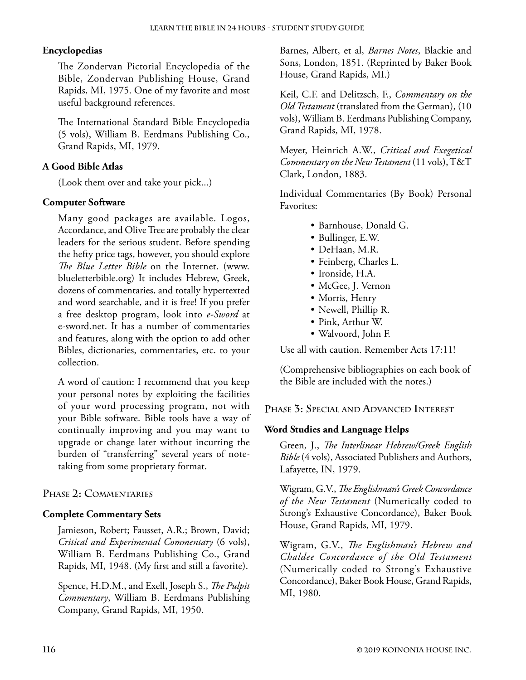## **Encyclopedias**

The Zondervan Pictorial Encyclopedia of the Bible, Zondervan Publishing House, Grand Rapids, MI, 1975. One of my favorite and most useful background references.

The International Standard Bible Encyclopedia (5 vols), William B. Eerdmans Publishing Co., Grand Rapids, MI, 1979.

## **A Good Bible Atlas**

(Look them over and take your pick...)

#### **Computer Software**

Many good packages are available. Logos, Accordance, and Olive Tree are probably the clear leaders for the serious student. Before spending the hefty price tags, however, you should explore *The Blue Letter Bible* on the Internet. ([www.](https://www.blueletterbible.org/) [blueletterbible.org\)](https://www.blueletterbible.org/) It includes Hebrew, Greek, dozens of commentaries, and totally hypertexted and word searchable, and it is free! If you prefer a free desktop program, look into *e-Sword* at e-sword.net. It has a number of commentaries and features, along with the option to add other Bibles, dictionaries, commentaries, etc. to your collection.

A word of caution: I recommend that you keep your personal notes by exploiting the facilities of your word processing program, not with your Bible software. Bible tools have a way of continually improving and you may want to upgrade or change later without incurring the burden of "transferring" several years of notetaking from some proprietary format.

#### **Phase 2: Commentaries**

#### **Complete Commentary Sets**

Jamieson, Robert; Fausset, A.R.; Brown, David; *Critical and Experimental Commentary* (6 vols), William B. Eerdmans Publishing Co., Grand Rapids, MI, 1948. (My first and still a favorite).

Spence, H.D.M., and Exell, Joseph S., *The Pulpit Commentary*, William B. Eerdmans Publishing Company, Grand Rapids, MI, 1950.

Barnes, Albert, et al, *Barnes Notes*, Blackie and Sons, London, 1851. (Reprinted by Baker Book House, Grand Rapids, MI.)

Keil, C.F. and Delitzsch, F., *Commentary on the Old Testament* (translated from the German), (10 vols), William B. Eerdmans Publishing Company, Grand Rapids, MI, 1978.

Meyer, Heinrich A.W., *Critical and Exegetical Commentary on the New Testament* (11 vols), T&T Clark, London, 1883.

Individual Commentaries (By Book) Personal Favorites:

- Barnhouse, Donald G.
- Bullinger, E.W.
- DeHaan, M.R.
- Feinberg, Charles L.
- Ironside, H.A.
- McGee, J. Vernon
- Morris, Henry
- Newell, Phillip R.
- Pink, Arthur W.
- Walvoord, John F.

Use all with caution. Remember Acts 17:11!

(Comprehensive bibliographies on each book of the Bible are included with the notes.)

**Phase 3: Special and Advanced Interest**

#### **Word Studies and Language Helps**

Green, J., *The Interlinear Hebrew/Greek English Bible* (4 vols), Associated Publishers and Authors, Lafayette, IN, 1979.

Wigram, G.V., *The Englishman's Greek Concordance of the New Testament* (Numerically coded to Strong's Exhaustive Concordance), Baker Book House, Grand Rapids, MI, 1979.

Wigram, G.V., *The Englishman's Hebrew and Chaldee Concordance of the Old Testament* (Numerically coded to Strong's Exhaustive Concordance), Baker Book House, Grand Rapids, MI, 1980.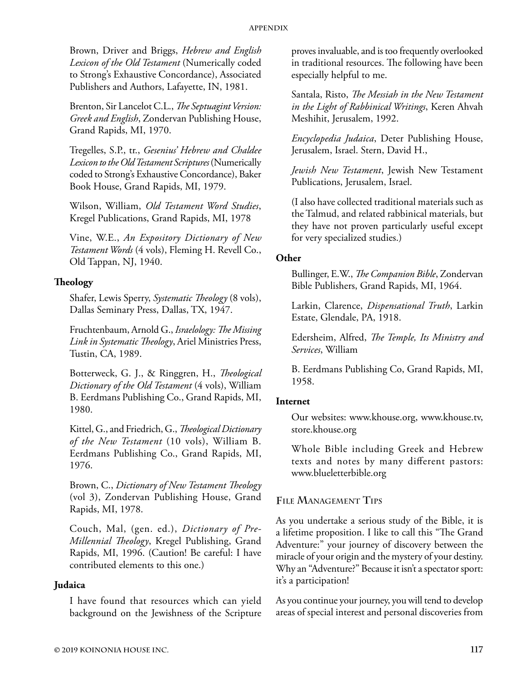Brown, Driver and Briggs, *Hebrew and English Lexicon of the Old Testament* (Numerically coded to Strong's Exhaustive Concordance), Associated Publishers and Authors, Lafayette, IN, 1981.

Brenton, Sir Lancelot C.L., *The Septuagint Version: Greek and English*, Zondervan Publishing House, Grand Rapids, MI, 1970.

Tregelles, S.P., tr., *Gesenius' Hebrew and Chaldee Lexicon to the Old Testament Scriptures* (Numerically coded to Strong's Exhaustive Concordance), Baker Book House, Grand Rapids, MI, 1979.

Wilson, William, *Old Testament Word Studies*, Kregel Publications, Grand Rapids, MI, 1978

Vine, W.E., *An Expository Dictionary of New Testament Words* (4 vols), Fleming H. Revell Co., Old Tappan, NJ, 1940.

# **Theology**

Shafer, Lewis Sperry, *Systematic Theology* (8 vols), Dallas Seminary Press, Dallas, TX, 1947.

Fruchtenbaum, Arnold G., *Israelology: The Missing Link in Systematic Theology*, Ariel Ministries Press, Tustin, CA, 1989.

Botterweck, G. J., & Ringgren, H., *Theological Dictionary of the Old Testament* (4 vols), William B. Eerdmans Publishing Co., Grand Rapids, MI, 1980.

Kittel, G., and Friedrich, G., *Theological Dictionary of the New Testament* (10 vols), William B. Eerdmans Publishing Co., Grand Rapids, MI, 1976.

Brown, C., *Dictionary of New Testament Theology* (vol 3), Zondervan Publishing House, Grand Rapids, MI, 1978.

Couch, Mal, (gen. ed.), *Dictionary of Pre-Millennial Theology*, Kregel Publishing, Grand Rapids, MI, 1996. (Caution! Be careful: I have contributed elements to this one.)

## **Judaica**

I have found that resources which can yield background on the Jewishness of the Scripture

proves invaluable, and is too frequently overlooked in traditional resources. The following have been especially helpful to me.

Santala, Risto, *The Messiah in the New Testament in the Light of Rabbinical Writings*, Keren Ahvah Meshihit, Jerusalem, 1992.

*Encyclopedia Judaica*, Deter Publishing House, Jerusalem, Israel. Stern, David H.,

*Jewish New Testament*, Jewish New Testament Publications, Jerusalem, Israel.

(I also have collected traditional materials such as the Talmud, and related rabbinical materials, but they have not proven particularly useful except for very specialized studies.)

#### **Other**

Bullinger, E.W., *The Companion Bible*, Zondervan Bible Publishers, Grand Rapids, MI, 1964.

Larkin, Clarence, *Dispensational Truth*, Larkin Estate, Glendale, PA, 1918.

Edersheim, Alfred, *The Temple, Its Ministry and Services*, William

B. Eerdmans Publishing Co, Grand Rapids, MI, 1958.

#### **Internet**

Our websites: [www.khouse.org,](https://www.khouse.org) [www.khouse.tv,](https://www.khouse.tv) [store.khouse.org](https://store.khouse.org)

Whole Bible including Greek and Hebrew texts and notes by many different pastors: [www.blueletterbible.org](http://www.blueletterbible.org)

# **File Management Tips**

As you undertake a serious study of the Bible, it is a lifetime proposition. I like to call this "The Grand Adventure:" your journey of discovery between the miracle of your origin and the mystery of your destiny. Why an "Adventure?" Because it isn't a spectator sport: it's a participation!

As you continue your journey, you will tend to develop areas of special interest and personal discoveries from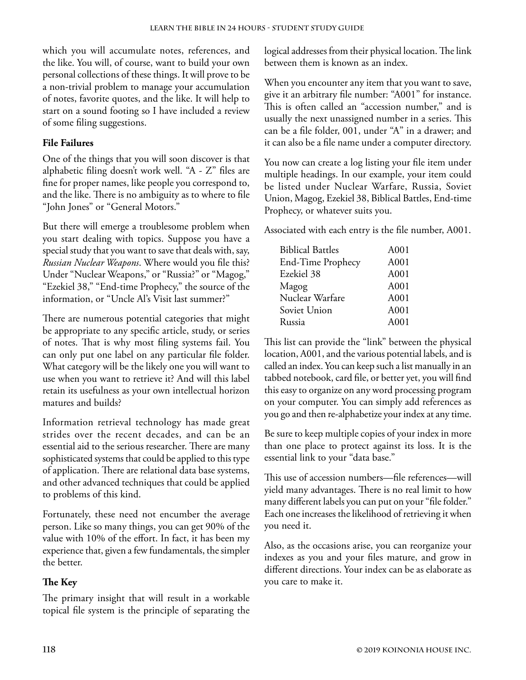which you will accumulate notes, references, and the like. You will, of course, want to build your own personal collections of these things. It will prove to be a non-trivial problem to manage your accumulation of notes, favorite quotes, and the like. It will help to start on a sound footing so I have included a review of some filing suggestions.

# **File Failures**

One of the things that you will soon discover is that alphabetic filing doesn't work well. "A - Z" files are fine for proper names, like people you correspond to, and the like. There is no ambiguity as to where to file "John Jones" or "General Motors."

But there will emerge a troublesome problem when you start dealing with topics. Suppose you have a special study that you want to save that deals with, say, *Russian Nuclear Weapons*. Where would you file this? Under "Nuclear Weapons," or "Russia?" or "Magog," "Ezekiel 38," "End-time Prophecy," the source of the information, or "Uncle Al's Visit last summer?"

There are numerous potential categories that might be appropriate to any specific article, study, or series of notes. That is why most filing systems fail. You can only put one label on any particular file folder. What category will be the likely one you will want to use when you want to retrieve it? And will this label retain its usefulness as your own intellectual horizon matures and builds?

Information retrieval technology has made great strides over the recent decades, and can be an essential aid to the serious researcher. There are many sophisticated systems that could be applied to this type of application. There are relational data base systems, and other advanced techniques that could be applied to problems of this kind.

Fortunately, these need not encumber the average person. Like so many things, you can get 90% of the value with 10% of the effort. In fact, it has been my experience that, given a few fundamentals, the simpler the better.

# **The Key**

The primary insight that will result in a workable topical file system is the principle of separating the

logical addresses from their physical location. The link between them is known as an index.

When you encounter any item that you want to save, give it an arbitrary file number: "A001" for instance. This is often called an "accession number," and is usually the next unassigned number in a series. This can be a file folder, 001, under "A" in a drawer; and it can also be a file name under a computer directory.

You now can create a log listing your file item under multiple headings. In our example, your item could be listed under Nuclear Warfare, Russia, Soviet Union, Magog, Ezekiel 38, Biblical Battles, End-time Prophecy, or whatever suits you.

Associated with each entry is the file number, A001.

| <b>Biblical Battles</b> | A001 |
|-------------------------|------|
| End-Time Prophecy       | A001 |
| Ezekiel 38              | A001 |
| Magog                   | A001 |
| Nuclear Warfare         | A001 |
| Soviet Union            | A001 |
| Russia                  | A001 |

This list can provide the "link" between the physical location, A001, and the various potential labels, and is called an index. You can keep such a list manually in an tabbed notebook, card file, or better yet, you will find this easy to organize on any word processing program on your computer. You can simply add references as you go and then re-alphabetize your index at any time.

Be sure to keep multiple copies of your index in more than one place to protect against its loss. It is the essential link to your "data base."

This use of accession numbers—file references—will yield many advantages. There is no real limit to how many different labels you can put on your "file folder." Each one increases the likelihood of retrieving it when you need it.

Also, as the occasions arise, you can reorganize your indexes as you and your files mature, and grow in different directions. Your index can be as elaborate as you care to make it.